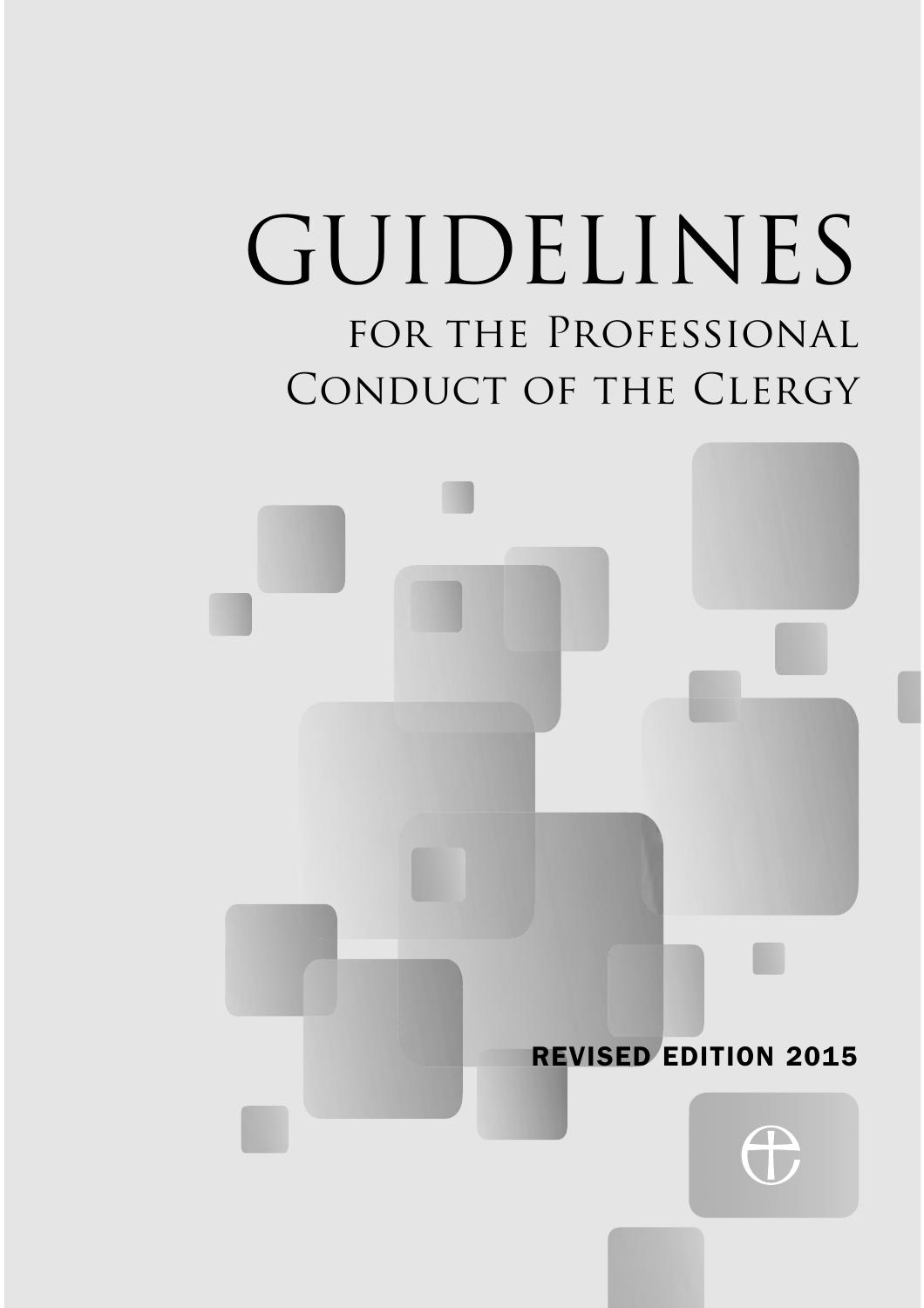# GUIDELINES for the Professional Conduct of the Clergy

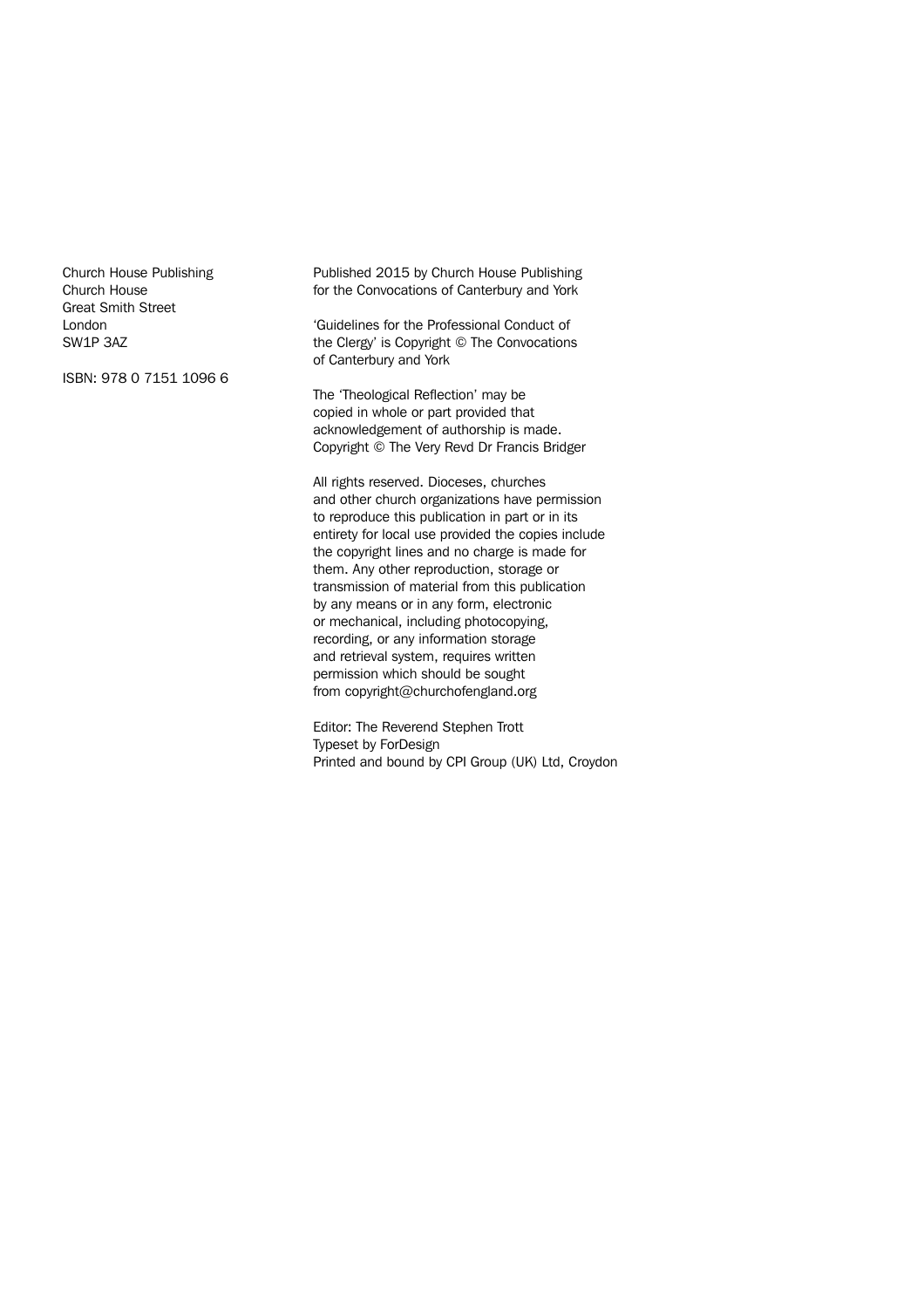Church House Publishing Church House Great Smith Street London SW1P 3AZ

ISBN: 978 0 7151 1096 6

Published 2015 by Church House Publishing for the Convocations of Canterbury and York

'Guidelines for the Professional Conduct of the Clergy' is Copyright © The Convocations of Canterbury and York

The 'Theological Reflection' may be copied in whole or part provided that acknowledgement of authorship is made. Copyright © The Very Revd Dr Francis Bridger

All rights reserved. Dioceses, churches and other church organizations have permission to reproduce this publication in part or in its entirety for local use provided the copies include the copyright lines and no charge is made for them. Any other reproduction, storage or transmission of material from this publication by any means or in any form, electronic or mechanical, including photocopying, recording, or any information storage and retrieval system, requires written permission which should be sought from copyright@churchofengland.org

Editor: The Reverend Stephen Trott Typeset by ForDesign Printed and bound by CPI Group (UK) Ltd, Croydon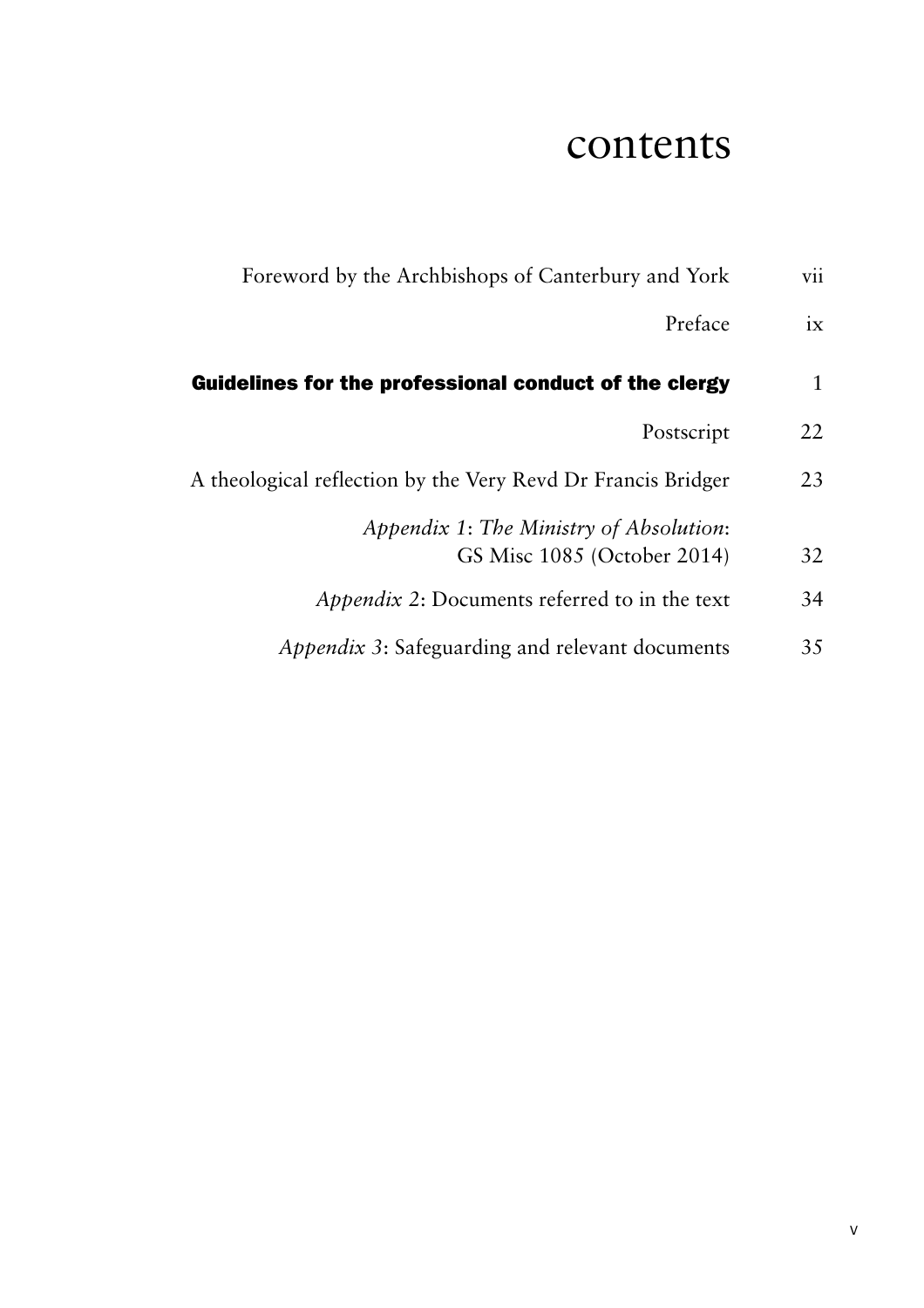# contents

| Foreword by the Archbishops of Canterbury and York                     | vii          |
|------------------------------------------------------------------------|--------------|
| Preface                                                                | ix           |
| Guidelines for the professional conduct of the clergy                  | $\mathbf{1}$ |
| Postscript                                                             | 22           |
| A theological reflection by the Very Revd Dr Francis Bridger           | 23           |
| Appendix 1: The Ministry of Absolution:<br>GS Misc 1085 (October 2014) | 32           |
| Appendix 2: Documents referred to in the text                          | 34           |
| <i>Appendix 3:</i> Safeguarding and relevant documents                 | 35           |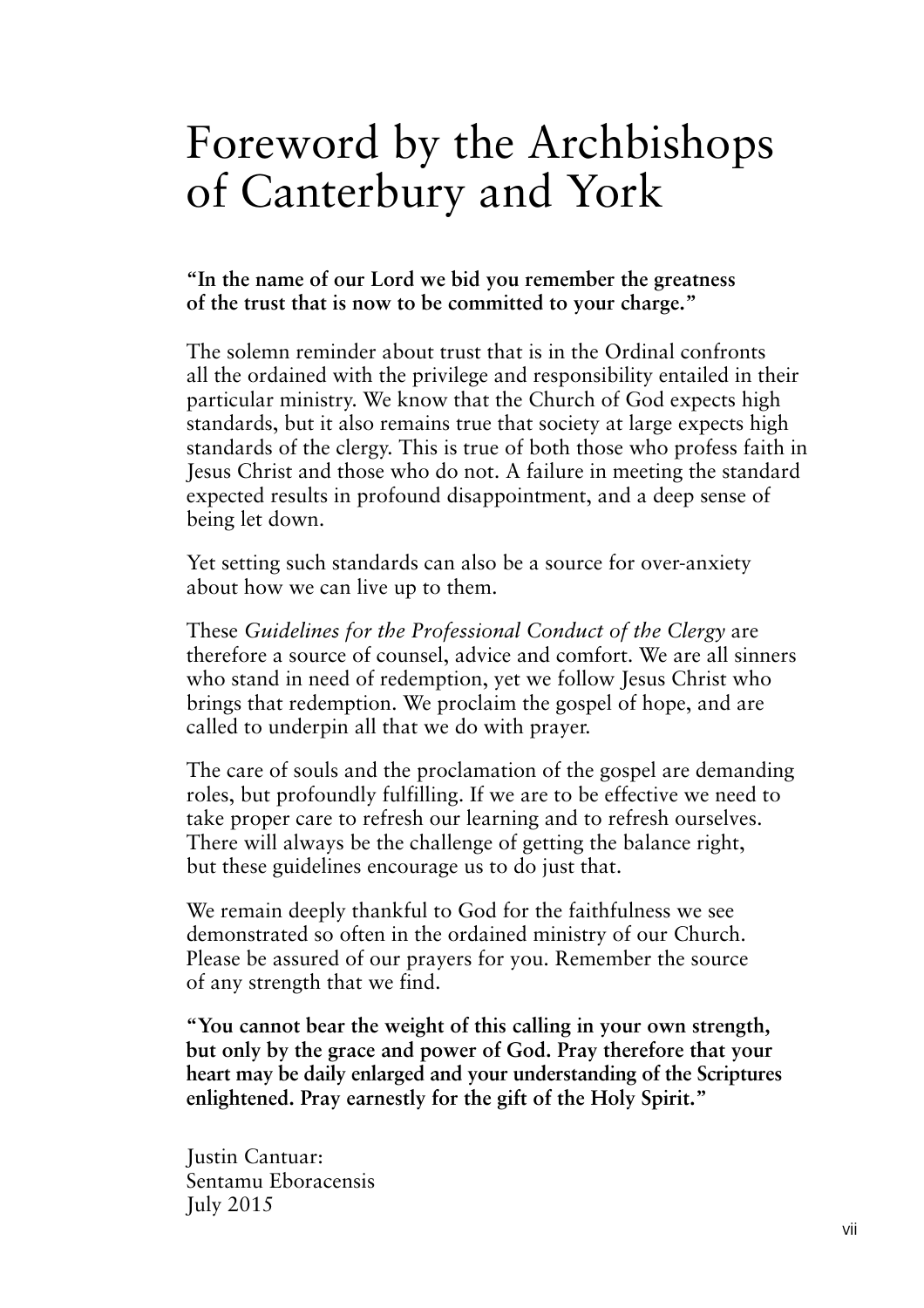# Foreword by the Archbishops of Canterbury and York

**"In the name of our Lord we bid you remember the greatness of the trust that is now to be committed to your charge."**

The solemn reminder about trust that is in the Ordinal confronts all the ordained with the privilege and responsibility entailed in their particular ministry. We know that the Church of God expects high standards, but it also remains true that society at large expects high standards of the clergy. This is true of both those who profess faith in Jesus Christ and those who do not. A failure in meeting the standard expected results in profound disappointment, and a deep sense of being let down.

Yet setting such standards can also be a source for over-anxiety about how we can live up to them.

These *Guidelines for the Professional Conduct of the Clergy* are therefore a source of counsel, advice and comfort. We are all sinners who stand in need of redemption, yet we follow Jesus Christ who brings that redemption. We proclaim the gospel of hope, and are called to underpin all that we do with prayer.

The care of souls and the proclamation of the gospel are demanding roles, but profoundly fulfilling. If we are to be effective we need to take proper care to refresh our learning and to refresh ourselves. There will always be the challenge of getting the balance right, but these guidelines encourage us to do just that.

We remain deeply thankful to God for the faithfulness we see demonstrated so often in the ordained ministry of our Church. Please be assured of our prayers for you. Remember the source of any strength that we find.

**"You cannot bear the weight of this calling in your own strength, but only by the grace and power of God. Pray therefore that your heart may be daily enlarged and your understanding of the Scriptures enlightened. Pray earnestly for the gift of the Holy Spirit."**

Justin Cantuar: Sentamu Eboracensis July 2015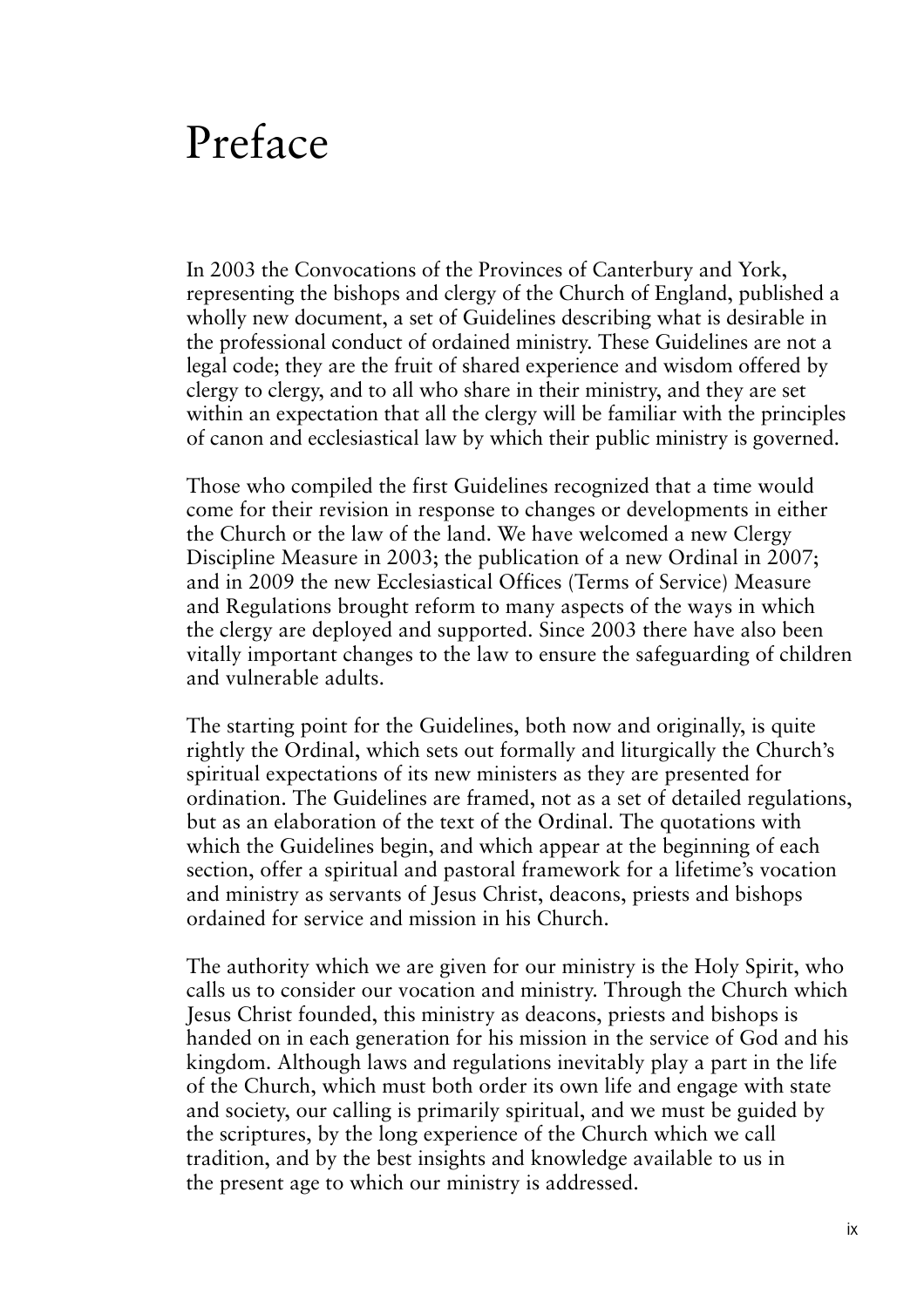# Preface

In 2003 the Convocations of the Provinces of Canterbury and York, representing the bishops and clergy of the Church of England, published a wholly new document, a set of Guidelines describing what is desirable in the professional conduct of ordained ministry. These Guidelines are not a legal code; they are the fruit of shared experience and wisdom offered by clergy to clergy, and to all who share in their ministry, and they are set within an expectation that all the clergy will be familiar with the principles of canon and ecclesiastical law by which their public ministry is governed.

Those who compiled the first Guidelines recognized that a time would come for their revision in response to changes or developments in either the Church or the law of the land. We have welcomed a new Clergy Discipline Measure in 2003; the publication of a new Ordinal in 2007; and in 2009 the new Ecclesiastical Offices (Terms of Service) Measure and Regulations brought reform to many aspects of the ways in which the clergy are deployed and supported. Since 2003 there have also been vitally important changes to the law to ensure the safeguarding of children and vulnerable adults.

The starting point for the Guidelines, both now and originally, is quite rightly the Ordinal, which sets out formally and liturgically the Church's spiritual expectations of its new ministers as they are presented for ordination. The Guidelines are framed, not as a set of detailed regulations, but as an elaboration of the text of the Ordinal. The quotations with which the Guidelines begin, and which appear at the beginning of each section, offer a spiritual and pastoral framework for a lifetime's vocation and ministry as servants of Jesus Christ, deacons, priests and bishops ordained for service and mission in his Church.

The authority which we are given for our ministry is the Holy Spirit, who calls us to consider our vocation and ministry. Through the Church which Jesus Christ founded, this ministry as deacons, priests and bishops is handed on in each generation for his mission in the service of God and his kingdom. Although laws and regulations inevitably play a part in the life of the Church, which must both order its own life and engage with state and society, our calling is primarily spiritual, and we must be guided by the scriptures, by the long experience of the Church which we call tradition, and by the best insights and knowledge available to us in the present age to which our ministry is addressed.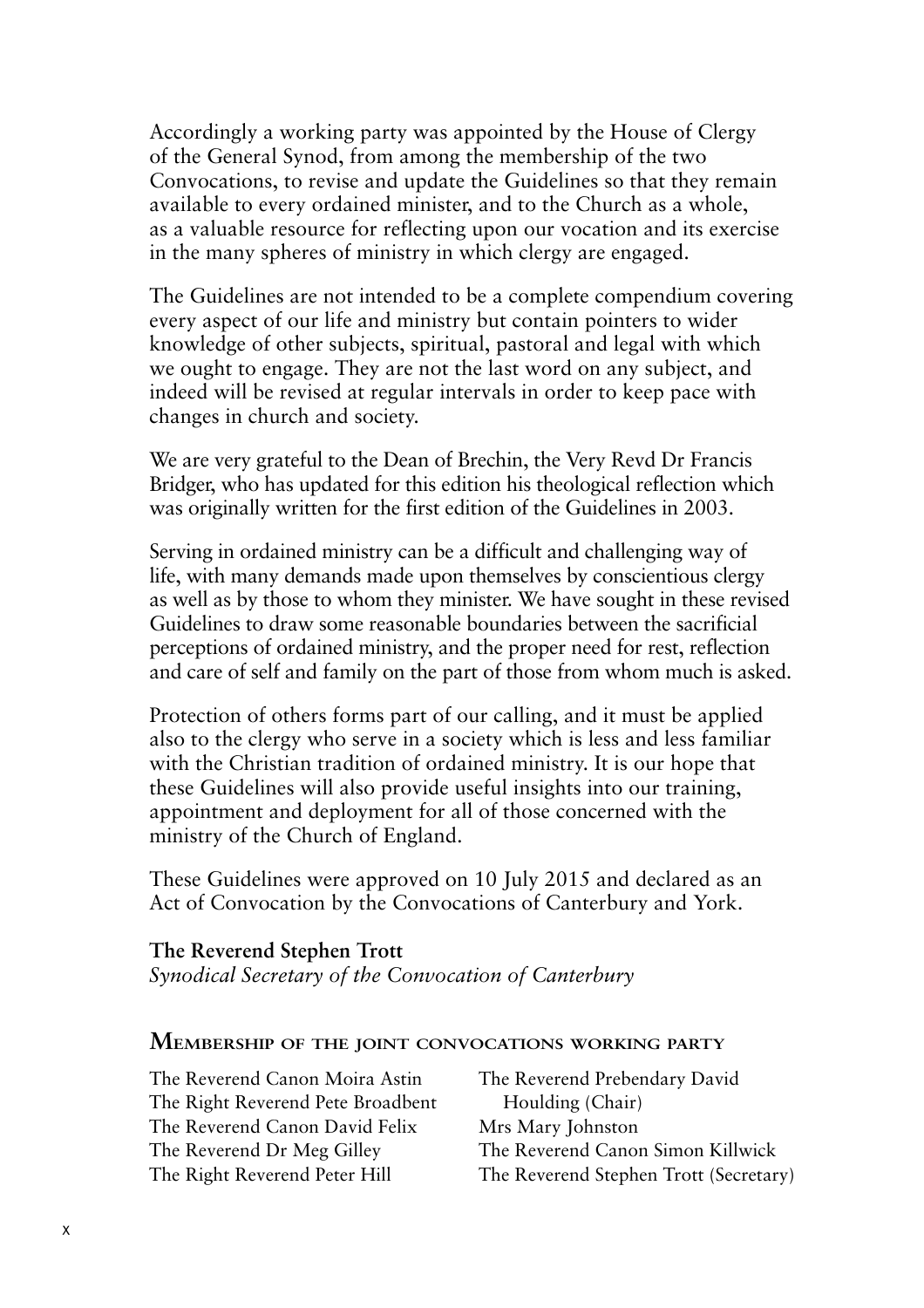Accordingly a working party was appointed by the House of Clergy of the General Synod, from among the membership of the two Convocations, to revise and update the Guidelines so that they remain available to every ordained minister, and to the Church as a whole, as a valuable resource for reflecting upon our vocation and its exercise in the many spheres of ministry in which clergy are engaged.

The Guidelines are not intended to be a complete compendium covering every aspect of our life and ministry but contain pointers to wider knowledge of other subjects, spiritual, pastoral and legal with which we ought to engage. They are not the last word on any subject, and indeed will be revised at regular intervals in order to keep pace with changes in church and society.

We are very grateful to the Dean of Brechin, the Very Revd Dr Francis Bridger, who has updated for this edition his theological reflection which was originally written for the first edition of the Guidelines in 2003.

Serving in ordained ministry can be a difficult and challenging way of life, with many demands made upon themselves by conscientious clergy as well as by those to whom they minister. We have sought in these revised Guidelines to draw some reasonable boundaries between the sacrificial perceptions of ordained ministry, and the proper need for rest, reflection and care of self and family on the part of those from whom much is asked.

Protection of others forms part of our calling, and it must be applied also to the clergy who serve in a society which is less and less familiar with the Christian tradition of ordained ministry. It is our hope that these Guidelines will also provide useful insights into our training, appointment and deployment for all of those concerned with the ministry of the Church of England.

These Guidelines were approved on 10 July 2015 and declared as an Act of Convocation by the Convocations of Canterbury and York.

#### **The Reverend Stephen Trott**

*Synodical Secretary of the Convocation of Canterbury*

#### **MEMBERSHIP OF THE JOINT CONVOCATIONS WORKING PARTY**

The Reverend Canon Moira Astin The Right Reverend Pete Broadbent The Reverend Canon David Felix The Reverend Dr Meg Gilley The Right Reverend Peter Hill

The Reverend Prebendary David Houlding (Chair) Mrs Mary Johnston The Reverend Canon Simon Killwick The Reverend Stephen Trott (Secretary)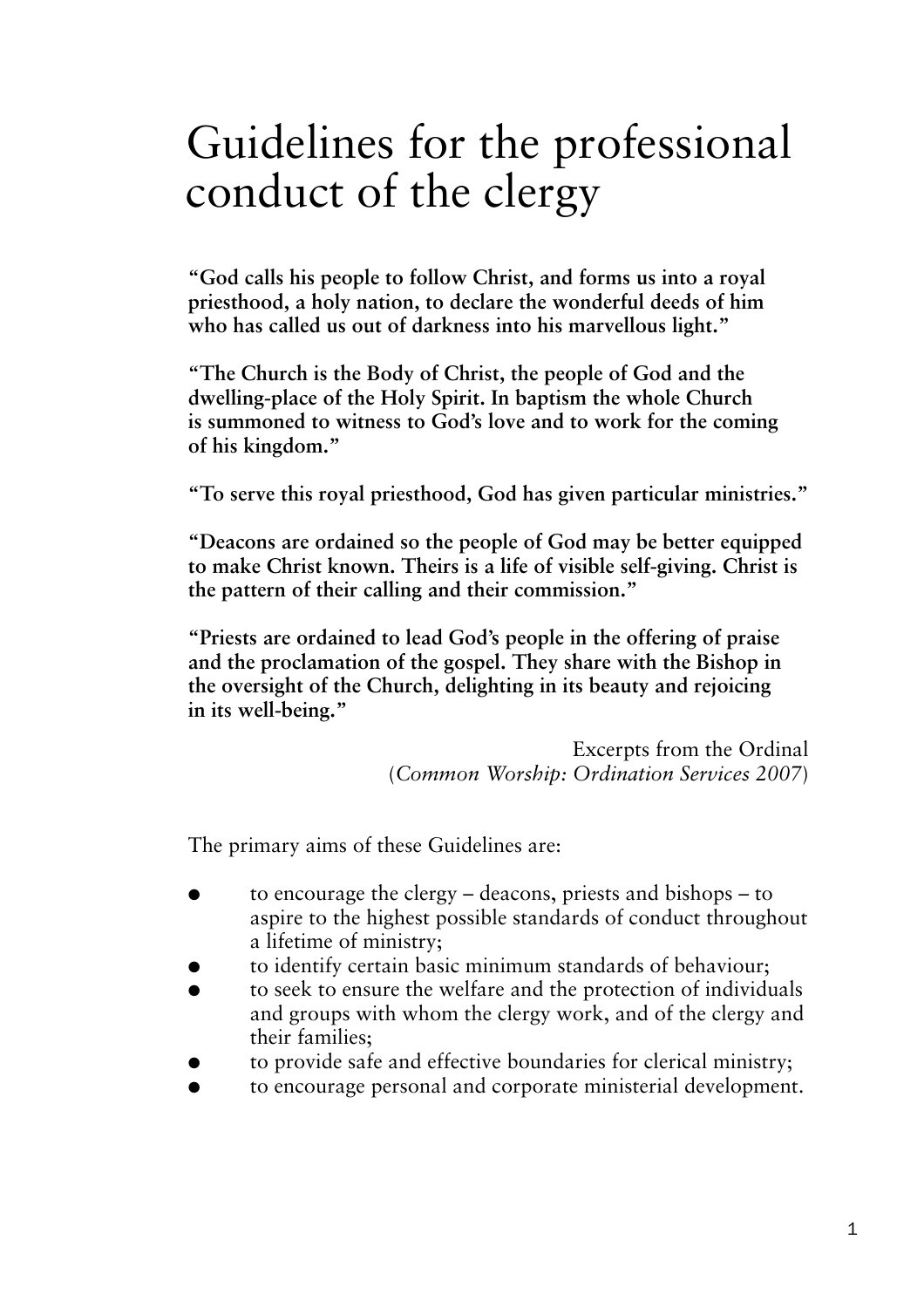# Guidelines for the professional conduct of the clergy

**"God calls his people to follow Christ, and forms us into a royal priesthood, a holy nation, to declare the wonderful deeds of him who has called us out of darkness into his marvellous light."**

**"The Church is the Body of Christ, the people of God and the dwelling-place of the Holy Spirit. In baptism the whole Church is summoned to witness to God's love and to work for the coming of his kingdom."**

**"To serve this royal priesthood, God has given particular ministries."**

**"Deacons are ordained so the people of God may be better equipped to make Christ known. Theirs is a life of visible self-giving. Christ is the pattern of their calling and their commission."**

**"Priests are ordained to lead God's people in the offering of praise and the proclamation of the gospel. They share with the Bishop in the oversight of the Church, delighting in its beauty and rejoicing in its well-being."**

> Excerpts from the Ordinal (*Common Worship: Ordination Services 2007*)

The primary aims of these Guidelines are:

- to encourage the clergy deacons, priests and bishops to aspire to the highest possible standards of conduct throughout a lifetime of ministry;
- to identify certain basic minimum standards of behaviour;
- to seek to ensure the welfare and the protection of individuals and groups with whom the clergy work, and of the clergy and their families;
- to provide safe and effective boundaries for clerical ministry;
- to encourage personal and corporate ministerial development.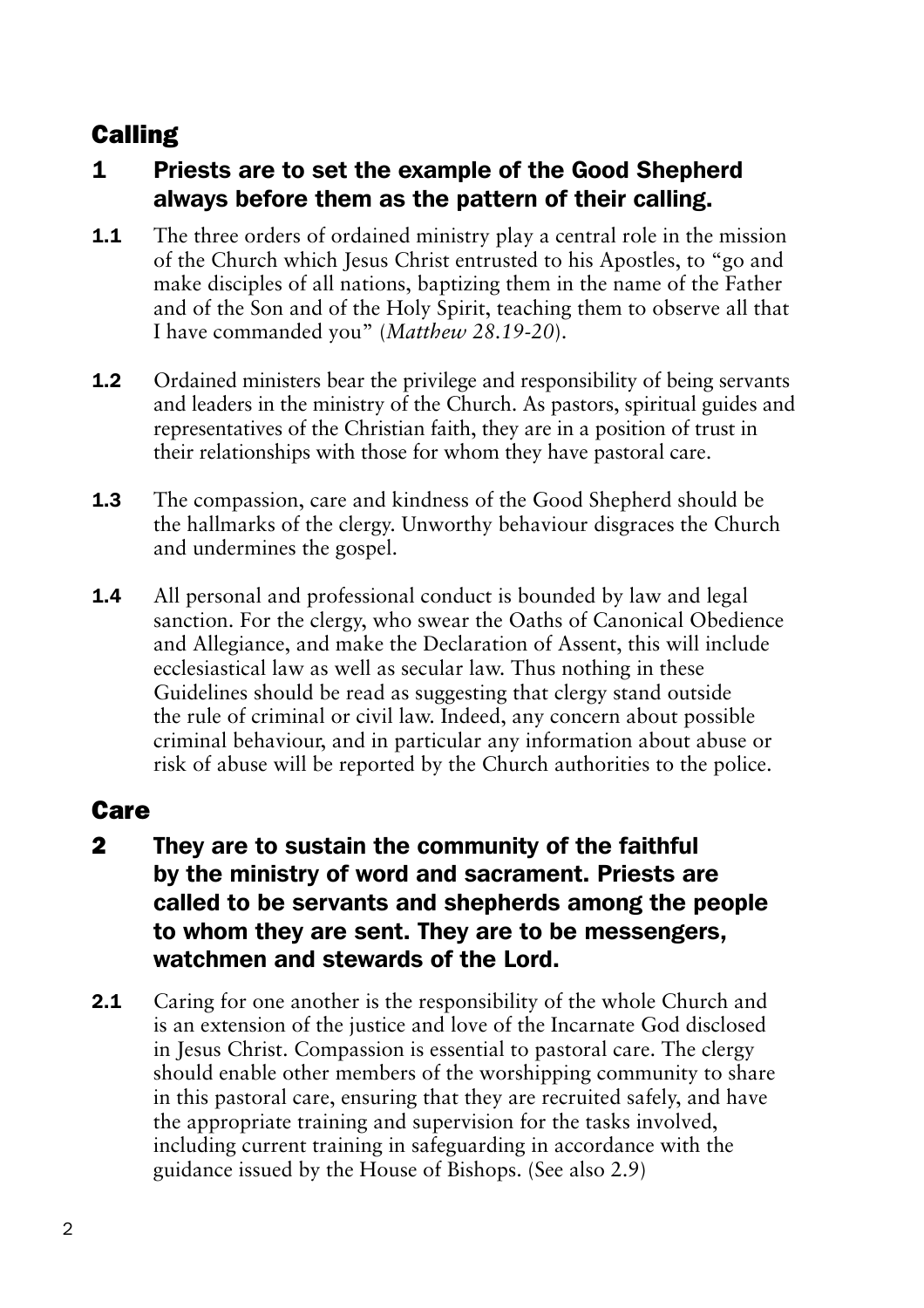# Calling

### 1 Priests are to set the example of the Good Shepherd always before them as the pattern of their calling.

- **1.1** The three orders of ordained ministry play a central role in the mission of the Church which Jesus Christ entrusted to his Apostles, to "go and make disciples of all nations, baptizing them in the name of the Father and of the Son and of the Holy Spirit, teaching them to observe all that I have commanded you" (*Matthew 28.19-20*).
- **1.2** Ordained ministers bear the privilege and responsibility of being servants and leaders in the ministry of the Church. As pastors, spiritual guides and representatives of the Christian faith, they are in a position of trust in their relationships with those for whom they have pastoral care.
- 1.3 The compassion, care and kindness of the Good Shepherd should be the hallmarks of the clergy. Unworthy behaviour disgraces the Church and undermines the gospel.
- **1.4** All personal and professional conduct is bounded by law and legal sanction. For the clergy, who swear the Oaths of Canonical Obedience and Allegiance, and make the Declaration of Assent, this will include ecclesiastical law as well as secular law. Thus nothing in these Guidelines should be read as suggesting that clergy stand outside the rule of criminal or civil law. Indeed, any concern about possible criminal behaviour, and in particular any information about abuse or risk of abuse will be reported by the Church authorities to the police.

### Care

- 2 They are to sustain the community of the faithful by the ministry of word and sacrament. Priests are called to be servants and shepherds among the people to whom they are sent. They are to be messengers, watchmen and stewards of the Lord.
- **2.1** Caring for one another is the responsibility of the whole Church and is an extension of the justice and love of the Incarnate God disclosed in Jesus Christ. Compassion is essential to pastoral care. The clergy should enable other members of the worshipping community to share in this pastoral care, ensuring that they are recruited safely, and have the appropriate training and supervision for the tasks involved, including current training in safeguarding in accordance with the guidance issued by the House of Bishops. (See also 2.9)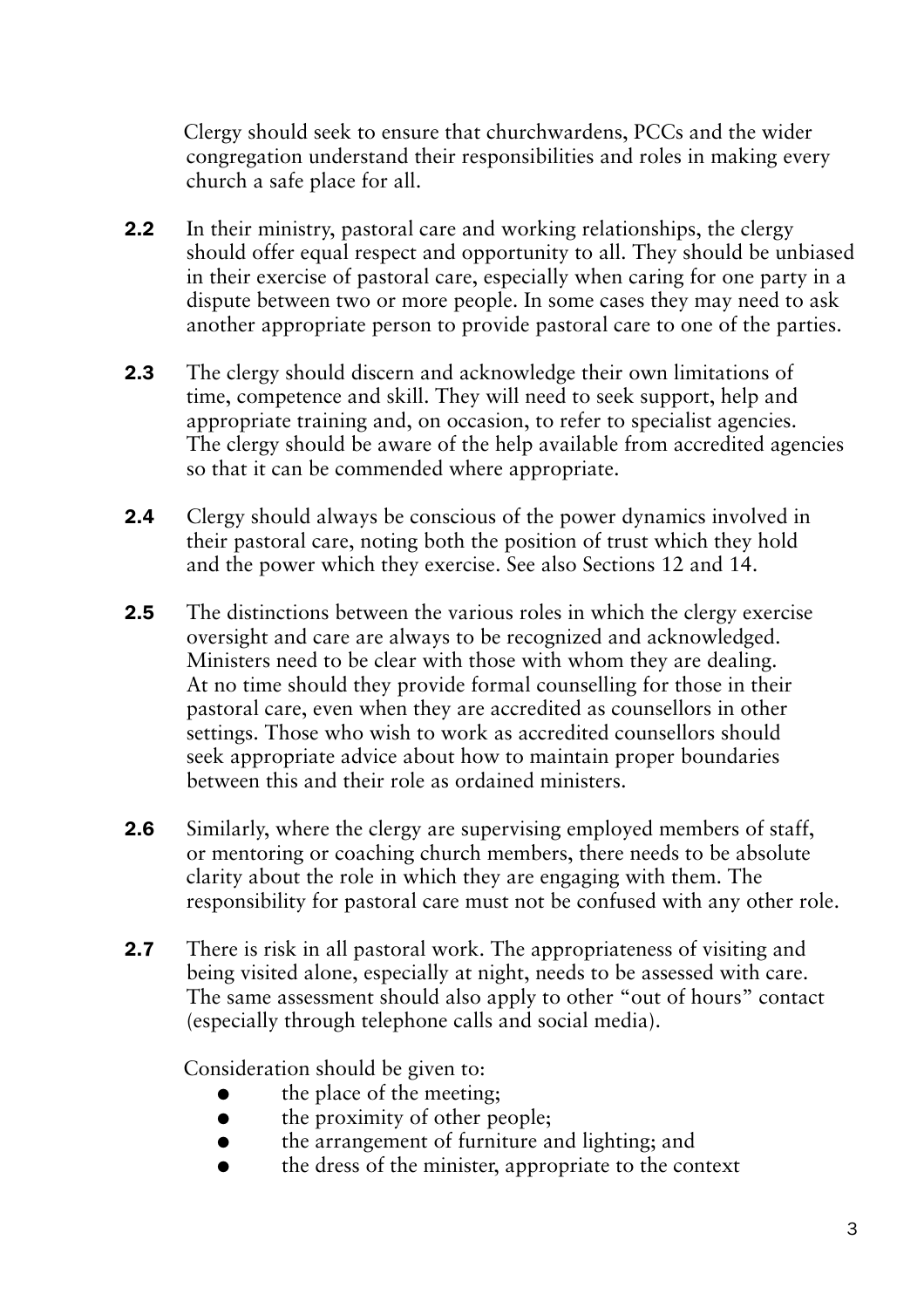Clergy should seek to ensure that churchwardens, PCCs and the wider congregation understand their responsibilities and roles in making every church a safe place for all.

- **2.2** In their ministry, pastoral care and working relationships, the clergy should offer equal respect and opportunity to all. They should be unbiased in their exercise of pastoral care, especially when caring for one party in a dispute between two or more people. In some cases they may need to ask another appropriate person to provide pastoral care to one of the parties.
- **2.3** The clergy should discern and acknowledge their own limitations of time, competence and skill. They will need to seek support, help and appropriate training and, on occasion, to refer to specialist agencies. The clergy should be aware of the help available from accredited agencies so that it can be commended where appropriate.
- **2.4** Clergy should always be conscious of the power dynamics involved in their pastoral care, noting both the position of trust which they hold and the power which they exercise. See also Sections 12 and 14.
- **2.5** The distinctions between the various roles in which the clergy exercise oversight and care are always to be recognized and acknowledged. Ministers need to be clear with those with whom they are dealing. At no time should they provide formal counselling for those in their pastoral care, even when they are accredited as counsellors in other settings. Those who wish to work as accredited counsellors should seek appropriate advice about how to maintain proper boundaries between this and their role as ordained ministers.
- **2.6** Similarly, where the clergy are supervising employed members of staff, or mentoring or coaching church members, there needs to be absolute clarity about the role in which they are engaging with them. The responsibility for pastoral care must not be confused with any other role.
- **2.7** There is risk in all pastoral work. The appropriateness of visiting and being visited alone, especially at night, needs to be assessed with care. The same assessment should also apply to other "out of hours" contact (especially through telephone calls and social media).

Consideration should be given to:

- the place of the meeting:
- the proximity of other people;
- the arrangement of furniture and lighting; and
- the dress of the minister, appropriate to the context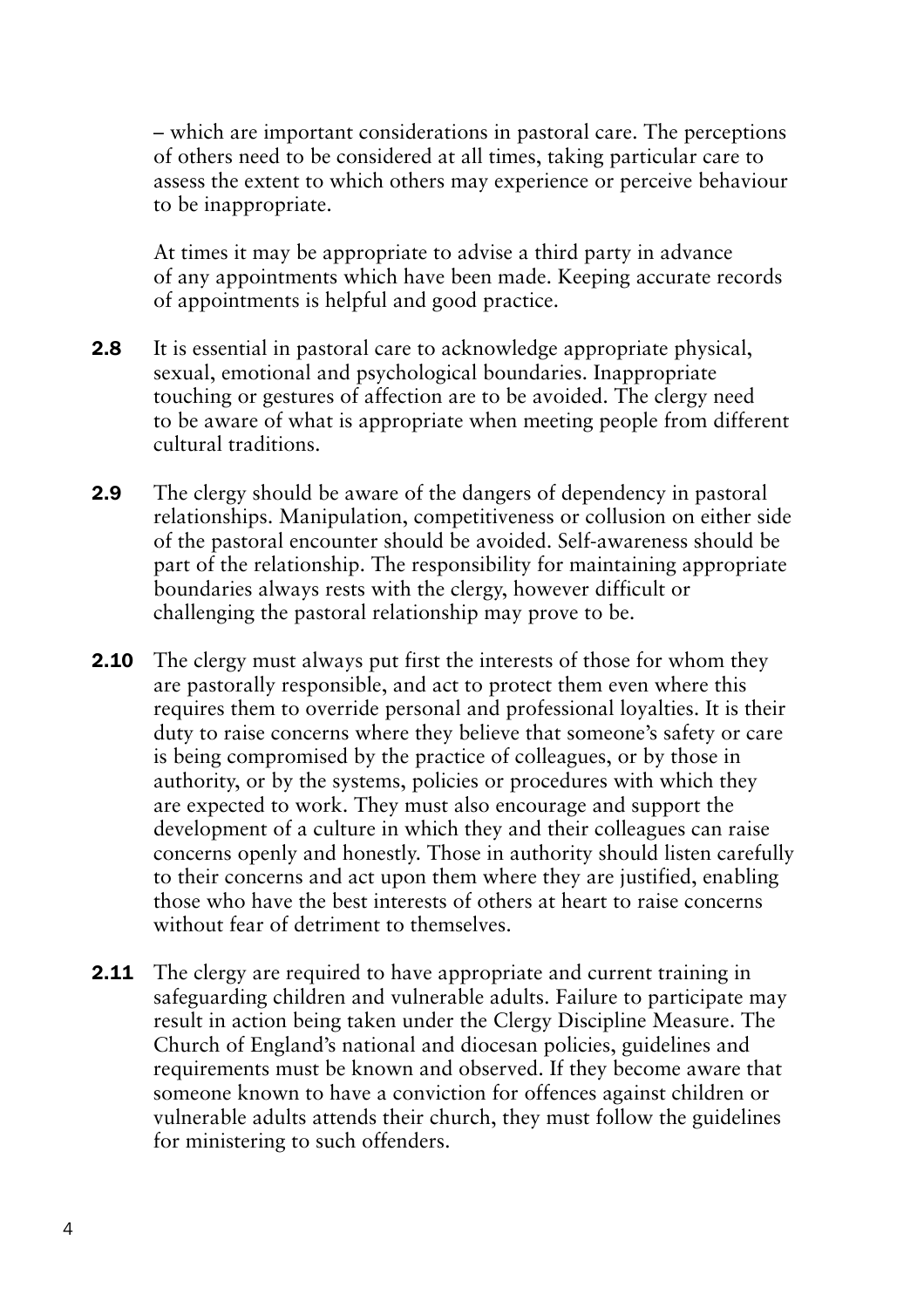– which are important considerations in pastoral care. The perceptions of others need to be considered at all times, taking particular care to assess the extent to which others may experience or perceive behaviour to be inappropriate.

At times it may be appropriate to advise a third party in advance of any appointments which have been made. Keeping accurate records of appointments is helpful and good practice.

- 2.8 It is essential in pastoral care to acknowledge appropriate physical, sexual, emotional and psychological boundaries. Inappropriate touching or gestures of affection are to be avoided. The clergy need to be aware of what is appropriate when meeting people from different cultural traditions.
- **2.9** The clergy should be aware of the dangers of dependency in pastoral relationships. Manipulation, competitiveness or collusion on either side of the pastoral encounter should be avoided. Self-awareness should be part of the relationship. The responsibility for maintaining appropriate boundaries always rests with the clergy, however difficult or challenging the pastoral relationship may prove to be.
- **2.10** The clergy must always put first the interests of those for whom they are pastorally responsible, and act to protect them even where this requires them to override personal and professional loyalties. It is their duty to raise concerns where they believe that someone's safety or care is being compromised by the practice of colleagues, or by those in authority, or by the systems, policies or procedures with which they are expected to work. They must also encourage and support the development of a culture in which they and their colleagues can raise concerns openly and honestly. Those in authority should listen carefully to their concerns and act upon them where they are justified, enabling those who have the best interests of others at heart to raise concerns without fear of detriment to themselves.
- **2.11** The clergy are required to have appropriate and current training in safeguarding children and vulnerable adults. Failure to participate may result in action being taken under the Clergy Discipline Measure. The Church of England's national and diocesan policies, guidelines and requirements must be known and observed. If they become aware that someone known to have a conviction for offences against children or vulnerable adults attends their church, they must follow the guidelines for ministering to such offenders.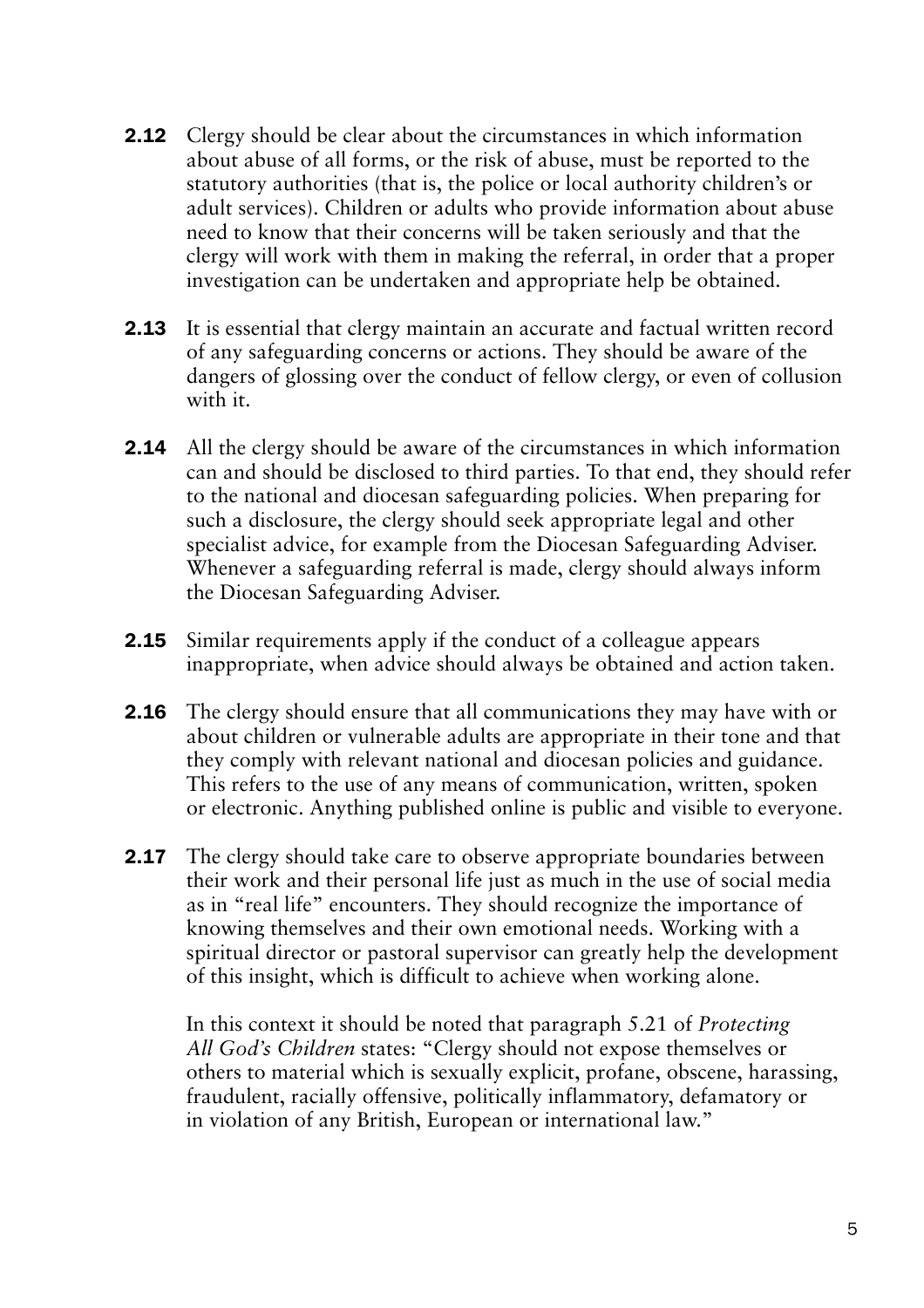- **2.12** Clergy should be clear about the circumstances in which information about abuse of all forms, or the risk of abuse, must be reported to the statutory authorities (that is, the police or local authority children's or adult services). Children or adults who provide information about abuse need to know that their concerns will be taken seriously and that the clergy will work with them in making the referral, in order that a proper investigation can be undertaken and appropriate help be obtained.
- **2.13** It is essential that clergy maintain an accurate and factual written record of any safeguarding concerns or actions. They should be aware of the dangers of glossing over the conduct of fellow clergy, or even of collusion with it.
- **2.14** All the clergy should be aware of the circumstances in which information can and should be disclosed to third parties. To that end, they should refer to the national and diocesan safeguarding policies. When preparing for such a disclosure, the clergy should seek appropriate legal and other specialist advice, for example from the Diocesan Safeguarding Adviser. Whenever a safeguarding referral is made, clergy should always inform the Diocesan Safeguarding Adviser.
- **2.15** Similar requirements apply if the conduct of a colleague appears inappropriate, when advice should always be obtained and action taken.
- **2.16** The clergy should ensure that all communications they may have with or about children or vulnerable adults are appropriate in their tone and that they comply with relevant national and diocesan policies and guidance. This refers to the use of any means of communication, written, spoken or electronic. Anything published online is public and visible to everyone.
- **2.17** The clergy should take care to observe appropriate boundaries between their work and their personal life just as much in the use of social media as in "real life" encounters. They should recognize the importance of knowing themselves and their own emotional needs. Working with a spiritual director or pastoral supervisor can greatly help the development of this insight, which is difficult to achieve when working alone.

In this context it should be noted that paragraph 5.21 of *Protecting All God's Children* states: "Clergy should not expose themselves or others to material which is sexually explicit, profane, obscene, harassing, fraudulent, racially offensive, politically inflammatory, defamatory or in violation of any British, European or international law."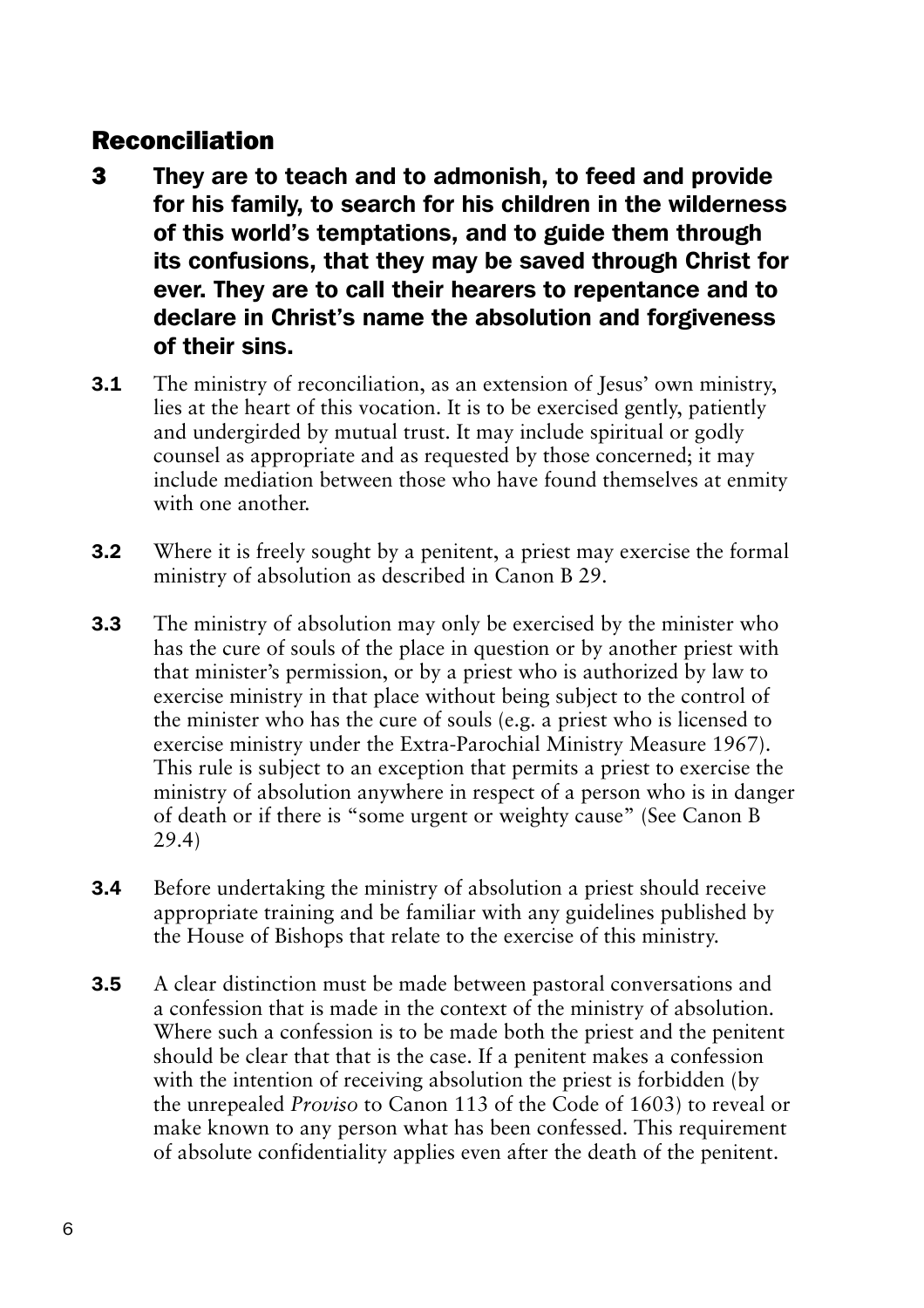## Reconciliation

- 3 They are to teach and to admonish, to feed and provide for his family, to search for his children in the wilderness of this world's temptations, and to guide them through its confusions, that they may be saved through Christ for ever. They are to call their hearers to repentance and to declare in Christ's name the absolution and forgiveness of their sins.
- **3.1** The ministry of reconciliation, as an extension of Jesus' own ministry, lies at the heart of this vocation. It is to be exercised gently, patiently and undergirded by mutual trust. It may include spiritual or godly counsel as appropriate and as requested by those concerned; it may include mediation between those who have found themselves at enmity with one another.
- **3.2** Where it is freely sought by a penitent, a priest may exercise the formal ministry of absolution as described in Canon B 29.
- **3.3** The ministry of absolution may only be exercised by the minister who has the cure of souls of the place in question or by another priest with that minister's permission, or by a priest who is authorized by law to exercise ministry in that place without being subject to the control of the minister who has the cure of souls (e.g. a priest who is licensed to exercise ministry under the Extra-Parochial Ministry Measure 1967). This rule is subject to an exception that permits a priest to exercise the ministry of absolution anywhere in respect of a person who is in danger of death or if there is "some urgent or weighty cause" (See Canon B 29.4)
- **3.4** Before undertaking the ministry of absolution a priest should receive appropriate training and be familiar with any guidelines published by the House of Bishops that relate to the exercise of this ministry.
- 3.5 A clear distinction must be made between pastoral conversations and a confession that is made in the context of the ministry of absolution. Where such a confession is to be made both the priest and the penitent should be clear that that is the case. If a penitent makes a confession with the intention of receiving absolution the priest is forbidden (by the unrepealed *Proviso* to Canon 113 of the Code of 1603) to reveal or make known to any person what has been confessed. This requirement of absolute confidentiality applies even after the death of the penitent.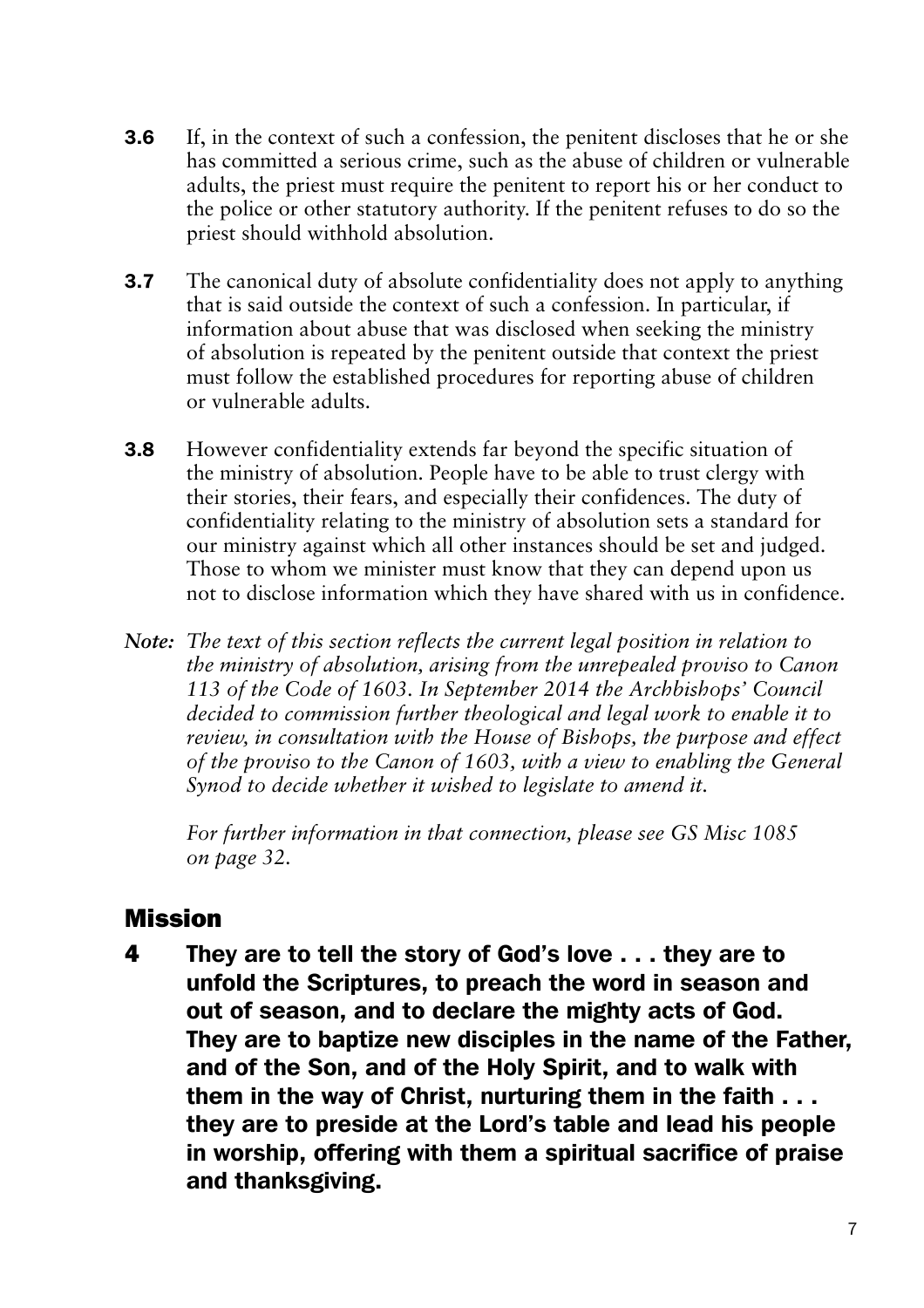- 3.6 If, in the context of such a confession, the penitent discloses that he or she has committed a serious crime, such as the abuse of children or vulnerable adults, the priest must require the penitent to report his or her conduct to the police or other statutory authority. If the penitent refuses to do so the priest should withhold absolution.
- **3.7** The canonical duty of absolute confidentiality does not apply to anything that is said outside the context of such a confession. In particular, if information about abuse that was disclosed when seeking the ministry of absolution is repeated by the penitent outside that context the priest must follow the established procedures for reporting abuse of children or vulnerable adults.
- 3.8 However confidentiality extends far beyond the specific situation of the ministry of absolution. People have to be able to trust clergy with their stories, their fears, and especially their confidences. The duty of confidentiality relating to the ministry of absolution sets a standard for our ministry against which all other instances should be set and judged. Those to whom we minister must know that they can depend upon us not to disclose information which they have shared with us in confidence.
- *Note: The text of this section reflects the current legal position in relation to the ministry of absolution, arising from the unrepealed proviso to Canon 113 of the Code of 1603. In September 2014 the Archbishops' Council decided to commission further theological and legal work to enable it to review, in consultation with the House of Bishops, the purpose and effect of the proviso to the Canon of 1603, with a view to enabling the General Synod to decide whether it wished to legislate to amend it.*

*For further information in that connection, please see GS Misc 1085 on page 32.*

### Mission

4 They are to tell the story of God's love . . . they are to unfold the Scriptures, to preach the word in season and out of season, and to declare the mighty acts of God. They are to baptize new disciples in the name of the Father, and of the Son, and of the Holy Spirit, and to walk with them in the way of Christ, nurturing them in the faith . . . they are to preside at the Lord's table and lead his people in worship, offering with them a spiritual sacrifice of praise and thanksgiving.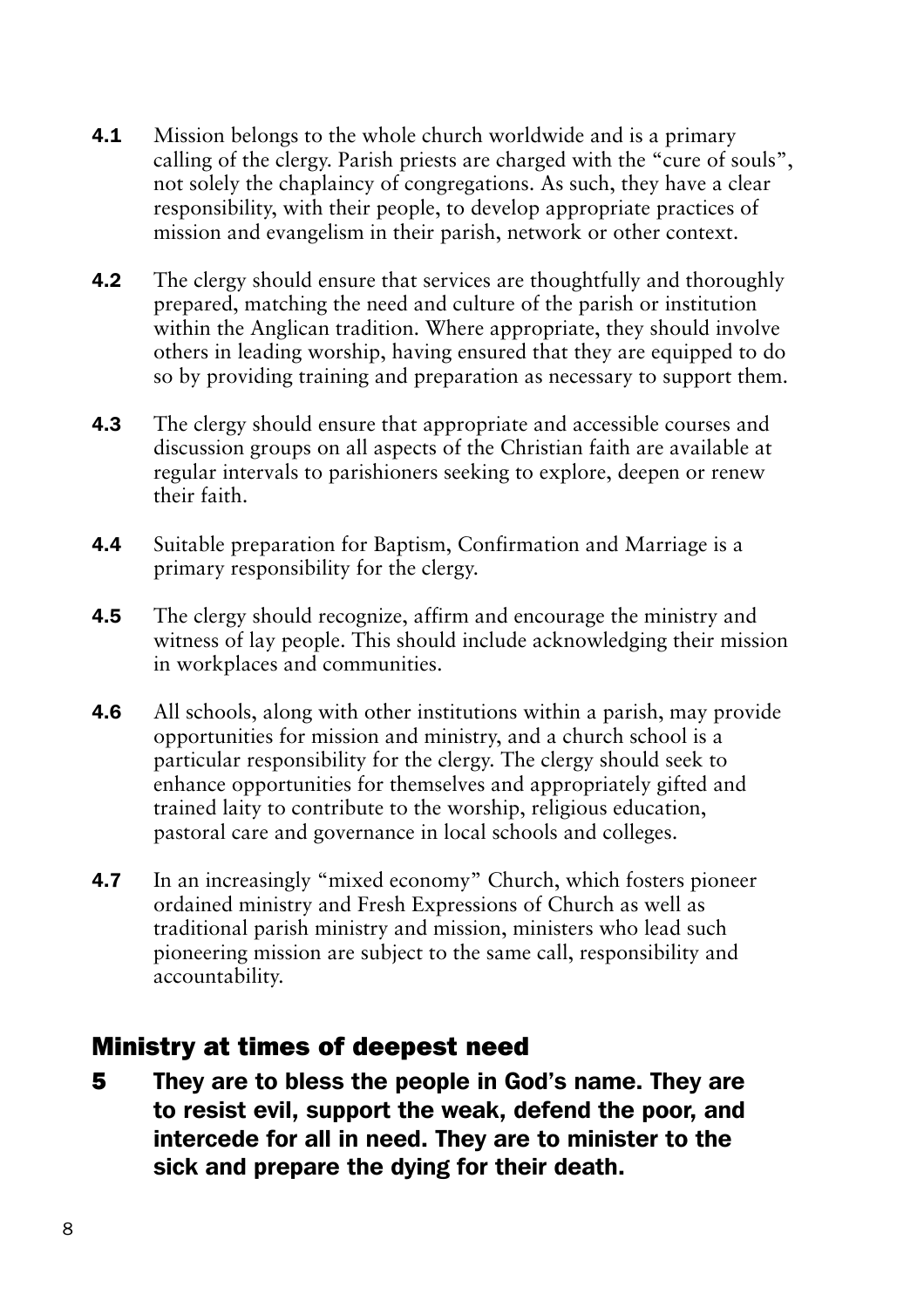- 4.1 Mission belongs to the whole church worldwide and is a primary calling of the clergy. Parish priests are charged with the "cure of souls", not solely the chaplaincy of congregations. As such, they have a clear responsibility, with their people, to develop appropriate practices of mission and evangelism in their parish, network or other context.
- 4.2 The clergy should ensure that services are thoughtfully and thoroughly prepared, matching the need and culture of the parish or institution within the Anglican tradition. Where appropriate, they should involve others in leading worship, having ensured that they are equipped to do so by providing training and preparation as necessary to support them.
- 4.3 The clergy should ensure that appropriate and accessible courses and discussion groups on all aspects of the Christian faith are available at regular intervals to parishioners seeking to explore, deepen or renew their faith.
- 4.4 Suitable preparation for Baptism, Confirmation and Marriage is a primary responsibility for the clergy.
- 4.5 The clergy should recognize, affirm and encourage the ministry and witness of lay people. This should include acknowledging their mission in workplaces and communities.
- 4.6 All schools, along with other institutions within a parish, may provide opportunities for mission and ministry, and a church school is a particular responsibility for the clergy. The clergy should seek to enhance opportunities for themselves and appropriately gifted and trained laity to contribute to the worship, religious education, pastoral care and governance in local schools and colleges.
- 4.7 In an increasingly "mixed economy" Church, which fosters pioneer ordained ministry and Fresh Expressions of Church as well as traditional parish ministry and mission, ministers who lead such pioneering mission are subject to the same call, responsibility and accountability.

### Ministry at times of deepest need

5 They are to bless the people in God's name. They are to resist evil, support the weak, defend the poor, and intercede for all in need. They are to minister to the sick and prepare the dying for their death.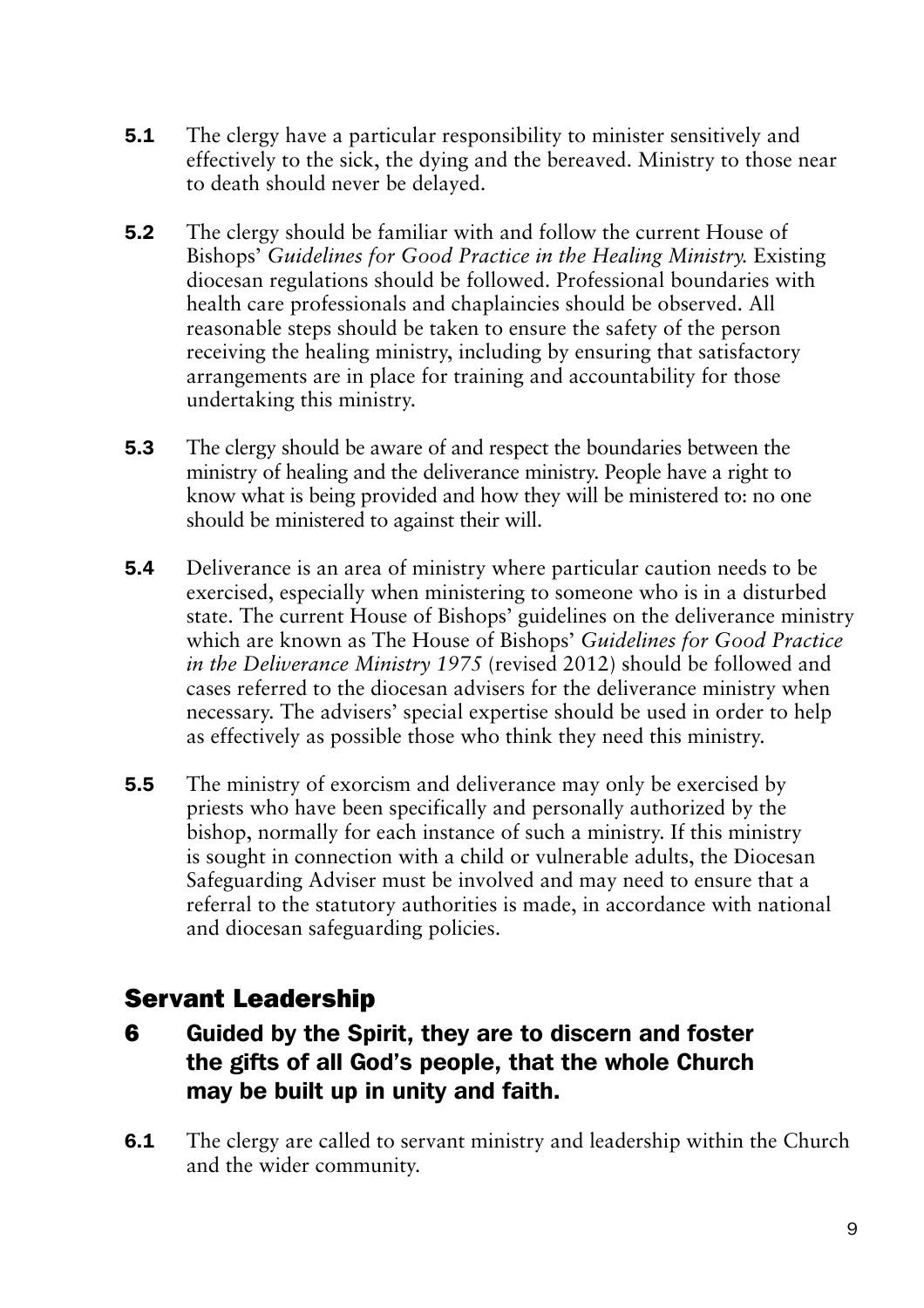- 5.1 The clergy have a particular responsibility to minister sensitively and effectively to the sick, the dying and the bereaved. Ministry to those near to death should never be delayed.
- 5.2 The clergy should be familiar with and follow the current House of Bishops' *Guidelines for Good Practice in the Healing Ministry.* Existing diocesan regulations should be followed. Professional boundaries with health care professionals and chaplaincies should be observed. All reasonable steps should be taken to ensure the safety of the person receiving the healing ministry, including by ensuring that satisfactory arrangements are in place for training and accountability for those undertaking this ministry.
- 5.3 The clergy should be aware of and respect the boundaries between the ministry of healing and the deliverance ministry. People have a right to know what is being provided and how they will be ministered to: no one should be ministered to against their will.
- 5.4 Deliverance is an area of ministry where particular caution needs to be exercised, especially when ministering to someone who is in a disturbed state. The current House of Bishops' guidelines on the deliverance ministry which are known as The House of Bishops' *Guidelines for Good Practice in the Deliverance Ministry 1975* (revised 2012) should be followed and cases referred to the diocesan advisers for the deliverance ministry when necessary. The advisers' special expertise should be used in order to help as effectively as possible those who think they need this ministry.
- **5.5** The ministry of exorcism and deliverance may only be exercised by priests who have been specifically and personally authorized by the bishop, normally for each instance of such a ministry. If this ministry is sought in connection with a child or vulnerable adults, the Diocesan Safeguarding Adviser must be involved and may need to ensure that a referral to the statutory authorities is made, in accordance with national and diocesan safeguarding policies.

### Servant Leadership

- 6 Guided by the Spirit, they are to discern and foster the gifts of all God's people, that the whole Church may be built up in unity and faith.
- **6.1** The clergy are called to servant ministry and leadership within the Church and the wider community.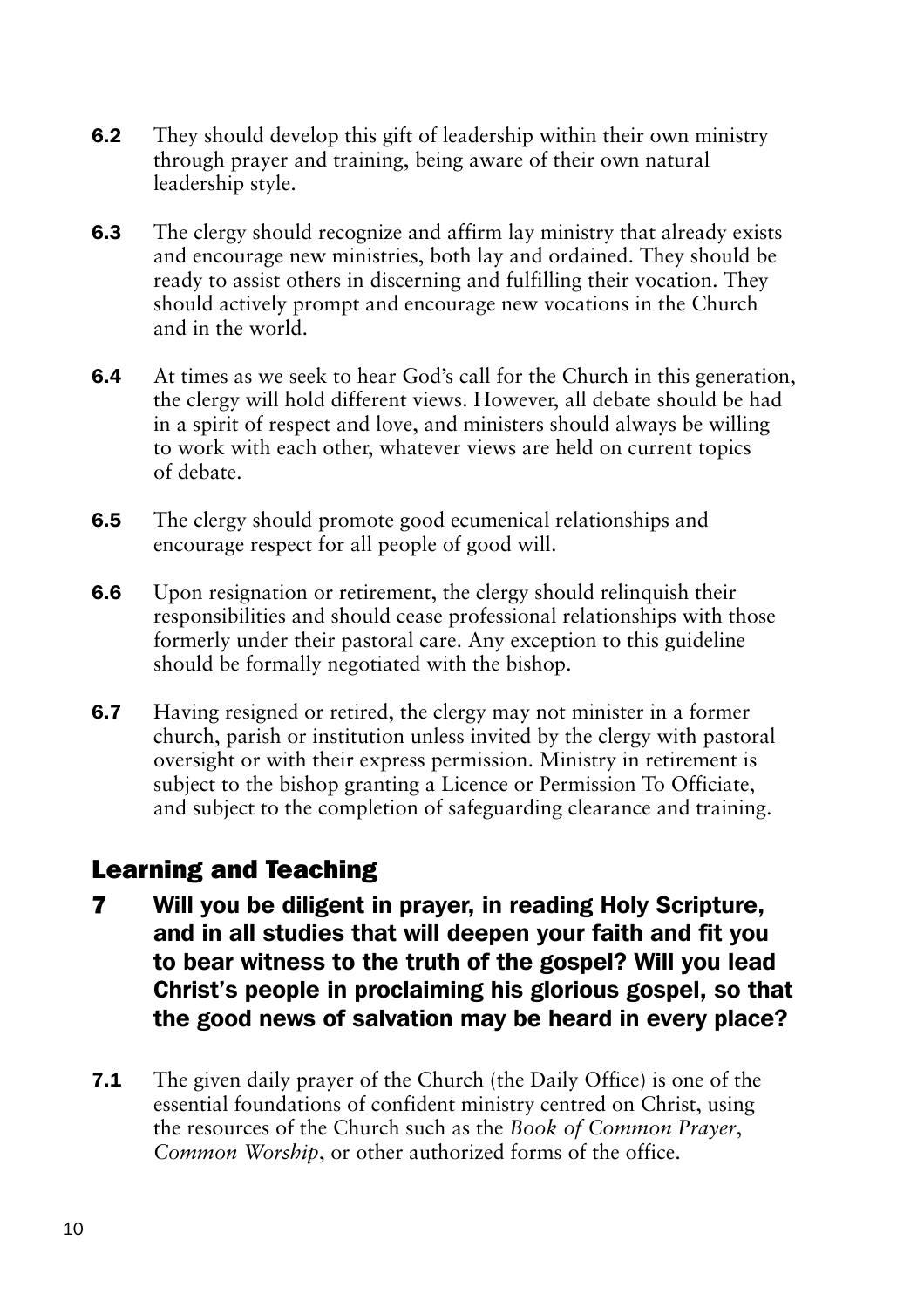- **6.2** They should develop this gift of leadership within their own ministry through prayer and training, being aware of their own natural leadership style.
- **6.3** The clergy should recognize and affirm lay ministry that already exists and encourage new ministries, both lay and ordained. They should be ready to assist others in discerning and fulfilling their vocation. They should actively prompt and encourage new vocations in the Church and in the world.
- 6.4 At times as we seek to hear God's call for the Church in this generation, the clergy will hold different views. However, all debate should be had in a spirit of respect and love, and ministers should always be willing to work with each other, whatever views are held on current topics of debate.
- 6.5 The clergy should promote good ecumenical relationships and encourage respect for all people of good will.
- **6.6** Upon resignation or retirement, the clergy should relinquish their responsibilities and should cease professional relationships with those formerly under their pastoral care. Any exception to this guideline should be formally negotiated with the bishop.
- 6.7 Having resigned or retired, the clergy may not minister in a former church, parish or institution unless invited by the clergy with pastoral oversight or with their express permission. Ministry in retirement is subject to the bishop granting a Licence or Permission To Officiate, and subject to the completion of safeguarding clearance and training.

## Learning and Teaching

- 7 Will you be diligent in prayer, in reading Holy Scripture, and in all studies that will deepen your faith and fit you to bear witness to the truth of the gospel? Will you lead Christ's people in proclaiming his glorious gospel, so that the good news of salvation may be heard in every place?
- 7.1 The given daily prayer of the Church (the Daily Office) is one of the essential foundations of confident ministry centred on Christ, using the resources of the Church such as the *Book of Common Prayer*, *Common Worship*, or other authorized forms of the office.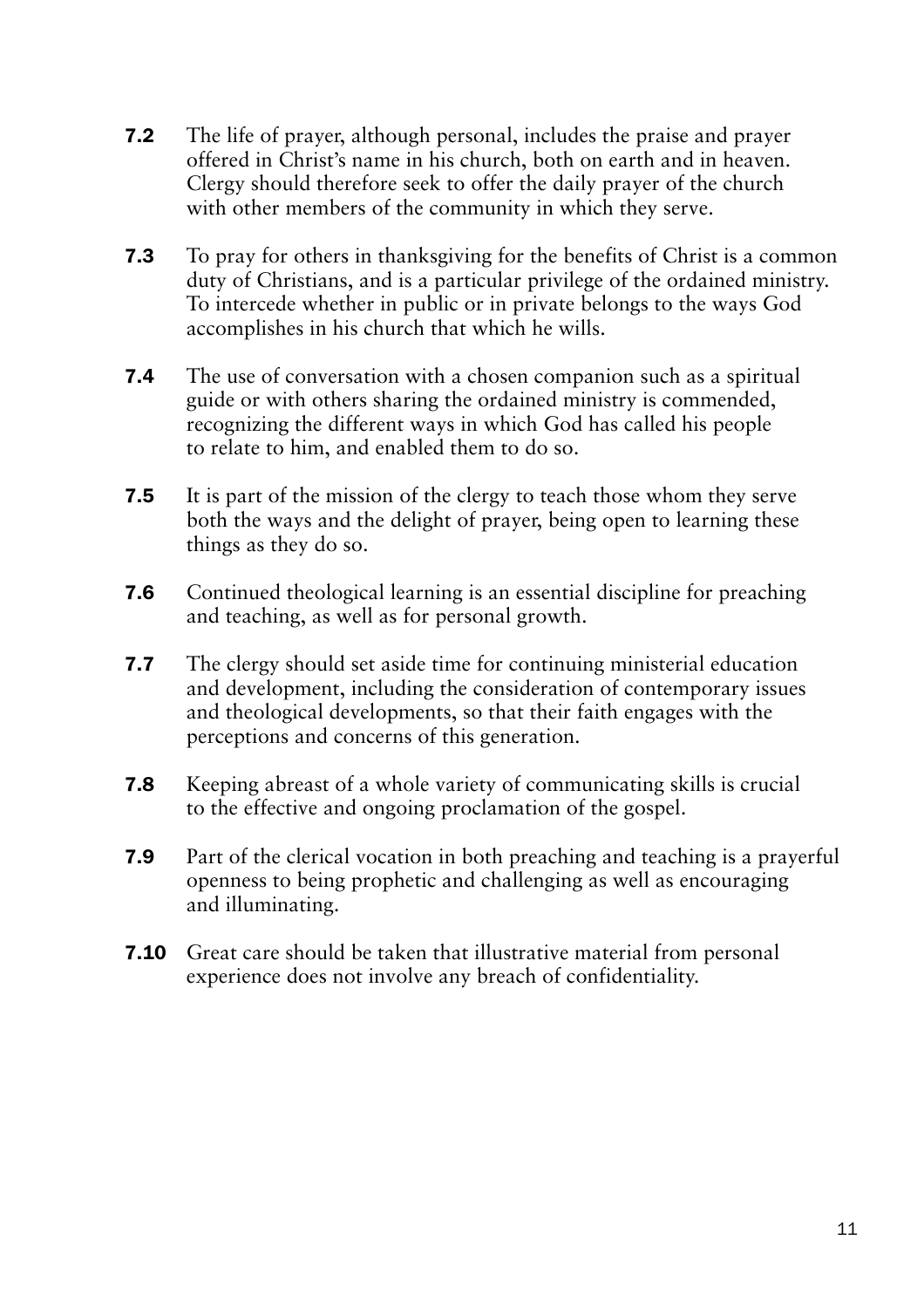- 7.2 The life of prayer, although personal, includes the praise and prayer offered in Christ's name in his church, both on earth and in heaven. Clergy should therefore seek to offer the daily prayer of the church with other members of the community in which they serve.
- 7.3 To pray for others in thanksgiving for the benefits of Christ is a common duty of Christians, and is a particular privilege of the ordained ministry. To intercede whether in public or in private belongs to the ways God accomplishes in his church that which he wills.
- **7.4** The use of conversation with a chosen companion such as a spiritual guide or with others sharing the ordained ministry is commended, recognizing the different ways in which God has called his people to relate to him, and enabled them to do so.
- **7.5** It is part of the mission of the clergy to teach those whom they serve both the ways and the delight of prayer, being open to learning these things as they do so.
- 7.6 Continued theological learning is an essential discipline for preaching and teaching, as well as for personal growth.
- **7.7** The clergy should set aside time for continuing ministerial education and development, including the consideration of contemporary issues and theological developments, so that their faith engages with the perceptions and concerns of this generation.
- 7.8 Keeping abreast of a whole variety of communicating skills is crucial to the effective and ongoing proclamation of the gospel.
- 7.9 Part of the clerical vocation in both preaching and teaching is a prayerful openness to being prophetic and challenging as well as encouraging and illuminating.
- **7.10** Great care should be taken that illustrative material from personal experience does not involve any breach of confidentiality.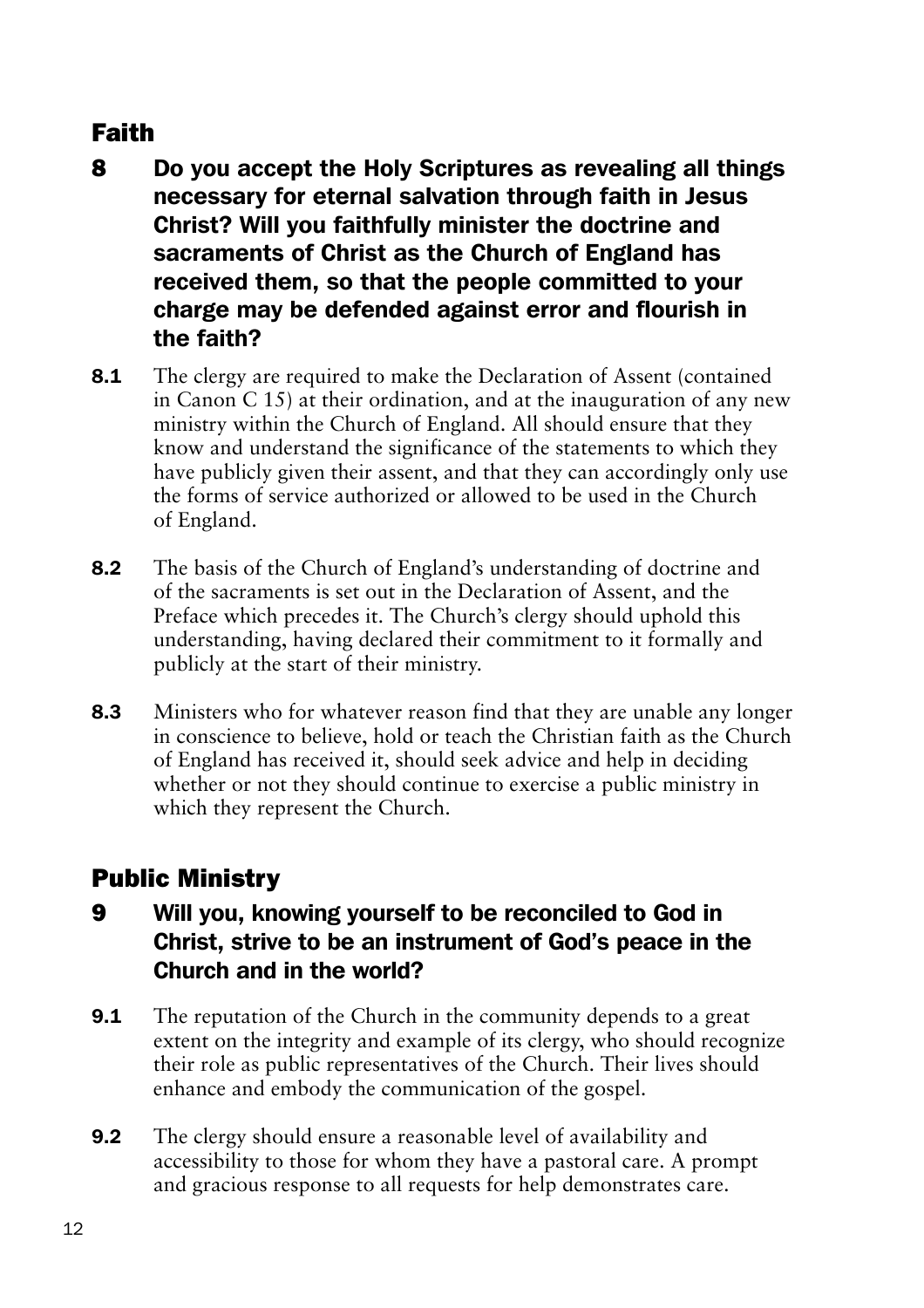## Faith

- 8 Do you accept the Holy Scriptures as revealing all things necessary for eternal salvation through faith in Jesus Christ? Will you faithfully minister the doctrine and sacraments of Christ as the Church of England has received them, so that the people committed to your charge may be defended against error and flourish in the faith?
- 8.1 The clergy are required to make the Declaration of Assent (contained in Canon C 15) at their ordination, and at the inauguration of any new ministry within the Church of England. All should ensure that they know and understand the significance of the statements to which they have publicly given their assent, and that they can accordingly only use the forms of service authorized or allowed to be used in the Church of England.
- 8.2 The basis of the Church of England's understanding of doctrine and of the sacraments is set out in the Declaration of Assent, and the Preface which precedes it. The Church's clergy should uphold this understanding, having declared their commitment to it formally and publicly at the start of their ministry.
- 8.3 Ministers who for whatever reason find that they are unable any longer in conscience to believe, hold or teach the Christian faith as the Church of England has received it, should seek advice and help in deciding whether or not they should continue to exercise a public ministry in which they represent the Church.

# Public Ministry

### 9 Will you, knowing yourself to be reconciled to God in Christ, strive to be an instrument of God's peace in the Church and in the world?

- **9.1** The reputation of the Church in the community depends to a great extent on the integrity and example of its clergy, who should recognize their role as public representatives of the Church. Their lives should enhance and embody the communication of the gospel.
- **9.2** The clergy should ensure a reasonable level of availability and accessibility to those for whom they have a pastoral care. A prompt and gracious response to all requests for help demonstrates care.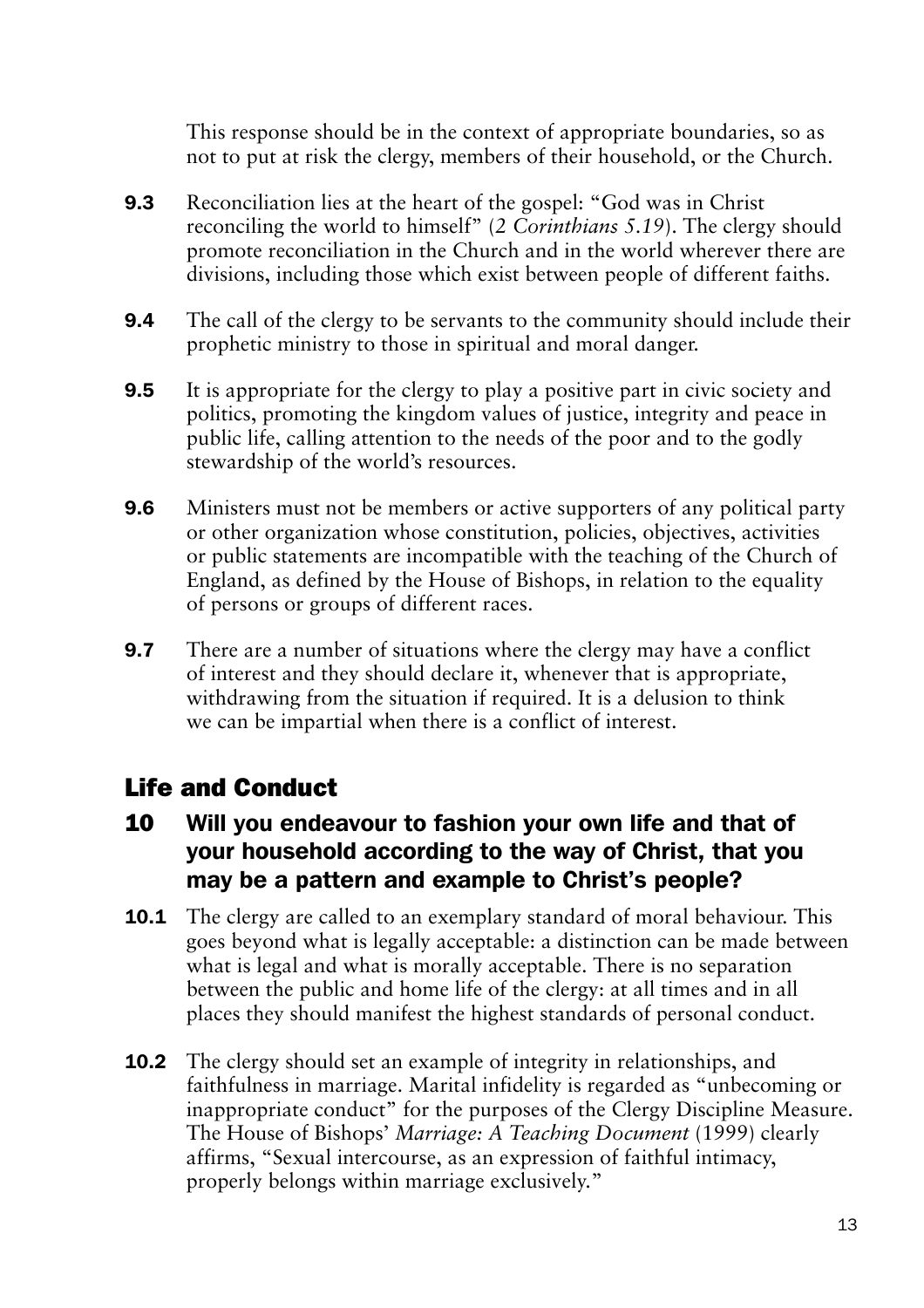This response should be in the context of appropriate boundaries, so as not to put at risk the clergy, members of their household, or the Church.

- 9.3 Reconciliation lies at the heart of the gospel: "God was in Christ reconciling the world to himself" (*2 Corinthians 5.19*). The clergy should promote reconciliation in the Church and in the world wherever there are divisions, including those which exist between people of different faiths.
- **9.4** The call of the clergy to be servants to the community should include their prophetic ministry to those in spiritual and moral danger.
- 9.5 It is appropriate for the clergy to play a positive part in civic society and politics, promoting the kingdom values of justice, integrity and peace in public life, calling attention to the needs of the poor and to the godly stewardship of the world's resources.
- 9.6 Ministers must not be members or active supporters of any political party or other organization whose constitution, policies, objectives, activities or public statements are incompatible with the teaching of the Church of England, as defined by the House of Bishops, in relation to the equality of persons or groups of different races.
- **9.7** There are a number of situations where the clergy may have a conflict of interest and they should declare it, whenever that is appropriate, withdrawing from the situation if required. It is a delusion to think we can be impartial when there is a conflict of interest.

## Life and Conduct

- 10 Will you endeavour to fashion your own life and that of your household according to the way of Christ, that you may be a pattern and example to Christ's people?
- **10.1** The clergy are called to an exemplary standard of moral behaviour. This goes beyond what is legally acceptable: a distinction can be made between what is legal and what is morally acceptable. There is no separation between the public and home life of the clergy: at all times and in all places they should manifest the highest standards of personal conduct.
- 10.2 The clergy should set an example of integrity in relationships, and faithfulness in marriage. Marital infidelity is regarded as "unbecoming or inappropriate conduct" for the purposes of the Clergy Discipline Measure. The House of Bishops' *Marriage: A Teaching Document* (1999) clearly affirms, "Sexual intercourse, as an expression of faithful intimacy, properly belongs within marriage exclusively."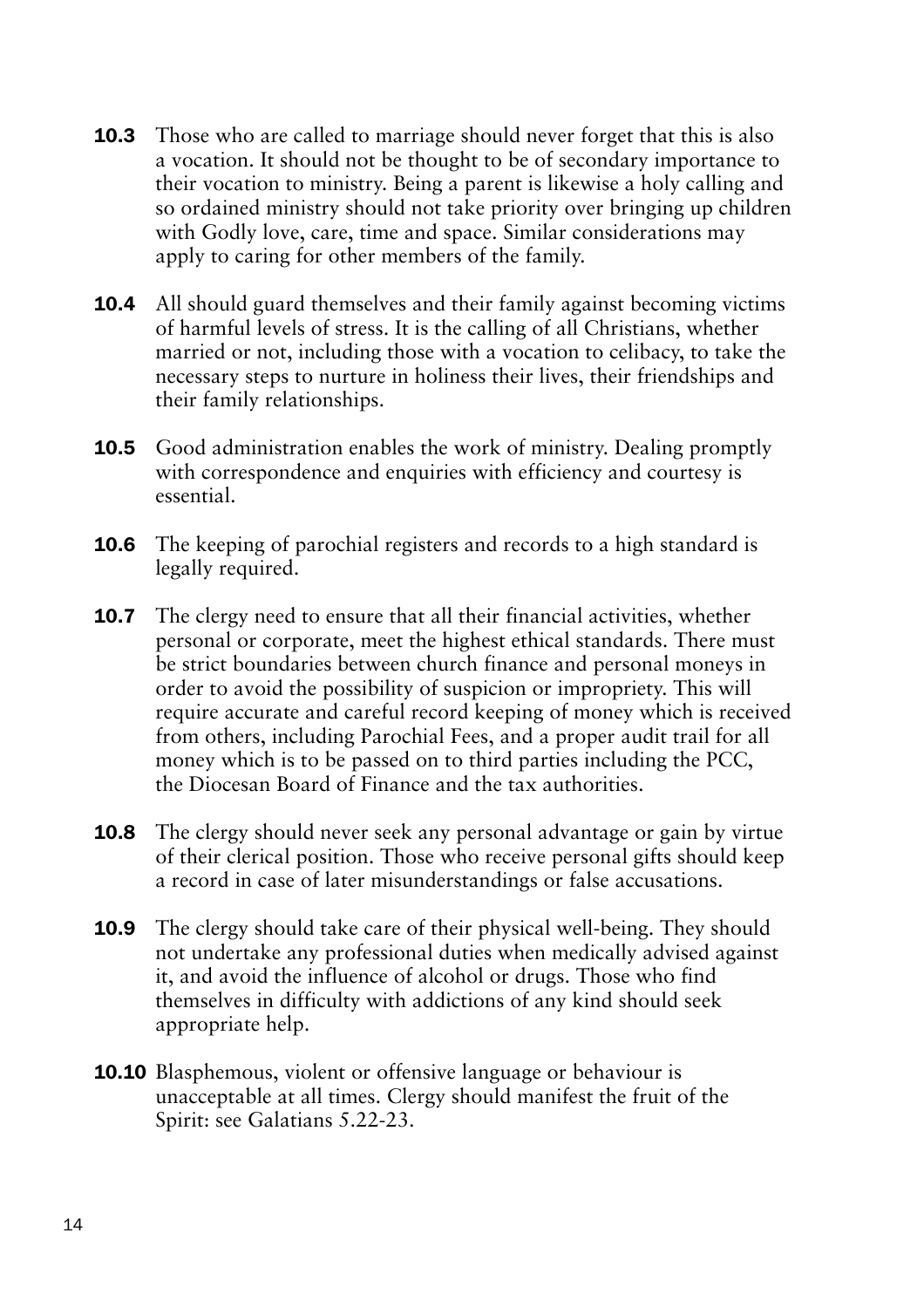- **10.3** Those who are called to marriage should never forget that this is also a vocation. It should not be thought to be of secondary importance to their vocation to ministry. Being a parent is likewise a holy calling and so ordained ministry should not take priority over bringing up children with Godly love, care, time and space. Similar considerations may apply to caring for other members of the family.
- 10.4 All should guard themselves and their family against becoming victims of harmful levels of stress. It is the calling of all Christians, whether married or not, including those with a vocation to celibacy, to take the necessary steps to nurture in holiness their lives, their friendships and their family relationships.
- **10.5** Good administration enables the work of ministry. Dealing promptly with correspondence and enquiries with efficiency and courtesy is essential.
- **10.6** The keeping of parochial registers and records to a high standard is legally required.
- **10.7** The clergy need to ensure that all their financial activities, whether personal or corporate, meet the highest ethical standards. There must be strict boundaries between church finance and personal moneys in order to avoid the possibility of suspicion or impropriety. This will require accurate and careful record keeping of money which is received from others, including Parochial Fees, and a proper audit trail for all money which is to be passed on to third parties including the PCC, the Diocesan Board of Finance and the tax authorities.
- **10.8** The clergy should never seek any personal advantage or gain by virtue of their clerical position. Those who receive personal gifts should keep a record in case of later misunderstandings or false accusations.
- **10.9** The clergy should take care of their physical well-being. They should not undertake any professional duties when medically advised against it, and avoid the influence of alcohol or drugs. Those who find themselves in difficulty with addictions of any kind should seek appropriate help.
- **10.10** Blasphemous, violent or offensive language or behaviour is unacceptable at all times. Clergy should manifest the fruit of the Spirit: see Galatians 5.22-23.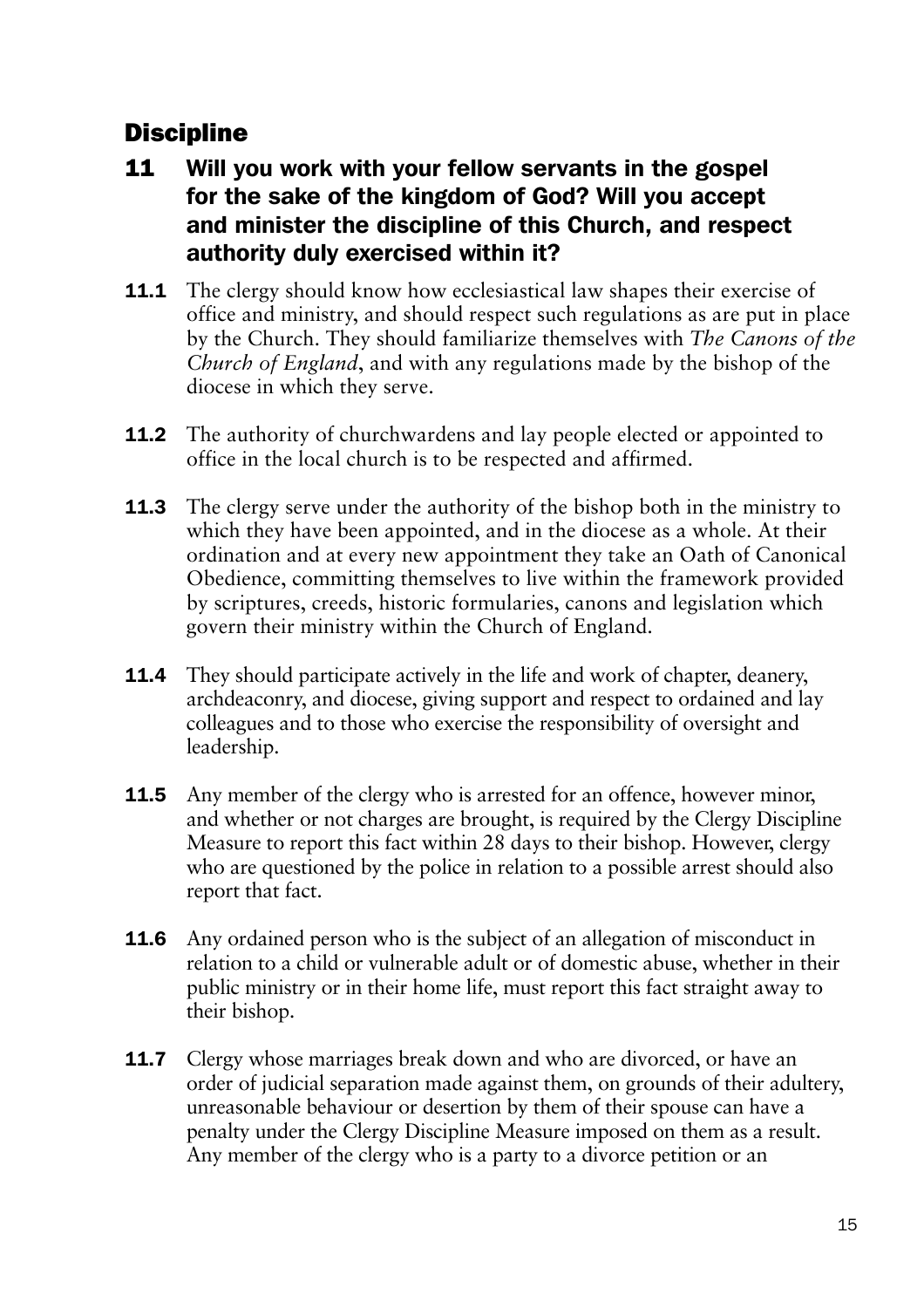## **Discipline**

- 11 Will you work with your fellow servants in the gospel for the sake of the kingdom of God? Will you accept and minister the discipline of this Church, and respect authority duly exercised within it?
- **11.1** The clergy should know how ecclesiastical law shapes their exercise of office and ministry, and should respect such regulations as are put in place by the Church. They should familiarize themselves with *The Canons of the Church of England*, and with any regulations made by the bishop of the diocese in which they serve.
- **11.2** The authority of churchwardens and lay people elected or appointed to office in the local church is to be respected and affirmed.
- **11.3** The clergy serve under the authority of the bishop both in the ministry to which they have been appointed, and in the diocese as a whole. At their ordination and at every new appointment they take an Oath of Canonical Obedience, committing themselves to live within the framework provided by scriptures, creeds, historic formularies, canons and legislation which govern their ministry within the Church of England.
- **11.4** They should participate actively in the life and work of chapter, deanery, archdeaconry, and diocese, giving support and respect to ordained and lay colleagues and to those who exercise the responsibility of oversight and leadership.
- **11.5** Any member of the clergy who is arrested for an offence, however minor, and whether or not charges are brought, is required by the Clergy Discipline Measure to report this fact within 28 days to their bishop. However, clergy who are questioned by the police in relation to a possible arrest should also report that fact.
- **11.6** Any ordained person who is the subject of an allegation of misconduct in relation to a child or vulnerable adult or of domestic abuse, whether in their public ministry or in their home life, must report this fact straight away to their bishop.
- **11.7** Clergy whose marriages break down and who are divorced, or have an order of judicial separation made against them, on grounds of their adultery, unreasonable behaviour or desertion by them of their spouse can have a penalty under the Clergy Discipline Measure imposed on them as a result. Any member of the clergy who is a party to a divorce petition or an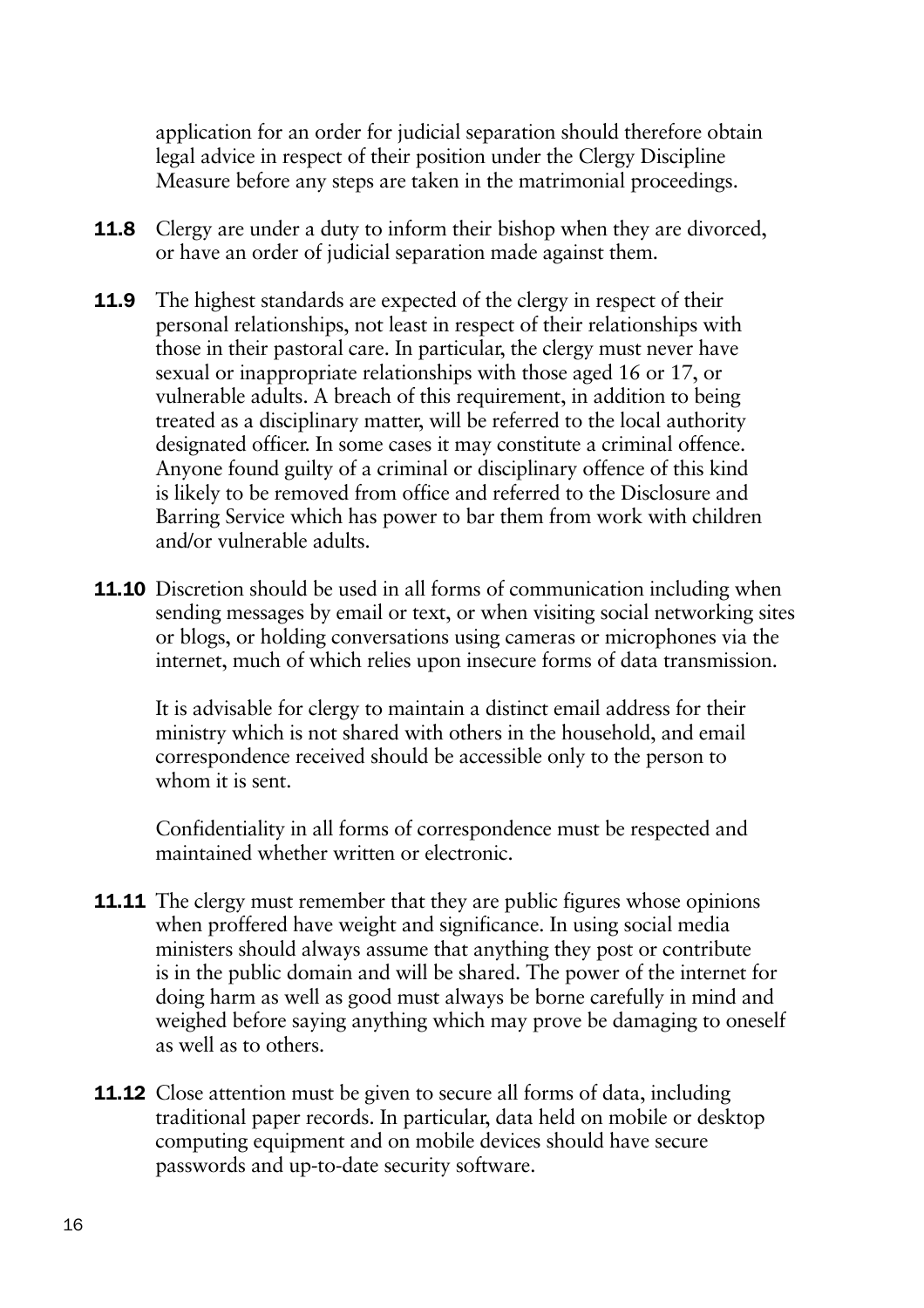application for an order for judicial separation should therefore obtain legal advice in respect of their position under the Clergy Discipline Measure before any steps are taken in the matrimonial proceedings.

- **11.8** Clergy are under a duty to inform their bishop when they are divorced, or have an order of judicial separation made against them.
- **11.9** The highest standards are expected of the clergy in respect of their personal relationships, not least in respect of their relationships with those in their pastoral care. In particular, the clergy must never have sexual or inappropriate relationships with those aged 16 or 17, or vulnerable adults. A breach of this requirement, in addition to being treated as a disciplinary matter, will be referred to the local authority designated officer. In some cases it may constitute a criminal offence. Anyone found guilty of a criminal or disciplinary offence of this kind is likely to be removed from office and referred to the Disclosure and Barring Service which has power to bar them from work with children and/or vulnerable adults.
- **11.10** Discretion should be used in all forms of communication including when sending messages by email or text, or when visiting social networking sites or blogs, or holding conversations using cameras or microphones via the internet, much of which relies upon insecure forms of data transmission.

It is advisable for clergy to maintain a distinct email address for their ministry which is not shared with others in the household, and email correspondence received should be accessible only to the person to whom it is sent.

Confidentiality in all forms of correspondence must be respected and maintained whether written or electronic.

- **11.11** The clergy must remember that they are public figures whose opinions when proffered have weight and significance. In using social media ministers should always assume that anything they post or contribute is in the public domain and will be shared. The power of the internet for doing harm as well as good must always be borne carefully in mind and weighed before saying anything which may prove be damaging to oneself as well as to others.
- **11.12** Close attention must be given to secure all forms of data, including traditional paper records. In particular, data held on mobile or desktop computing equipment and on mobile devices should have secure passwords and up-to-date security software.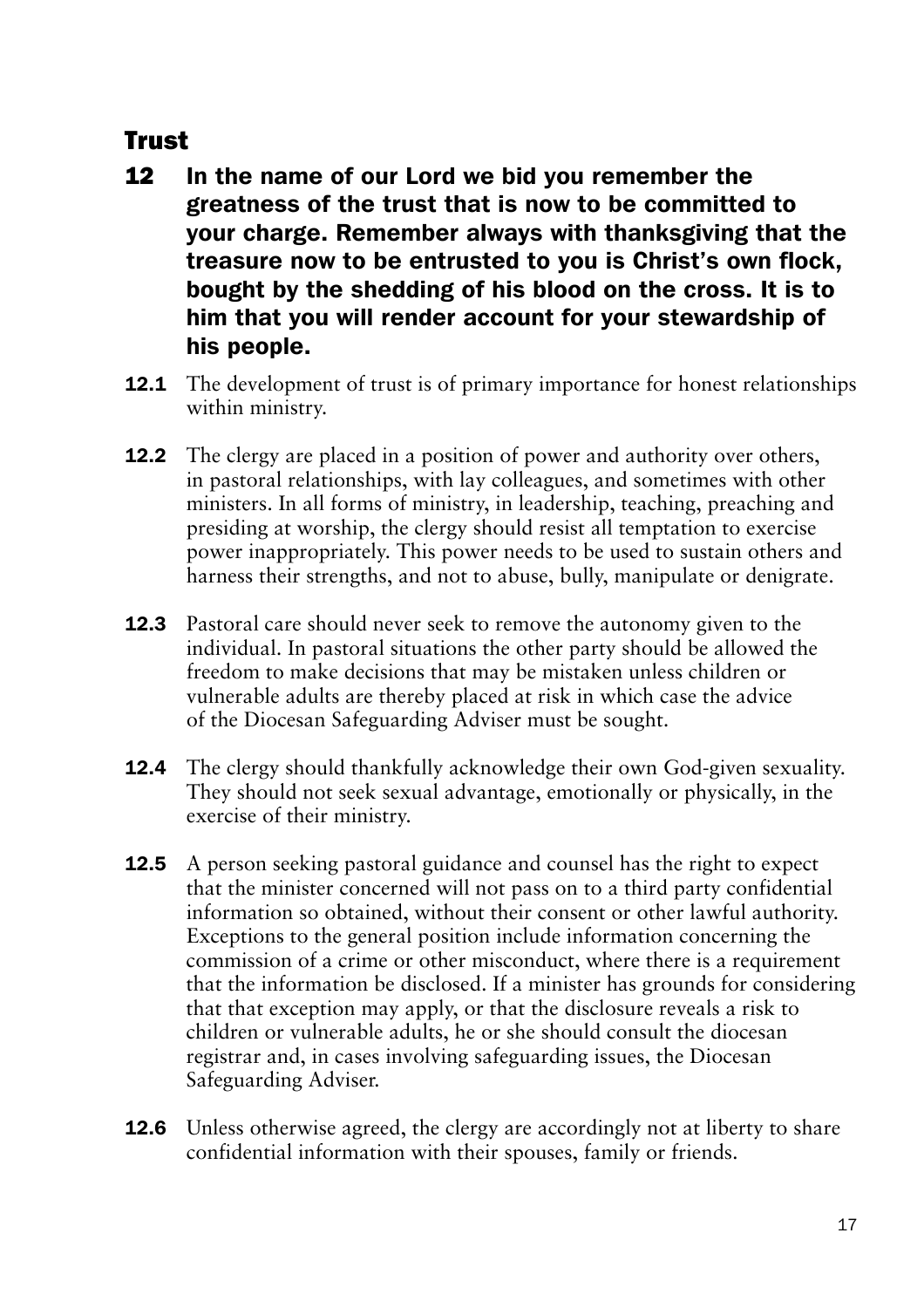## Trust

- 12 In the name of our Lord we bid you remember the greatness of the trust that is now to be committed to your charge. Remember always with thanksgiving that the treasure now to be entrusted to you is Christ's own flock, bought by the shedding of his blood on the cross. It is to him that you will render account for your stewardship of his people.
- **12.1** The development of trust is of primary importance for honest relationships within ministry.
- **12.2** The clergy are placed in a position of power and authority over others, in pastoral relationships, with lay colleagues, and sometimes with other ministers. In all forms of ministry, in leadership, teaching, preaching and presiding at worship, the clergy should resist all temptation to exercise power inappropriately. This power needs to be used to sustain others and harness their strengths, and not to abuse, bully, manipulate or denigrate.
- 12.3 Pastoral care should never seek to remove the autonomy given to the individual. In pastoral situations the other party should be allowed the freedom to make decisions that may be mistaken unless children or vulnerable adults are thereby placed at risk in which case the advice of the Diocesan Safeguarding Adviser must be sought.
- **12.4** The clergy should thankfully acknowledge their own God-given sexuality. They should not seek sexual advantage, emotionally or physically, in the exercise of their ministry.
- **12.5** A person seeking pastoral guidance and counsel has the right to expect that the minister concerned will not pass on to a third party confidential information so obtained, without their consent or other lawful authority. Exceptions to the general position include information concerning the commission of a crime or other misconduct, where there is a requirement that the information be disclosed. If a minister has grounds for considering that that exception may apply, or that the disclosure reveals a risk to children or vulnerable adults, he or she should consult the diocesan registrar and, in cases involving safeguarding issues, the Diocesan Safeguarding Adviser.
- **12.6** Unless otherwise agreed, the clergy are accordingly not at liberty to share confidential information with their spouses, family or friends.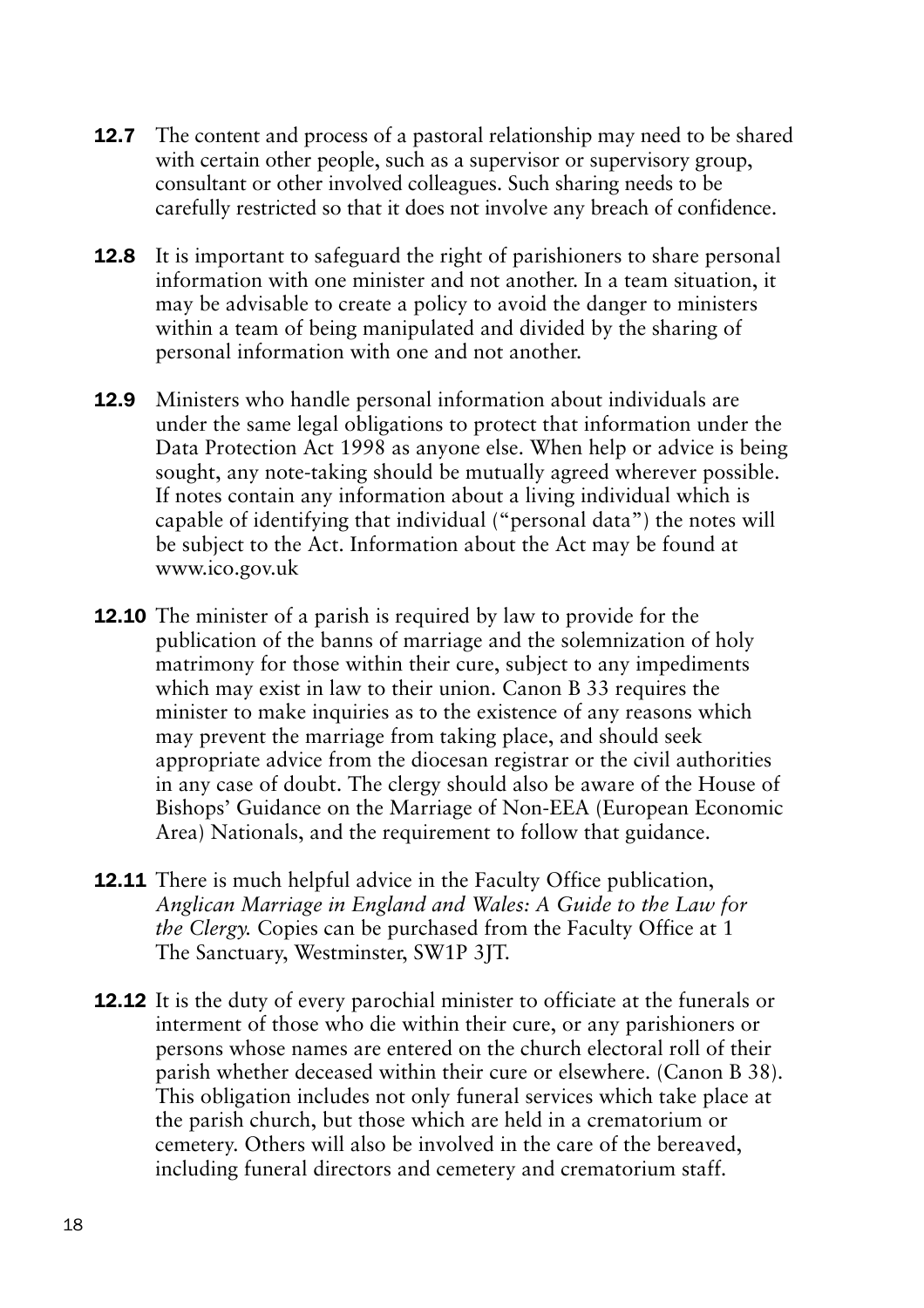- **12.7** The content and process of a pastoral relationship may need to be shared with certain other people, such as a supervisor or supervisory group, consultant or other involved colleagues. Such sharing needs to be carefully restricted so that it does not involve any breach of confidence.
- **12.8** It is important to safeguard the right of parishioners to share personal information with one minister and not another. In a team situation, it may be advisable to create a policy to avoid the danger to ministers within a team of being manipulated and divided by the sharing of personal information with one and not another.
- 12.9 Ministers who handle personal information about individuals are under the same legal obligations to protect that information under the Data Protection Act 1998 as anyone else. When help or advice is being sought, any note-taking should be mutually agreed wherever possible. If notes contain any information about a living individual which is capable of identifying that individual ("personal data") the notes will be subject to the Act. Information about the Act may be found at www.ico.gov.uk
- **12.10** The minister of a parish is required by law to provide for the publication of the banns of marriage and the solemnization of holy matrimony for those within their cure, subject to any impediments which may exist in law to their union. Canon B 33 requires the minister to make inquiries as to the existence of any reasons which may prevent the marriage from taking place, and should seek appropriate advice from the diocesan registrar or the civil authorities in any case of doubt. The clergy should also be aware of the House of Bishops' Guidance on the Marriage of Non-EEA (European Economic Area) Nationals, and the requirement to follow that guidance.
- **12.11** There is much helpful advice in the Faculty Office publication, *Anglican Marriage in England and Wales: A Guide to the Law for the Clergy.* Copies can be purchased from the Faculty Office at 1 The Sanctuary, Westminster, SW1P 3JT.
- **12.12** It is the duty of every parochial minister to officiate at the funerals or interment of those who die within their cure, or any parishioners or persons whose names are entered on the church electoral roll of their parish whether deceased within their cure or elsewhere. (Canon B 38). This obligation includes not only funeral services which take place at the parish church, but those which are held in a crematorium or cemetery. Others will also be involved in the care of the bereaved, including funeral directors and cemetery and crematorium staff.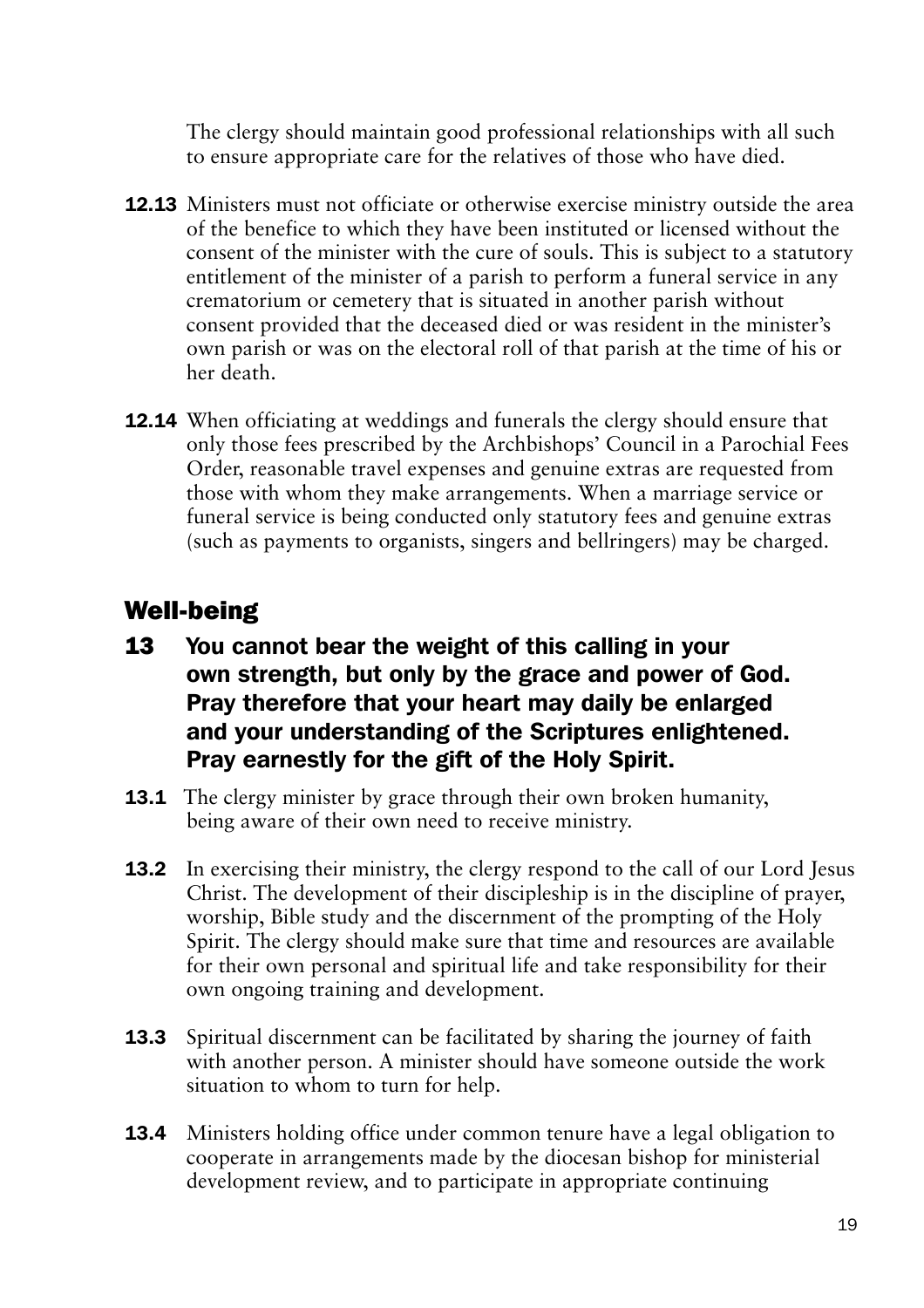The clergy should maintain good professional relationships with all such to ensure appropriate care for the relatives of those who have died.

- 12.13 Ministers must not officiate or otherwise exercise ministry outside the area of the benefice to which they have been instituted or licensed without the consent of the minister with the cure of souls. This is subject to a statutory entitlement of the minister of a parish to perform a funeral service in any crematorium or cemetery that is situated in another parish without consent provided that the deceased died or was resident in the minister's own parish or was on the electoral roll of that parish at the time of his or her death.
- **12.14** When officiating at weddings and funerals the clergy should ensure that only those fees prescribed by the Archbishops' Council in a Parochial Fees Order, reasonable travel expenses and genuine extras are requested from those with whom they make arrangements. When a marriage service or funeral service is being conducted only statutory fees and genuine extras (such as payments to organists, singers and bellringers) may be charged.

# Well-being

- 13 You cannot bear the weight of this calling in your own strength, but only by the grace and power of God. Pray therefore that your heart may daily be enlarged and your understanding of the Scriptures enlightened. Pray earnestly for the gift of the Holy Spirit.
- **13.1** The clergy minister by grace through their own broken humanity, being aware of their own need to receive ministry.
- 13.2 In exercising their ministry, the clergy respond to the call of our Lord Jesus Christ. The development of their discipleship is in the discipline of prayer, worship, Bible study and the discernment of the prompting of the Holy Spirit. The clergy should make sure that time and resources are available for their own personal and spiritual life and take responsibility for their own ongoing training and development.
- **13.3** Spiritual discernment can be facilitated by sharing the journey of faith with another person. A minister should have someone outside the work situation to whom to turn for help.
- **13.4** Ministers holding office under common tenure have a legal obligation to cooperate in arrangements made by the diocesan bishop for ministerial development review, and to participate in appropriate continuing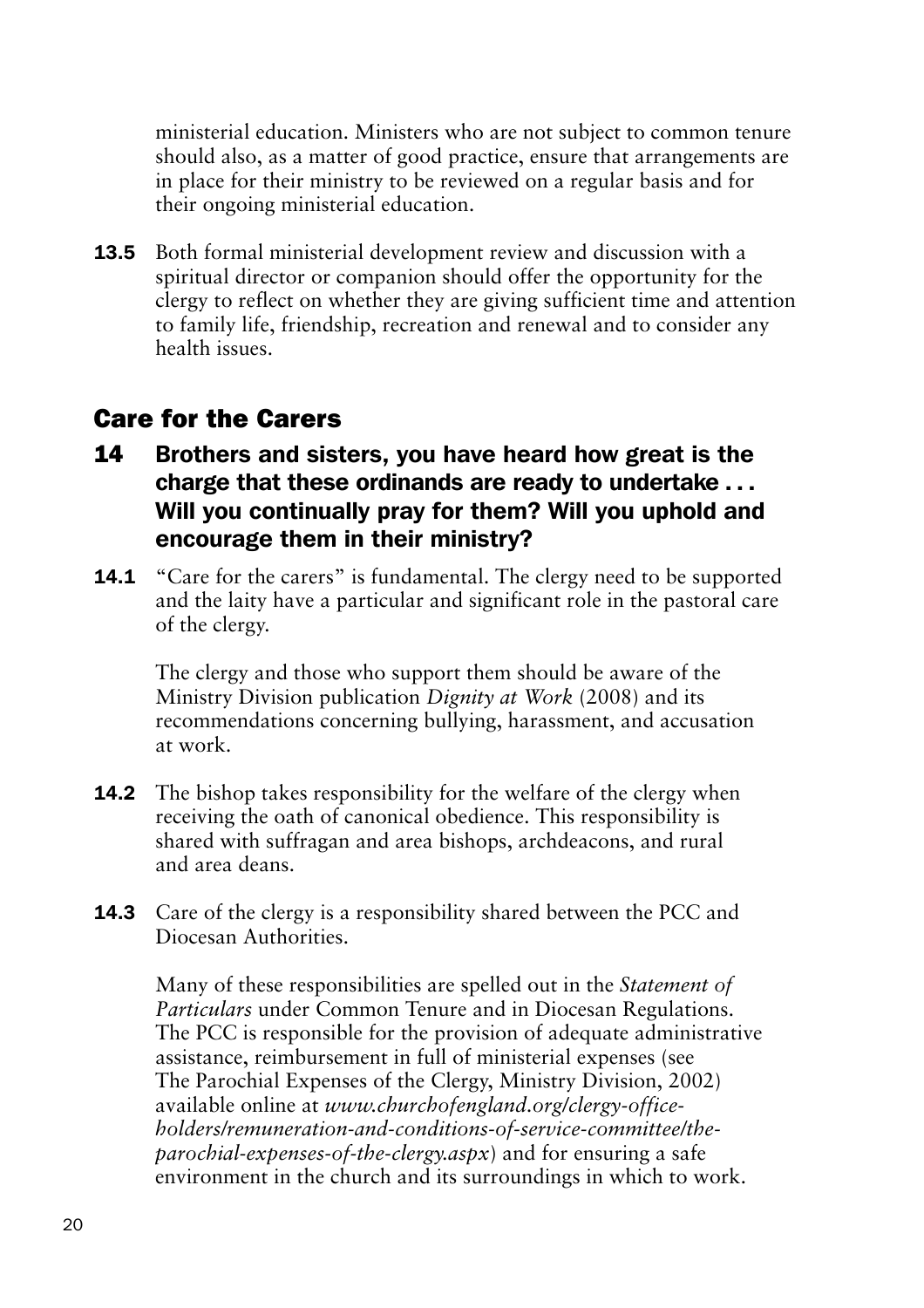ministerial education. Ministers who are not subject to common tenure should also, as a matter of good practice, ensure that arrangements are in place for their ministry to be reviewed on a regular basis and for their ongoing ministerial education.

**13.5** Both formal ministerial development review and discussion with a spiritual director or companion should offer the opportunity for the clergy to reflect on whether they are giving sufficient time and attention to family life, friendship, recreation and renewal and to consider any health issues.

### Care for the Carers

- 14 Brothers and sisters, you have heard how great is the charge that these ordinands are ready to undertake . . . Will you continually pray for them? Will you uphold and encourage them in their ministry?
- **14.1** "Care for the carers" is fundamental. The clergy need to be supported and the laity have a particular and significant role in the pastoral care of the clergy.

The clergy and those who support them should be aware of the Ministry Division publication *Dignity at Work* (2008) and its recommendations concerning bullying, harassment, and accusation at work.

- **14.2** The bishop takes responsibility for the welfare of the clergy when receiving the oath of canonical obedience. This responsibility is shared with suffragan and area bishops, archdeacons, and rural and area deans.
- **14.3** Care of the clergy is a responsibility shared between the PCC and Diocesan Authorities.

Many of these responsibilities are spelled out in the *Statement of Particulars* under Common Tenure and in Diocesan Regulations. The PCC is responsible for the provision of adequate administrative assistance, reimbursement in full of ministerial expenses (see The Parochial Expenses of the Clergy, Ministry Division, 2002) available online at *www.churchofengland.org/clergy-officeholders/remuneration-and-conditions-of-service-committee/theparochial-expenses-of-the-clergy.aspx*) and for ensuring a safe environment in the church and its surroundings in which to work.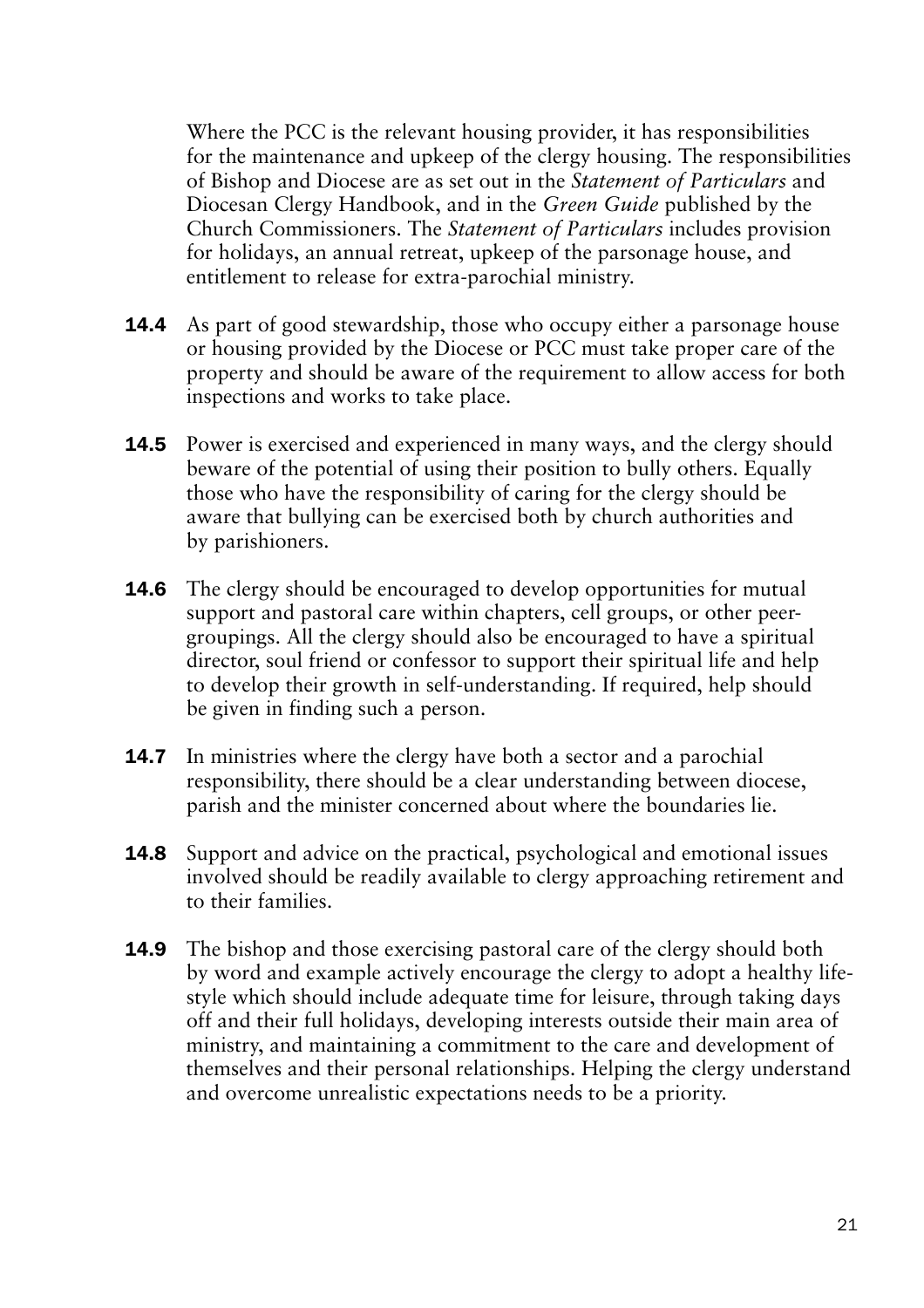Where the PCC is the relevant housing provider, it has responsibilities for the maintenance and upkeep of the clergy housing. The responsibilities of Bishop and Diocese are as set out in the *Statement of Particulars* and Diocesan Clergy Handbook, and in the *Green Guide* published by the Church Commissioners. The *Statement of Particulars* includes provision for holidays, an annual retreat, upkeep of the parsonage house, and entitlement to release for extra-parochial ministry.

- **14.4** As part of good stewardship, those who occupy either a parsonage house or housing provided by the Diocese or PCC must take proper care of the property and should be aware of the requirement to allow access for both inspections and works to take place.
- **14.5** Power is exercised and experienced in many ways, and the clergy should beware of the potential of using their position to bully others. Equally those who have the responsibility of caring for the clergy should be aware that bullying can be exercised both by church authorities and by parishioners.
- 14.6 The clergy should be encouraged to develop opportunities for mutual support and pastoral care within chapters, cell groups, or other peergroupings. All the clergy should also be encouraged to have a spiritual director, soul friend or confessor to support their spiritual life and help to develop their growth in self-understanding. If required, help should be given in finding such a person.
- **14.7** In ministries where the clergy have both a sector and a parochial responsibility, there should be a clear understanding between diocese, parish and the minister concerned about where the boundaries lie.
- 14.8 Support and advice on the practical, psychological and emotional issues involved should be readily available to clergy approaching retirement and to their families.
- **14.9** The bishop and those exercising pastoral care of the clergy should both by word and example actively encourage the clergy to adopt a healthy lifestyle which should include adequate time for leisure, through taking days off and their full holidays, developing interests outside their main area of ministry, and maintaining a commitment to the care and development of themselves and their personal relationships. Helping the clergy understand and overcome unrealistic expectations needs to be a priority.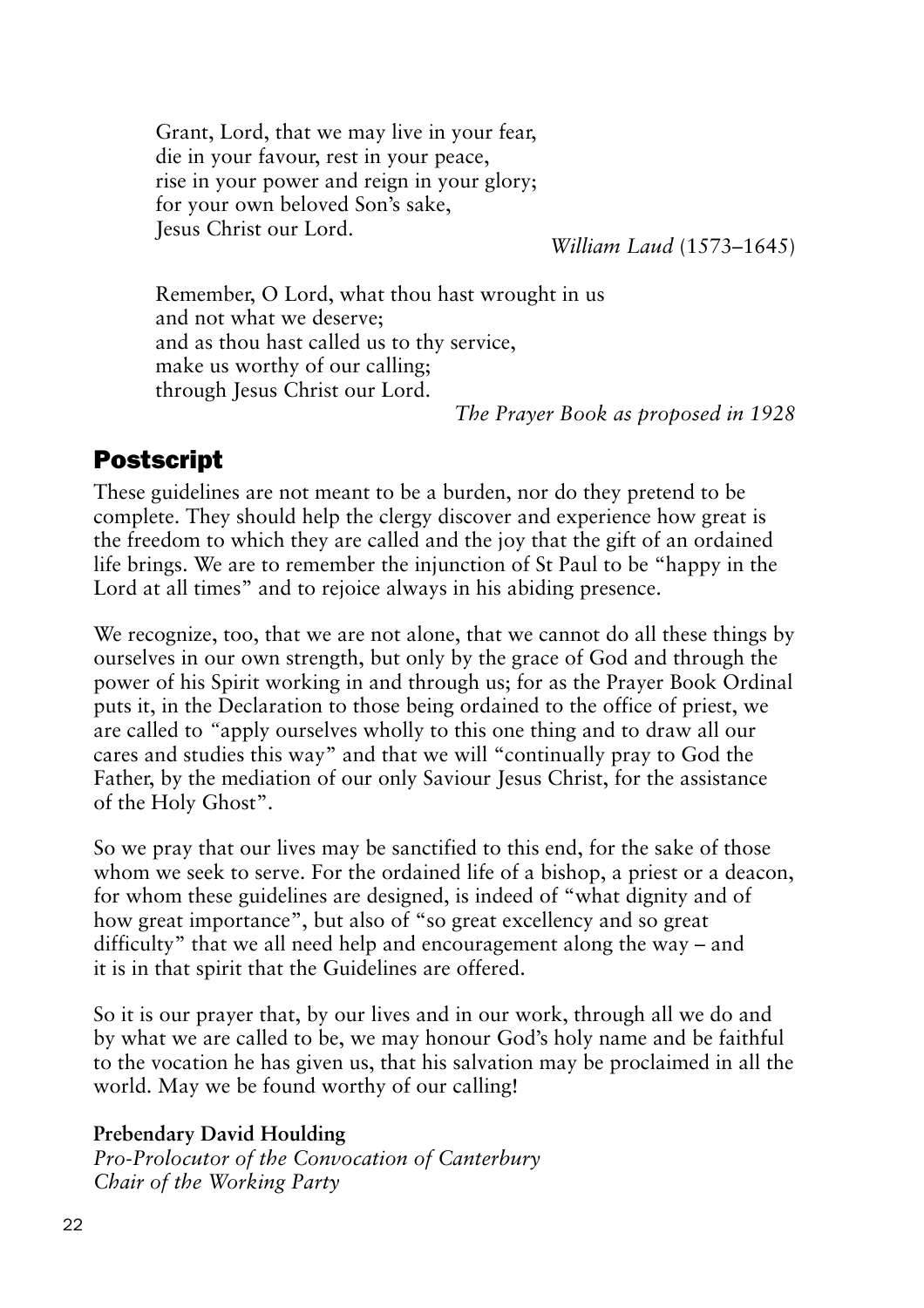Grant, Lord, that we may live in your fear, die in your favour, rest in your peace, rise in your power and reign in your glory; for your own beloved Son's sake, Jesus Christ our Lord. *William Laud* (1573–1645)

Remember, O Lord, what thou hast wrought in us and not what we deserve; and as thou hast called us to thy service, make us worthy of our calling; through Jesus Christ our Lord.

*The Prayer Book as proposed in 1928*

### Postscript

These guidelines are not meant to be a burden, nor do they pretend to be complete. They should help the clergy discover and experience how great is the freedom to which they are called and the joy that the gift of an ordained life brings. We are to remember the injunction of St Paul to be "happy in the Lord at all times" and to rejoice always in his abiding presence.

We recognize, too, that we are not alone, that we cannot do all these things by ourselves in our own strength, but only by the grace of God and through the power of his Spirit working in and through us; for as the Prayer Book Ordinal puts it, in the Declaration to those being ordained to the office of priest, we are called to *"*apply ourselves wholly to this one thing and to draw all our cares and studies this way" and that we will "continually pray to God the Father, by the mediation of our only Saviour Jesus Christ, for the assistance of the Holy Ghost".

So we pray that our lives may be sanctified to this end, for the sake of those whom we seek to serve. For the ordained life of a bishop, a priest or a deacon, for whom these guidelines are designed, is indeed of "what dignity and of how great importance", but also of "so great excellency and so great difficulty" that we all need help and encouragement along the way – and it is in that spirit that the Guidelines are offered.

So it is our prayer that, by our lives and in our work, through all we do and by what we are called to be, we may honour God's holy name and be faithful to the vocation he has given us, that his salvation may be proclaimed in all the world. May we be found worthy of our calling!

### **Prebendary David Houlding**

*Pro-Prolocutor of the Convocation of Canterbury Chair of the Working Party*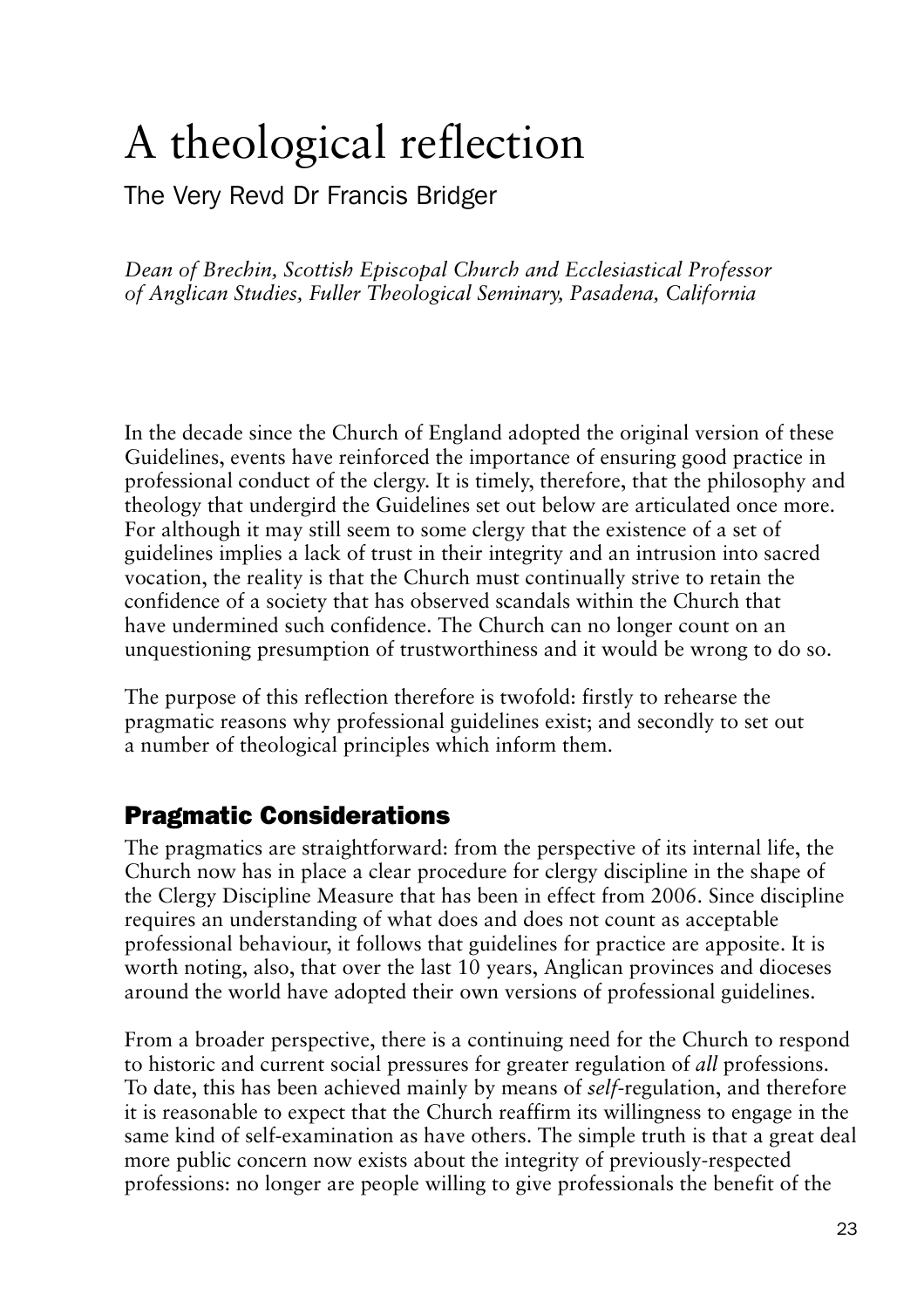# A theological reflection

The Very Revd Dr Francis Bridger

*Dean of Brechin, Scottish Episcopal Church and Ecclesiastical Professor of Anglican Studies, Fuller Theological Seminary, Pasadena, California*

In the decade since the Church of England adopted the original version of these Guidelines, events have reinforced the importance of ensuring good practice in professional conduct of the clergy. It is timely, therefore, that the philosophy and theology that undergird the Guidelines set out below are articulated once more. For although it may still seem to some clergy that the existence of a set of guidelines implies a lack of trust in their integrity and an intrusion into sacred vocation, the reality is that the Church must continually strive to retain the confidence of a society that has observed scandals within the Church that have undermined such confidence. The Church can no longer count on an unquestioning presumption of trustworthiness and it would be wrong to do so.

The purpose of this reflection therefore is twofold: firstly to rehearse the pragmatic reasons why professional guidelines exist; and secondly to set out a number of theological principles which inform them.

## Pragmatic Considerations

The pragmatics are straightforward: from the perspective of its internal life, the Church now has in place a clear procedure for clergy discipline in the shape of the Clergy Discipline Measure that has been in effect from 2006. Since discipline requires an understanding of what does and does not count as acceptable professional behaviour, it follows that guidelines for practice are apposite. It is worth noting, also, that over the last 10 years, Anglican provinces and dioceses around the world have adopted their own versions of professional guidelines.

From a broader perspective, there is a continuing need for the Church to respond to historic and current social pressures for greater regulation of *all* professions. To date, this has been achieved mainly by means of *self*-regulation, and therefore it is reasonable to expect that the Church reaffirm its willingness to engage in the same kind of self-examination as have others. The simple truth is that a great deal more public concern now exists about the integrity of previously-respected professions: no longer are people willing to give professionals the benefit of the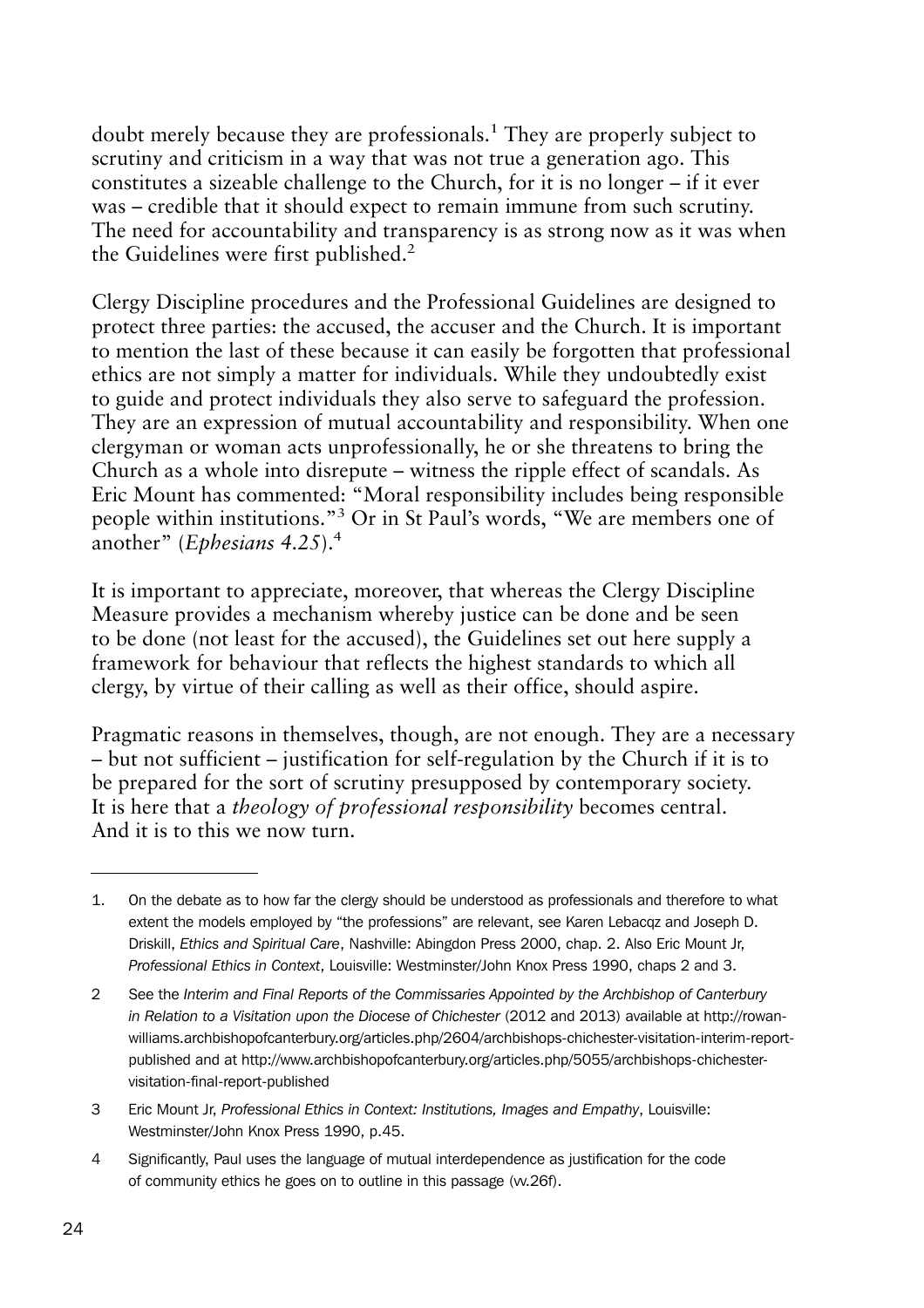doubt merely because they are professionals.1 They are properly subject to scrutiny and criticism in a way that was not true a generation ago. This constitutes a sizeable challenge to the Church, for it is no longer – if it ever was – credible that it should expect to remain immune from such scrutiny. The need for accountability and transparency is as strong now as it was when the Guidelines were first published.<sup>2</sup>

Clergy Discipline procedures and the Professional Guidelines are designed to protect three parties: the accused, the accuser and the Church. It is important to mention the last of these because it can easily be forgotten that professional ethics are not simply a matter for individuals. While they undoubtedly exist to guide and protect individuals they also serve to safeguard the profession. They are an expression of mutual accountability and responsibility. When one clergyman or woman acts unprofessionally, he or she threatens to bring the Church as a whole into disrepute – witness the ripple effect of scandals. As Eric Mount has commented: "Moral responsibility includes being responsible people within institutions."3 Or in St Paul's words, "We are members one of another" (*Ephesians 4.25*).4

It is important to appreciate, moreover, that whereas the Clergy Discipline Measure provides a mechanism whereby justice can be done and be seen to be done (not least for the accused), the Guidelines set out here supply a framework for behaviour that reflects the highest standards to which all clergy, by virtue of their calling as well as their office, should aspire.

Pragmatic reasons in themselves, though, are not enough. They are a necessary – but not sufficient – justification for self-regulation by the Church if it is to be prepared for the sort of scrutiny presupposed by contemporary society. It is here that a *theology of professional responsibility* becomes central. And it is to this we now turn.

<sup>1.</sup> On the debate as to how far the clergy should be understood as professionals and therefore to what extent the models employed by "the professions" are relevant, see Karen Lebacqz and Joseph D. Driskill, *Ethics and Spiritual Care*, Nashville: Abingdon Press 2000, chap. 2. Also Eric Mount Jr, *Professional Ethics in Context*, Louisville: Westminster/John Knox Press 1990, chaps 2 and 3.

<sup>2</sup> See the *Interim and Final Reports of the Commissaries Appointed by the Archbishop of Canterbury*  in Relation to a Visitation upon the Diocese of Chichester (2012 and 2013) available at http://rowanwilliams.archbishopofcanterbury.org/articles.php/2604/archbishops-chichester-visitation-interim-reportpublished and at http://www.archbishopofcanterbury.org/articles.php/5055/archbishops-chichestervisitation-final-report-published

<sup>3</sup> Eric Mount Jr, *Professional Ethics in Context: Institutions, Images and Empathy*, Louisville: Westminster/John Knox Press 1990, p.45.

<sup>4</sup> Significantly, Paul uses the language of mutual interdependence as justification for the code of community ethics he goes on to outline in this passage (w.26f).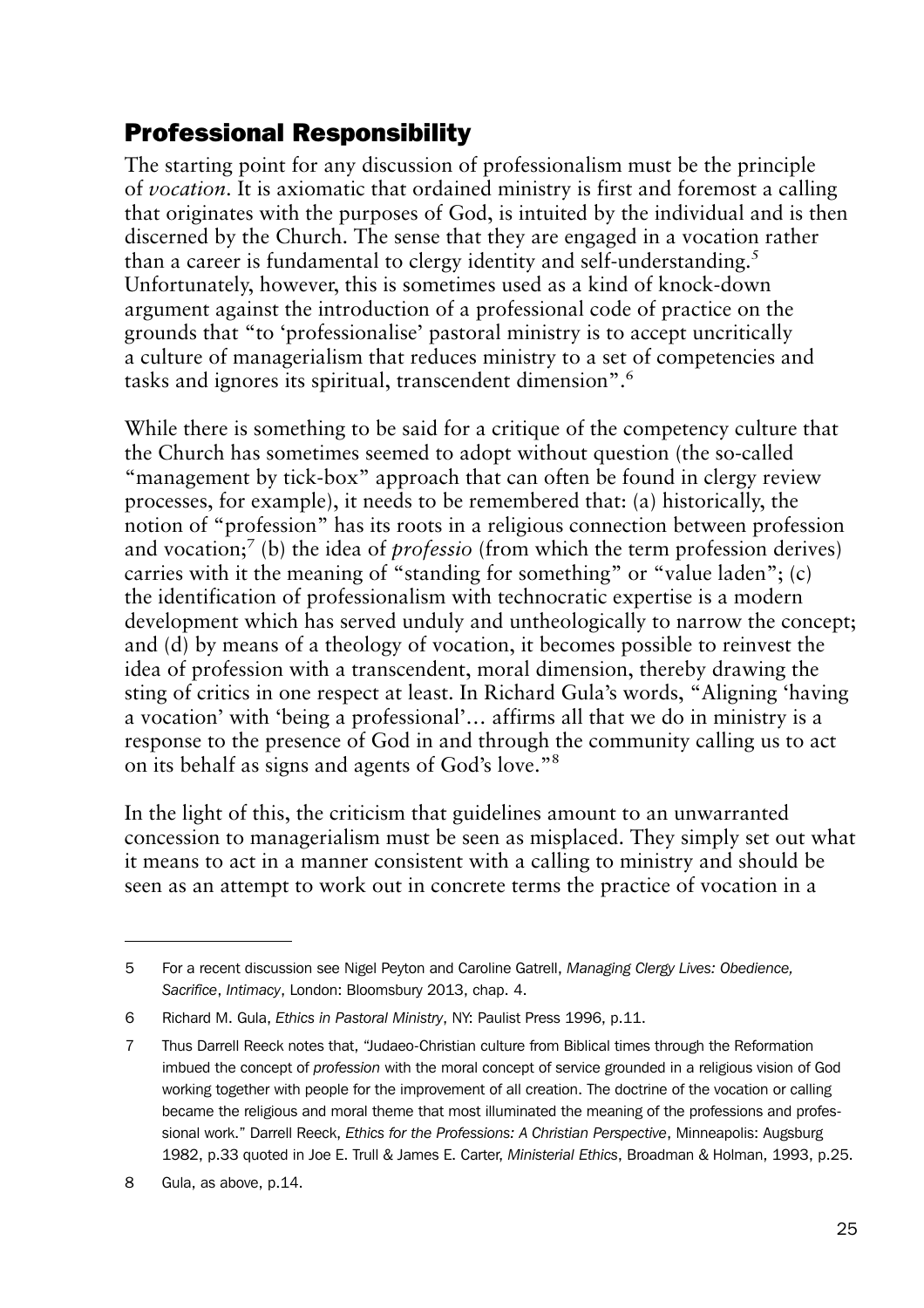## Professional Responsibility

The starting point for any discussion of professionalism must be the principle of *vocation*. It is axiomatic that ordained ministry is first and foremost a calling that originates with the purposes of God, is intuited by the individual and is then discerned by the Church. The sense that they are engaged in a vocation rather than a career is fundamental to clergy identity and self-understanding.<sup>5</sup> Unfortunately, however, this is sometimes used as a kind of knock-down argument against the introduction of a professional code of practice on the grounds that "to 'professionalise' pastoral ministry is to accept uncritically a culture of managerialism that reduces ministry to a set of competencies and tasks and ignores its spiritual, transcendent dimension".6

While there is something to be said for a critique of the competency culture that the Church has sometimes seemed to adopt without question (the so-called "management by tick-box" approach that can often be found in clergy review processes, for example), it needs to be remembered that: (a) historically, the notion of "profession" has its roots in a religious connection between profession and vocation;<sup>7</sup> (b) the idea of *professio* (from which the term profession derives) carries with it the meaning of "standing for something" or "value laden"; (c) the identification of professionalism with technocratic expertise is a modern development which has served unduly and untheologically to narrow the concept; and (d) by means of a theology of vocation, it becomes possible to reinvest the idea of profession with a transcendent, moral dimension, thereby drawing the sting of critics in one respect at least. In Richard Gula's words, "Aligning 'having a vocation' with 'being a professional'… affirms all that we do in ministry is a response to the presence of God in and through the community calling us to act on its behalf as signs and agents of God's love."8

In the light of this, the criticism that guidelines amount to an unwarranted concession to managerialism must be seen as misplaced. They simply set out what it means to act in a manner consistent with a calling to ministry and should be seen as an attempt to work out in concrete terms the practice of vocation in a

<sup>5</sup> For a recent discussion see Nigel Peyton and Caroline Gatrell, *Managing Clergy Lives: Obedience, Sacrifice*, *Intimacy*, London: Bloomsbury 2013, chap. 4.

<sup>6</sup> Richard M. Gula, *Ethics in Pastoral Ministry*, NY: Paulist Press 1996, p.11.

<sup>7</sup> Thus Darrell Reeck notes that, "Judaeo-Christian culture from Biblical times through the Reformation imbued the concept of *profession* with the moral concept of service grounded in a religious vision of God working together with people for the improvement of all creation. The doctrine of the vocation or calling became the religious and moral theme that most illuminated the meaning of the professions and professional work." Darrell Reeck, *Ethics for the Professions: A Christian Perspective*, Minneapolis: Augsburg 1982, p.33 quoted in Joe E. Trull & James E. Carter, *Ministerial Ethics*, Broadman & Holman, 1993, p.25.

<sup>8</sup> Gula, as above, p.14.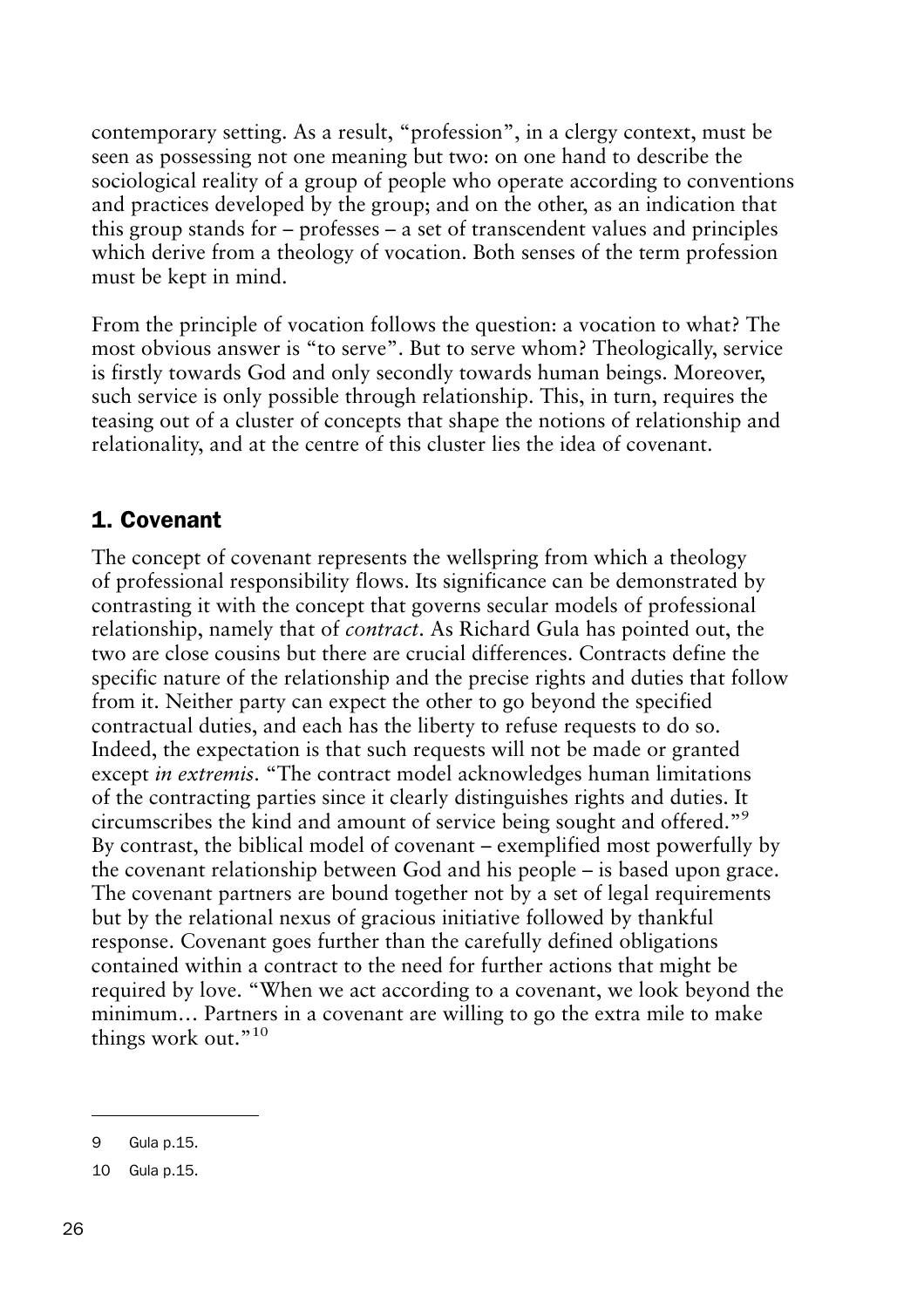contemporary setting. As a result, "profession", in a clergy context, must be seen as possessing not one meaning but two: on one hand to describe the sociological reality of a group of people who operate according to conventions and practices developed by the group; and on the other, as an indication that this group stands for – professes – a set of transcendent values and principles which derive from a theology of vocation. Both senses of the term profession must be kept in mind.

From the principle of vocation follows the question: a vocation to what? The most obvious answer is "to serve". But to serve whom? Theologically, service is firstly towards God and only secondly towards human beings. Moreover, such service is only possible through relationship. This, in turn, requires the teasing out of a cluster of concepts that shape the notions of relationship and relationality, and at the centre of this cluster lies the idea of covenant.

### 1. Covenant

The concept of covenant represents the wellspring from which a theology of professional responsibility flows. Its significance can be demonstrated by contrasting it with the concept that governs secular models of professional relationship, namely that of *contract*. As Richard Gula has pointed out, the two are close cousins but there are crucial differences. Contracts define the specific nature of the relationship and the precise rights and duties that follow from it. Neither party can expect the other to go beyond the specified contractual duties, and each has the liberty to refuse requests to do so. Indeed, the expectation is that such requests will not be made or granted except *in extremis*. "The contract model acknowledges human limitations of the contracting parties since it clearly distinguishes rights and duties. It circumscribes the kind and amount of service being sought and offered."9 By contrast, the biblical model of covenant – exemplified most powerfully by the covenant relationship between God and his people – is based upon grace. The covenant partners are bound together not by a set of legal requirements but by the relational nexus of gracious initiative followed by thankful response. Covenant goes further than the carefully defined obligations contained within a contract to the need for further actions that might be required by love. "When we act according to a covenant, we look beyond the minimum… Partners in a covenant are willing to go the extra mile to make things work out."<sup>10</sup>

<sup>9</sup> Gula p.15.

<sup>10</sup> Gula p.15.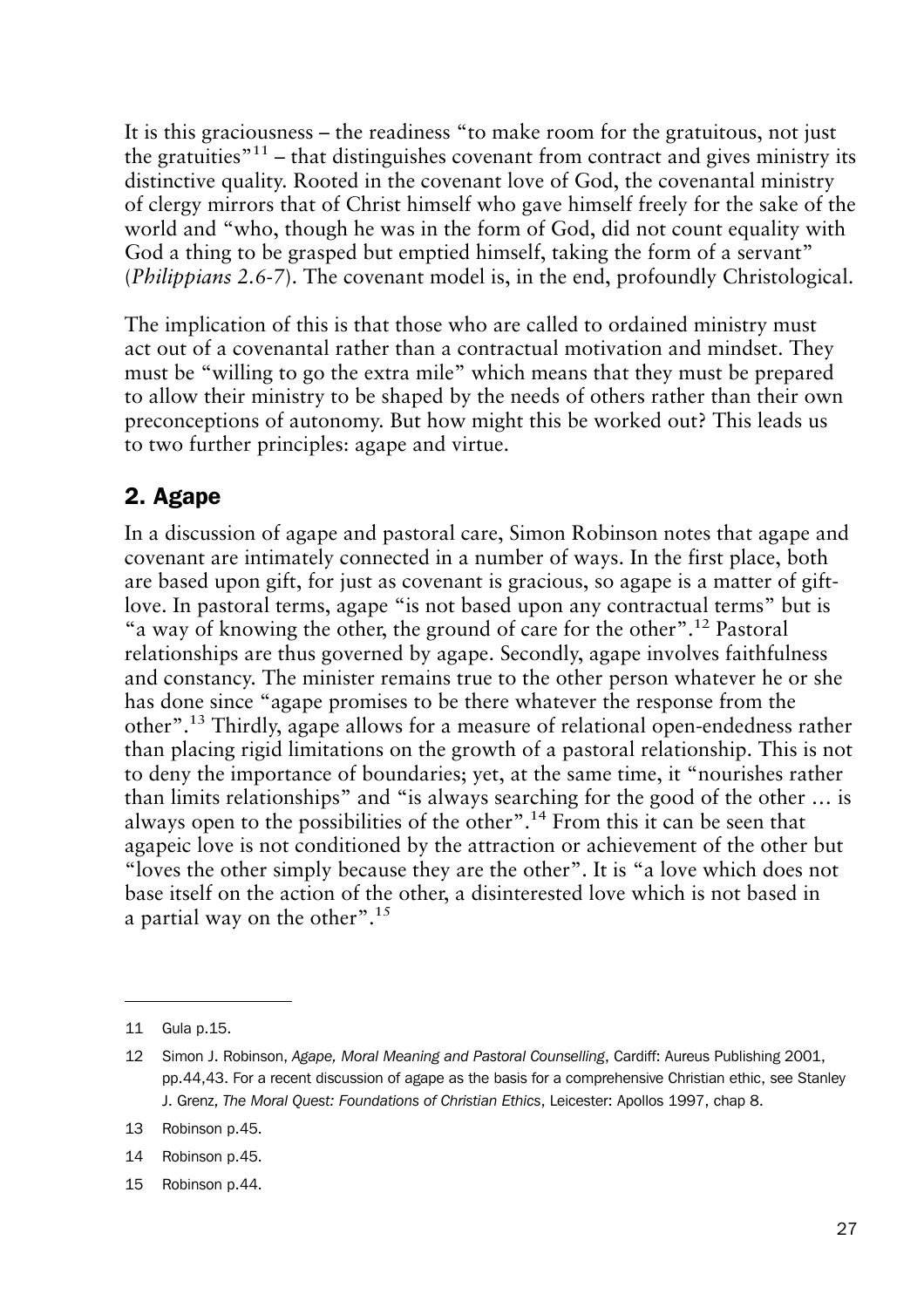It is this graciousness – the readiness "to make room for the gratuitous, not just the gratuities $11$  – that distinguishes covenant from contract and gives ministry its distinctive quality. Rooted in the covenant love of God, the covenantal ministry of clergy mirrors that of Christ himself who gave himself freely for the sake of the world and "who, though he was in the form of God, did not count equality with God a thing to be grasped but emptied himself, taking the form of a servant" (*Philippians 2.6-7*). The covenant model is, in the end, profoundly Christological.

The implication of this is that those who are called to ordained ministry must act out of a covenantal rather than a contractual motivation and mindset. They must be "willing to go the extra mile" which means that they must be prepared to allow their ministry to be shaped by the needs of others rather than their own preconceptions of autonomy. But how might this be worked out? This leads us to two further principles: agape and virtue.

### 2. Agape

In a discussion of agape and pastoral care, Simon Robinson notes that agape and covenant are intimately connected in a number of ways. In the first place, both are based upon gift, for just as covenant is gracious, so agape is a matter of giftlove. In pastoral terms, agape "is not based upon any contractual terms" but is "a way of knowing the other, the ground of care for the other".12 Pastoral relationships are thus governed by agape. Secondly, agape involves faithfulness and constancy. The minister remains true to the other person whatever he or she has done since "agape promises to be there whatever the response from the other".13 Thirdly, agape allows for a measure of relational open-endedness rather than placing rigid limitations on the growth of a pastoral relationship. This is not to deny the importance of boundaries; yet, at the same time, it "nourishes rather than limits relationships" and "is always searching for the good of the other … is always open to the possibilities of the other".14 From this it can be seen that agapeic love is not conditioned by the attraction or achievement of the other but "loves the other simply because they are the other". It is "a love which does not base itself on the action of the other, a disinterested love which is not based in a partial way on the other".<sup>15</sup>

<sup>11</sup> Gula p.15.

<sup>12</sup> Simon J. Robinson, *Agape, Moral Meaning and Pastoral Counselling*, Cardiff: Aureus Publishing 2001, pp.44,43. For a recent discussion of agape as the basis for a comprehensive Christian ethic, see Stanley J. Grenz, *The Moral Quest: Foundations of Christian Ethics*, Leicester: Apollos 1997, chap 8.

<sup>13</sup> Robinson p.45.

<sup>14</sup> Robinson p.45.

<sup>15</sup> Robinson p.44.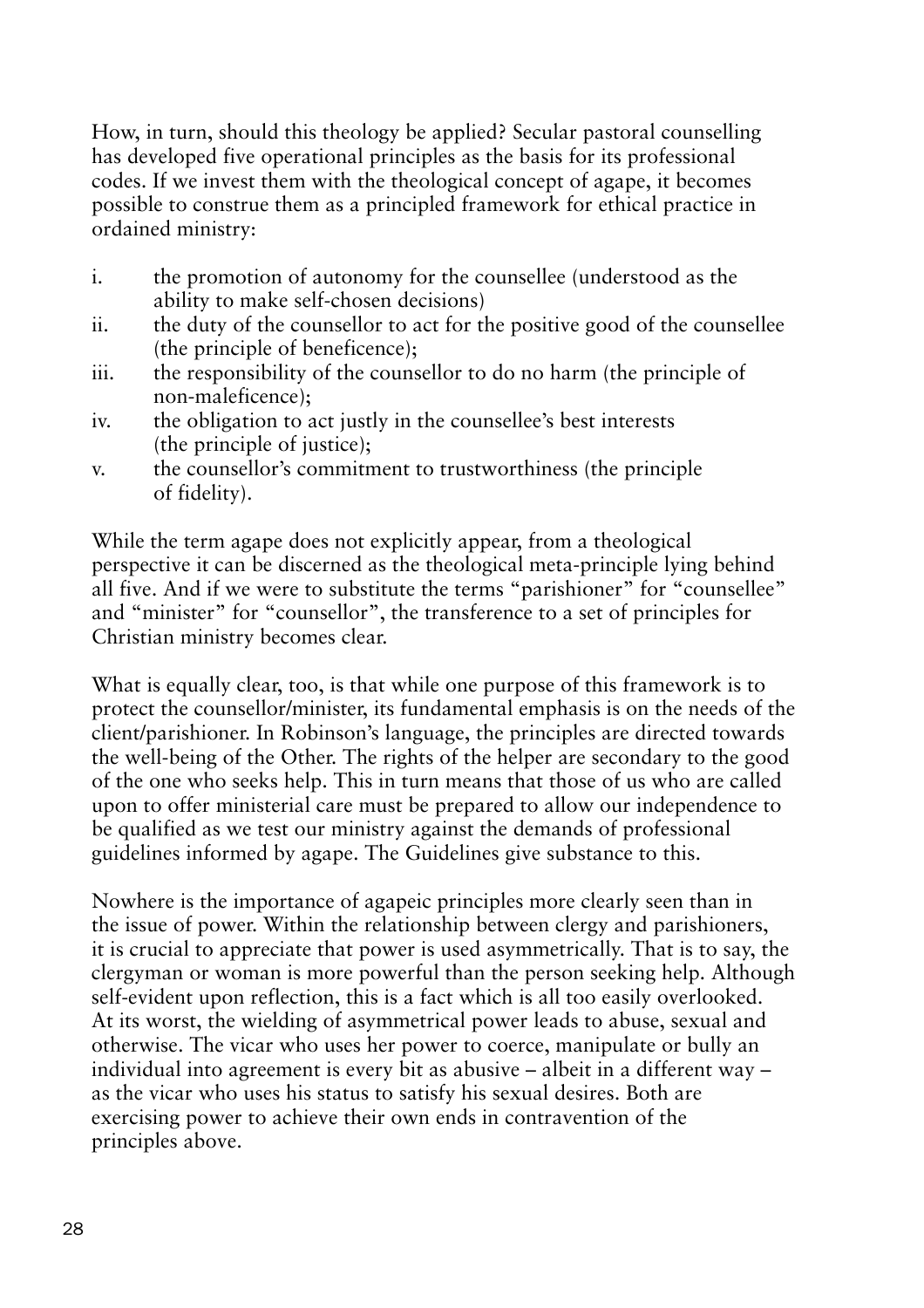How, in turn, should this theology be applied? Secular pastoral counselling has developed five operational principles as the basis for its professional codes. If we invest them with the theological concept of agape, it becomes possible to construe them as a principled framework for ethical practice in ordained ministry:

- i. the promotion of autonomy for the counsellee (understood as the ability to make self-chosen decisions)
- ii. the duty of the counsellor to act for the positive good of the counsellee (the principle of beneficence);
- iii. the responsibility of the counsellor to do no harm (the principle of non-maleficence);
- iv. the obligation to act justly in the counsellee's best interests (the principle of justice);
- v. the counsellor's commitment to trustworthiness (the principle of fidelity).

While the term agape does not explicitly appear, from a theological perspective it can be discerned as the theological meta-principle lying behind all five. And if we were to substitute the terms "parishioner" for "counsellee" and "minister" for "counsellor", the transference to a set of principles for Christian ministry becomes clear.

What is equally clear, too, is that while one purpose of this framework is to protect the counsellor/minister, its fundamental emphasis is on the needs of the client/parishioner. In Robinson's language, the principles are directed towards the well-being of the Other. The rights of the helper are secondary to the good of the one who seeks help. This in turn means that those of us who are called upon to offer ministerial care must be prepared to allow our independence to be qualified as we test our ministry against the demands of professional guidelines informed by agape. The Guidelines give substance to this.

Nowhere is the importance of agapeic principles more clearly seen than in the issue of power. Within the relationship between clergy and parishioners, it is crucial to appreciate that power is used asymmetrically. That is to say, the clergyman or woman is more powerful than the person seeking help. Although self-evident upon reflection, this is a fact which is all too easily overlooked. At its worst, the wielding of asymmetrical power leads to abuse, sexual and otherwise. The vicar who uses her power to coerce, manipulate or bully an individual into agreement is every bit as abusive – albeit in a different way – as the vicar who uses his status to satisfy his sexual desires. Both are exercising power to achieve their own ends in contravention of the principles above.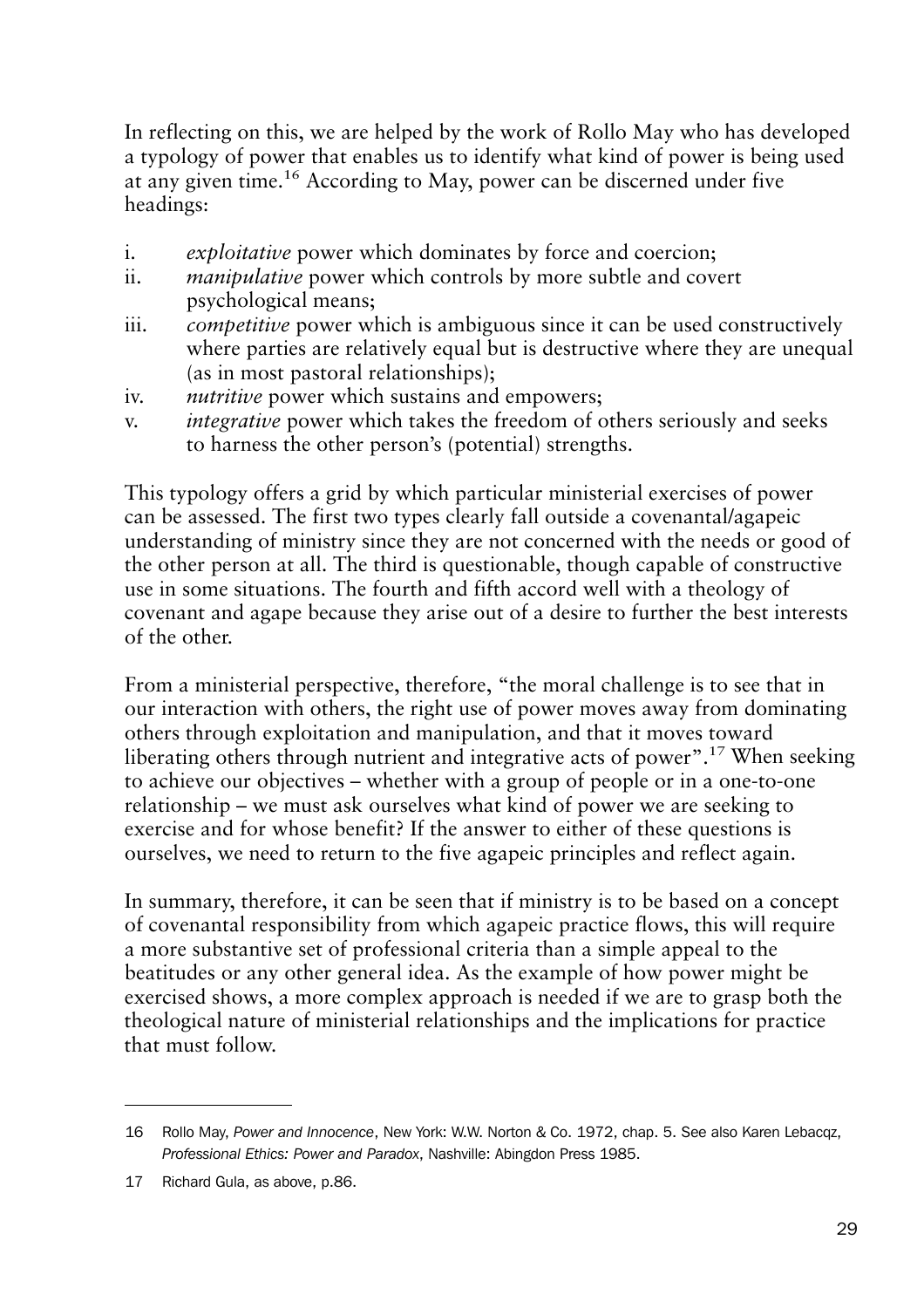In reflecting on this, we are helped by the work of Rollo May who has developed a typology of power that enables us to identify what kind of power is being used at any given time.16 According to May, power can be discerned under five headings:

- i. *exploitative* power which dominates by force and coercion;
- ii. *manipulative* power which controls by more subtle and covert psychological means;
- iii. *competitive* power which is ambiguous since it can be used constructively where parties are relatively equal but is destructive where they are unequal (as in most pastoral relationships);
- iv. *nutritive* power which sustains and empowers;
- v. *integrative* power which takes the freedom of others seriously and seeks to harness the other person's (potential) strengths.

This typology offers a grid by which particular ministerial exercises of power can be assessed. The first two types clearly fall outside a covenantal/agapeic understanding of ministry since they are not concerned with the needs or good of the other person at all. The third is questionable, though capable of constructive use in some situations. The fourth and fifth accord well with a theology of covenant and agape because they arise out of a desire to further the best interests of the other.

From a ministerial perspective, therefore, "the moral challenge is to see that in our interaction with others, the right use of power moves away from dominating others through exploitation and manipulation, and that it moves toward liberating others through nutrient and integrative acts of power".<sup>17</sup> When seeking to achieve our objectives – whether with a group of people or in a one-to-one relationship – we must ask ourselves what kind of power we are seeking to exercise and for whose benefit? If the answer to either of these questions is ourselves, we need to return to the five agapeic principles and reflect again.

In summary, therefore, it can be seen that if ministry is to be based on a concept of covenantal responsibility from which agapeic practice flows, this will require a more substantive set of professional criteria than a simple appeal to the beatitudes or any other general idea. As the example of how power might be exercised shows, a more complex approach is needed if we are to grasp both the theological nature of ministerial relationships and the implications for practice that must follow.

<sup>16</sup> Rollo May, *Power and Innocence*, New York: W.W. Norton & Co. 1972, chap. 5. See also Karen Lebacqz, *Professional Ethics: Power and Paradox*, Nashville: Abingdon Press 1985.

<sup>17</sup> Richard Gula, as above, p.86.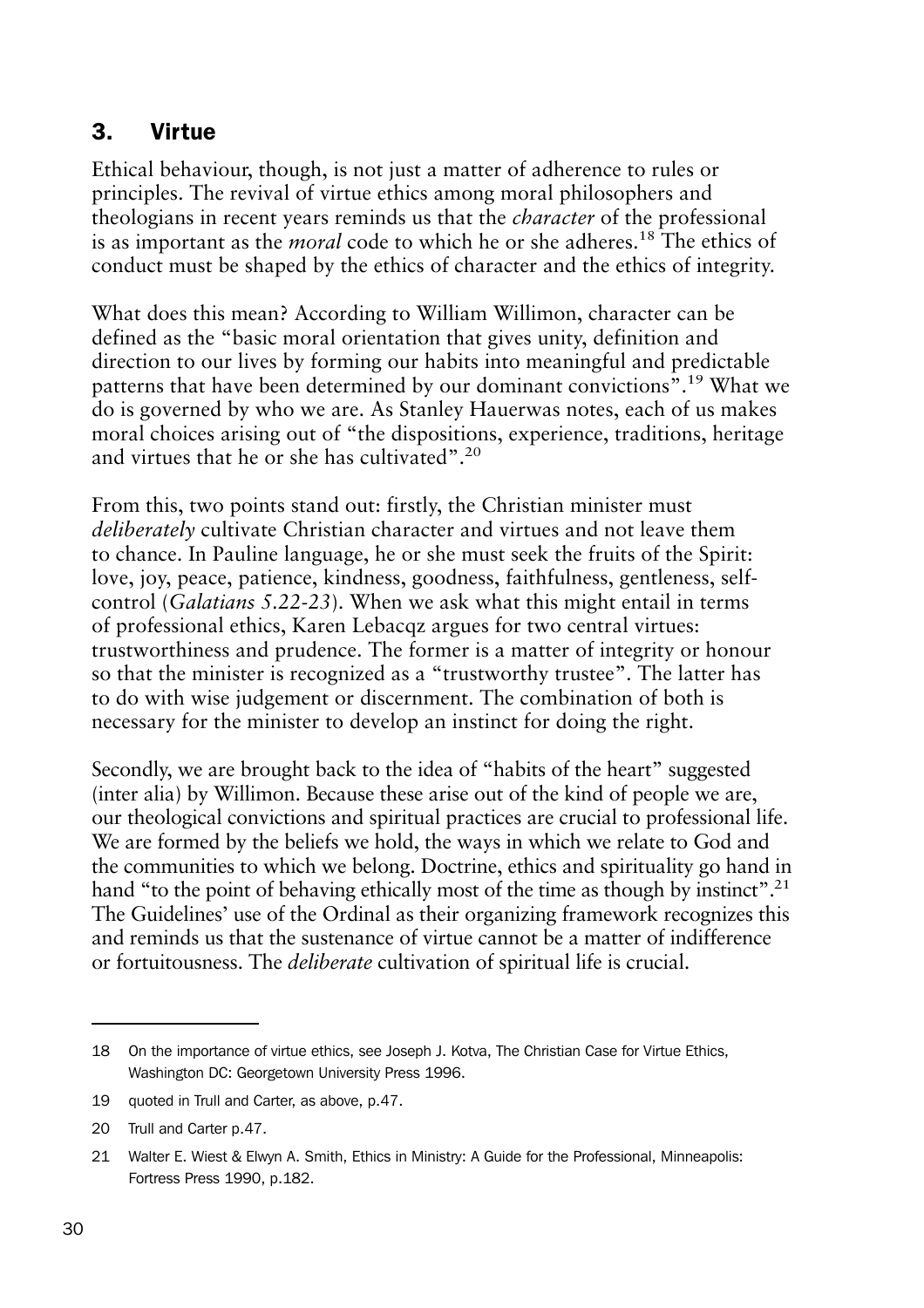### 3. Virtue

Ethical behaviour, though, is not just a matter of adherence to rules or principles. The revival of virtue ethics among moral philosophers and theologians in recent years reminds us that the *character* of the professional is as important as the *moral* code to which he or she adheres.18 The ethics of conduct must be shaped by the ethics of character and the ethics of integrity.

What does this mean? According to William Willimon, character can be defined as the "basic moral orientation that gives unity, definition and direction to our lives by forming our habits into meaningful and predictable patterns that have been determined by our dominant convictions".19 What we do is governed by who we are. As Stanley Hauerwas notes, each of us makes moral choices arising out of "the dispositions, experience, traditions, heritage and virtues that he or she has cultivated".<sup>20</sup>

From this, two points stand out: firstly, the Christian minister must *deliberately* cultivate Christian character and virtues and not leave them to chance. In Pauline language, he or she must seek the fruits of the Spirit: love, joy, peace, patience, kindness, goodness, faithfulness, gentleness, selfcontrol (*Galatians 5.22-23*). When we ask what this might entail in terms of professional ethics, Karen Lebacqz argues for two central virtues: trustworthiness and prudence. The former is a matter of integrity or honour so that the minister is recognized as a "trustworthy trustee". The latter has to do with wise judgement or discernment. The combination of both is necessary for the minister to develop an instinct for doing the right.

Secondly, we are brought back to the idea of "habits of the heart" suggested (inter alia) by Willimon. Because these arise out of the kind of people we are, our theological convictions and spiritual practices are crucial to professional life. We are formed by the beliefs we hold, the ways in which we relate to God and the communities to which we belong. Doctrine, ethics and spirituality go hand in hand "to the point of behaving ethically most of the time as though by instinct".<sup>21</sup> The Guidelines' use of the Ordinal as their organizing framework recognizes this and reminds us that the sustenance of virtue cannot be a matter of indifference or fortuitousness. The *deliberate* cultivation of spiritual life is crucial.

<sup>18</sup> On the importance of virtue ethics, see Joseph J. Kotva, The Christian Case for Virtue Ethics, Washington DC: Georgetown University Press 1996.

<sup>19</sup> quoted in Trull and Carter, as above, p.47.

<sup>20</sup> Trull and Carter p.47.

<sup>21</sup> Walter E. Wiest & Elwyn A. Smith, Ethics in Ministry: A Guide for the Professional, Minneapolis: Fortress Press 1990, p.182.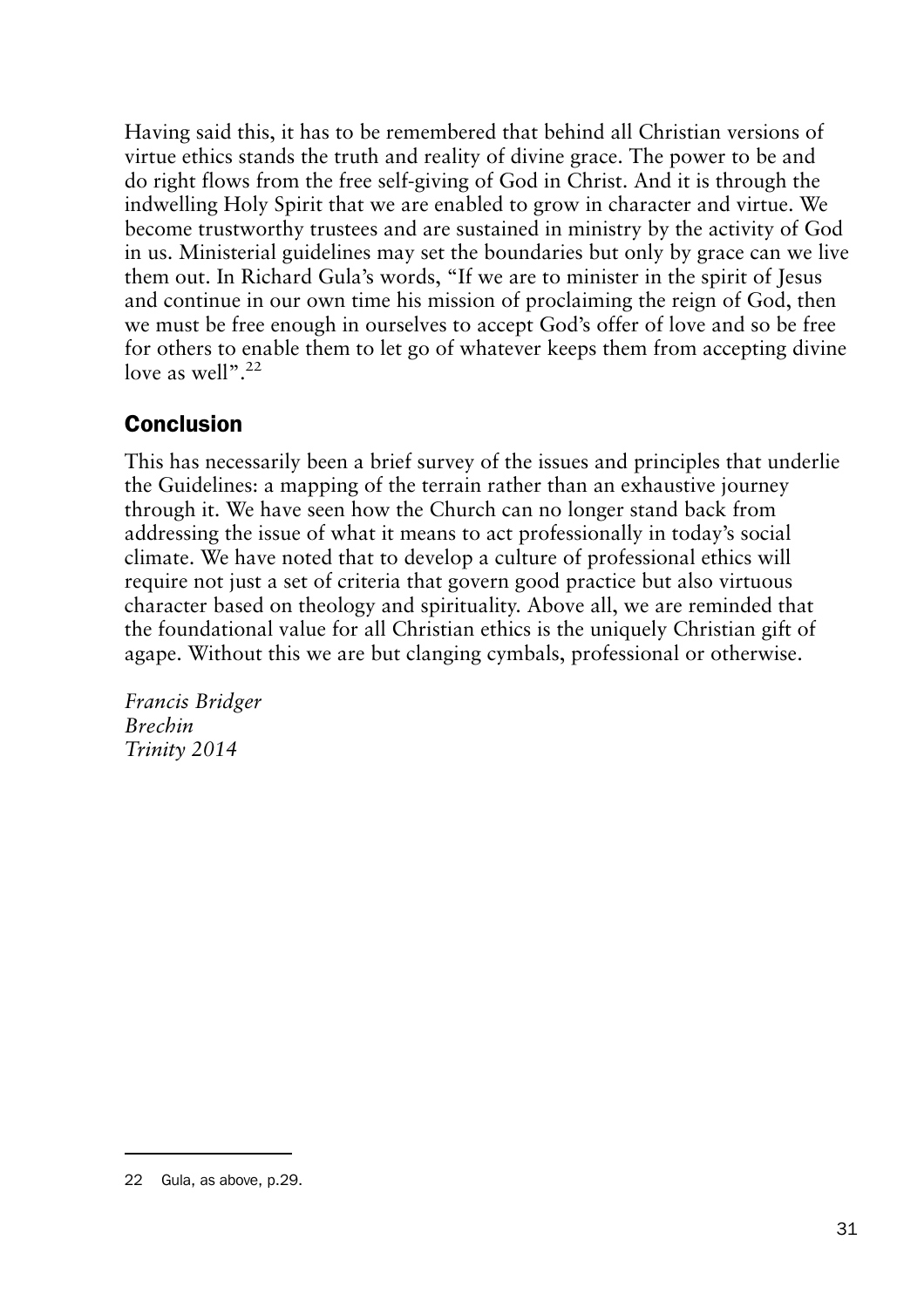Having said this, it has to be remembered that behind all Christian versions of virtue ethics stands the truth and reality of divine grace. The power to be and do right flows from the free self-giving of God in Christ. And it is through the indwelling Holy Spirit that we are enabled to grow in character and virtue. We become trustworthy trustees and are sustained in ministry by the activity of God in us. Ministerial guidelines may set the boundaries but only by grace can we live them out. In Richard Gula's words, "If we are to minister in the spirit of Jesus and continue in our own time his mission of proclaiming the reign of God, then we must be free enough in ourselves to accept God's offer of love and so be free for others to enable them to let go of whatever keeps them from accepting divine love as well". $22$ 

### **Conclusion**

This has necessarily been a brief survey of the issues and principles that underlie the Guidelines: a mapping of the terrain rather than an exhaustive journey through it. We have seen how the Church can no longer stand back from addressing the issue of what it means to act professionally in today's social climate. We have noted that to develop a culture of professional ethics will require not just a set of criteria that govern good practice but also virtuous character based on theology and spirituality. Above all, we are reminded that the foundational value for all Christian ethics is the uniquely Christian gift of agape. Without this we are but clanging cymbals, professional or otherwise.

*Francis Bridger Brechin Trinity 2014*

<sup>22</sup> Gula, as above, p.29.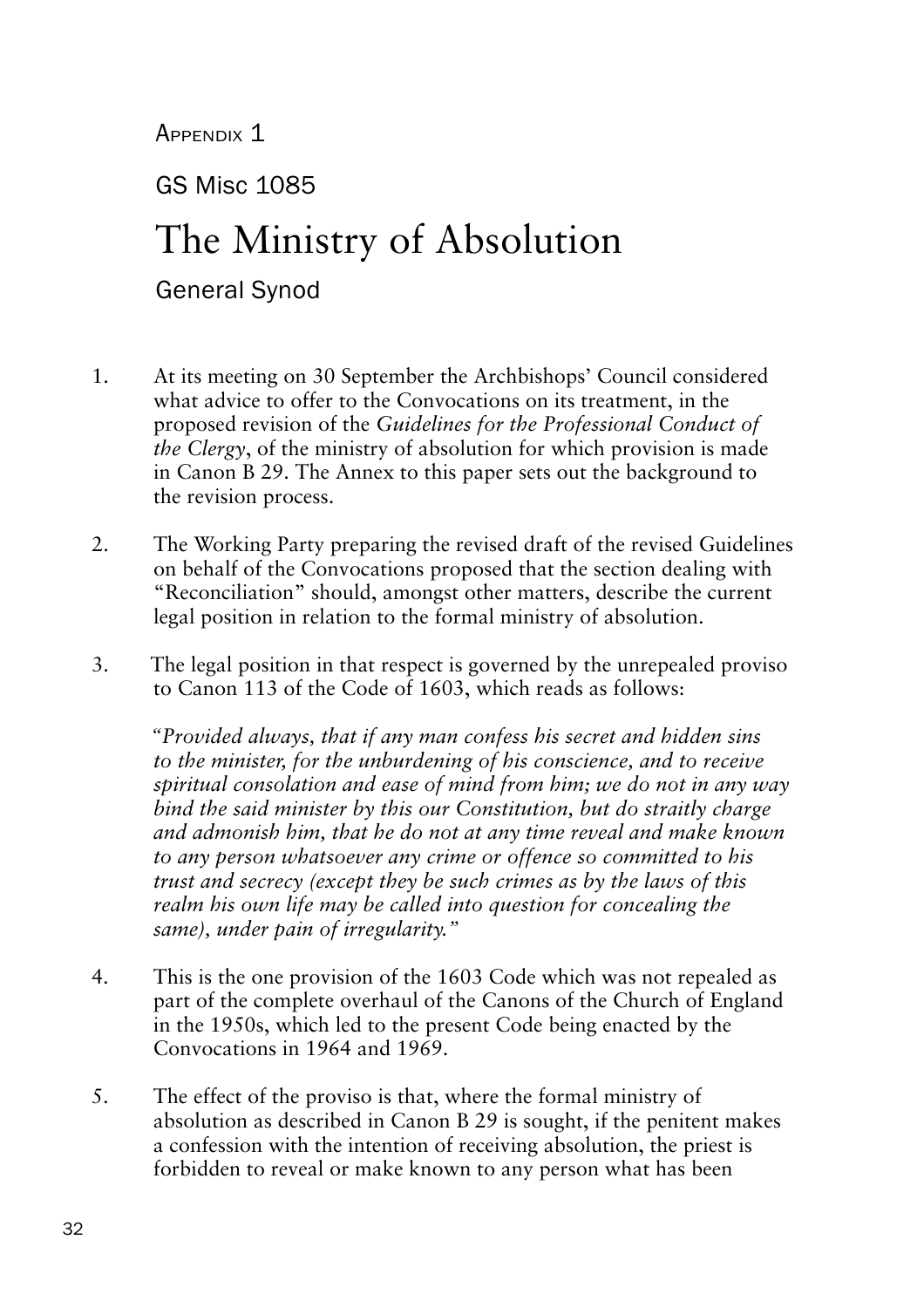APPENDIX<sub>1</sub>

GS Misc 1085

# The Ministry of Absolution

General Synod

- 1. At its meeting on 30 September the Archbishops' Council considered what advice to offer to the Convocations on its treatment, in the proposed revision of the *Guidelines for the Professional Conduct of the Clergy*, of the ministry of absolution for which provision is made in Canon B 29. The Annex to this paper sets out the background to the revision process.
- 2. The Working Party preparing the revised draft of the revised Guidelines on behalf of the Convocations proposed that the section dealing with "Reconciliation" should, amongst other matters, describe the current legal position in relation to the formal ministry of absolution.
- 3. The legal position in that respect is governed by the unrepealed proviso to Canon 113 of the Code of 1603, which reads as follows:

*"Provided always, that if any man confess his secret and hidden sins to the minister, for the unburdening of his conscience, and to receive spiritual consolation and ease of mind from him; we do not in any way bind the said minister by this our Constitution, but do straitly charge and admonish him, that he do not at any time reveal and make known to any person whatsoever any crime or offence so committed to his trust and secrecy (except they be such crimes as by the laws of this realm his own life may be called into question for concealing the same), under pain of irregularity."*

- 4. This is the one provision of the 1603 Code which was not repealed as part of the complete overhaul of the Canons of the Church of England in the 1950s, which led to the present Code being enacted by the Convocations in 1964 and 1969.
- 5. The effect of the proviso is that, where the formal ministry of absolution as described in Canon B 29 is sought, if the penitent makes a confession with the intention of receiving absolution, the priest is forbidden to reveal or make known to any person what has been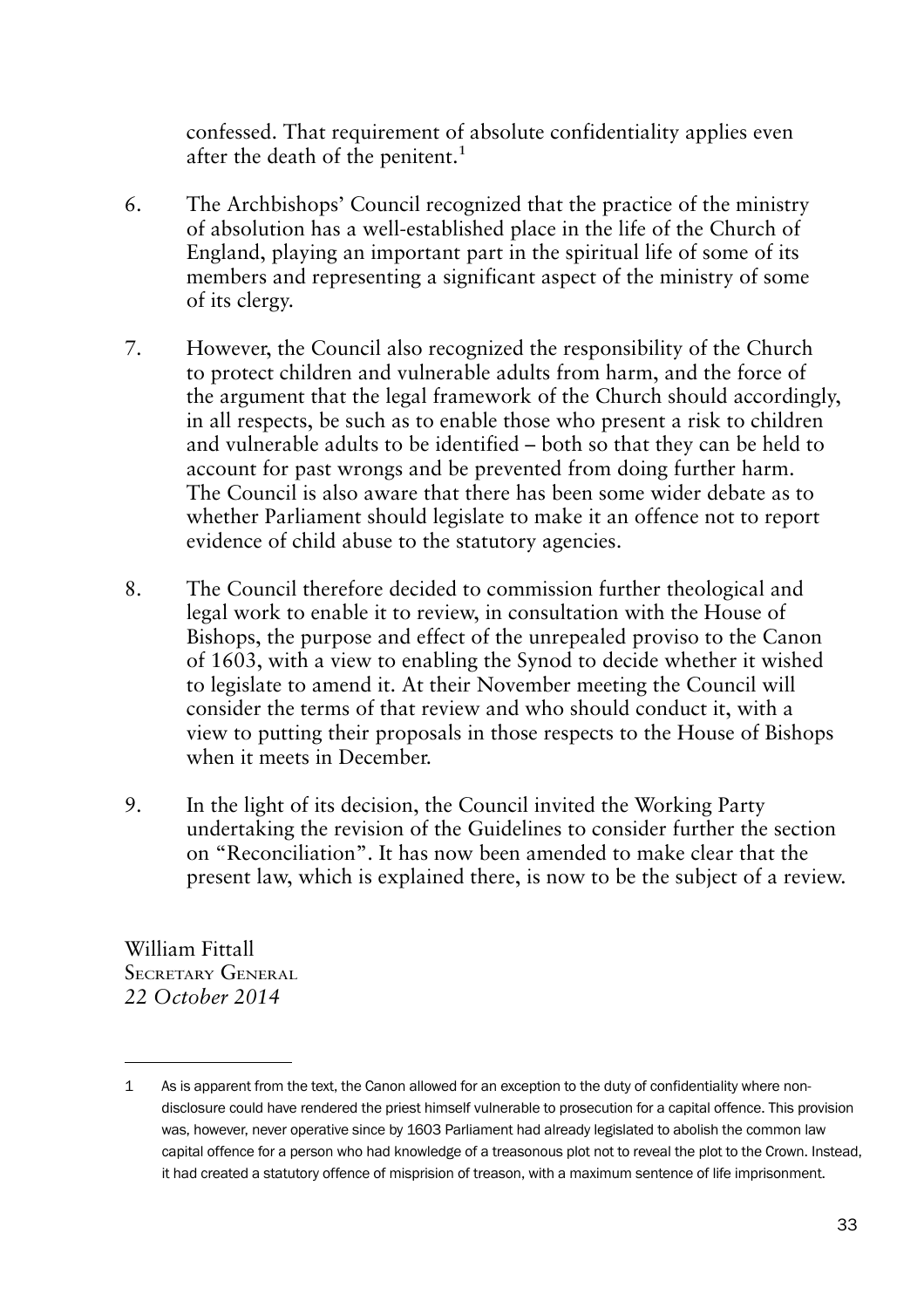confessed. That requirement of absolute confidentiality applies even after the death of the penitent.<sup>1</sup>

- 6. The Archbishops' Council recognized that the practice of the ministry of absolution has a well-established place in the life of the Church of England, playing an important part in the spiritual life of some of its members and representing a significant aspect of the ministry of some of its clergy.
- 7. However, the Council also recognized the responsibility of the Church to protect children and vulnerable adults from harm, and the force of the argument that the legal framework of the Church should accordingly, in all respects, be such as to enable those who present a risk to children and vulnerable adults to be identified – both so that they can be held to account for past wrongs and be prevented from doing further harm. The Council is also aware that there has been some wider debate as to whether Parliament should legislate to make it an offence not to report evidence of child abuse to the statutory agencies.
- 8. The Council therefore decided to commission further theological and legal work to enable it to review, in consultation with the House of Bishops, the purpose and effect of the unrepealed proviso to the Canon of 1603, with a view to enabling the Synod to decide whether it wished to legislate to amend it. At their November meeting the Council will consider the terms of that review and who should conduct it, with a view to putting their proposals in those respects to the House of Bishops when it meets in December.
- 9. In the light of its decision, the Council invited the Working Party undertaking the revision of the Guidelines to consider further the section on "Reconciliation". It has now been amended to make clear that the present law, which is explained there, is now to be the subject of a review.

William Fittall SECRETARY GENERAL *22 October 2014*

<sup>1</sup> As is apparent from the text, the Canon allowed for an exception to the duty of confidentiality where nondisclosure could have rendered the priest himself vulnerable to prosecution for a capital offence. This provision was, however, never operative since by 1603 Parliament had already legislated to abolish the common law capital offence for a person who had knowledge of a treasonous plot not to reveal the plot to the Crown. Instead, it had created a statutory offence of misprision of treason, with a maximum sentence of life imprisonment.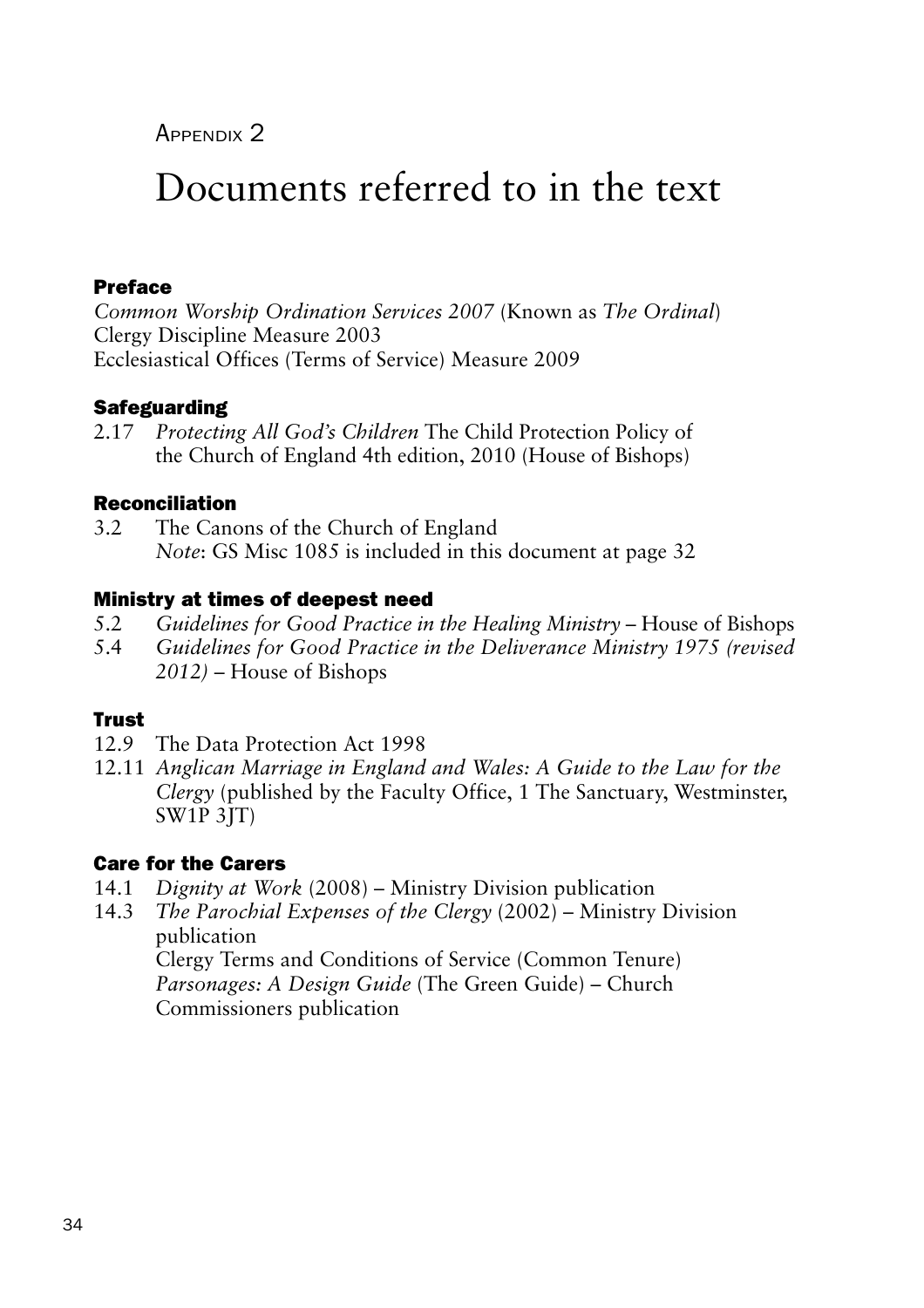APPENDIX<sub>2</sub>

# Documents referred to in the text

### Preface

*Common Worship Ordination Services 2007* (Known as *The Ordinal*) Clergy Discipline Measure 2003 Ecclesiastical Offices (Terms of Service) Measure 2009

### **Safeguarding**

2.17 *Protecting All God's Children* The Child Protection Policy of the Church of England 4th edition, 2010 (House of Bishops)

### Reconciliation

3.2 The Canons of the Church of England *Note*: GS Misc 1085 is included in this document at page 32

### Ministry at times of deepest need

- 5.2 *Guidelines for Good Practice in the Healing Ministry*  House of Bishops
- 5.4 *Guidelines for Good Practice in the Deliverance Ministry 1975 (revised 2012)* – House of Bishops

### Trust

- 12.9 The Data Protection Act 1998
- 12.11 *Anglican Marriage in England and Wales: A Guide to the Law for the Clergy* (published by the Faculty Office, 1 The Sanctuary, Westminster,  $SW1P 3[T]$

### Care for the Carers

- 14.1 *Dignity at Work* (2008) Ministry Division publication
- 14.3 *The Parochial Expenses of the Clergy* (2002) Ministry Division publication Clergy Terms and Conditions of Service (Common Tenure) *Parsonages: A Design Guide* (The Green Guide) – Church Commissioners publication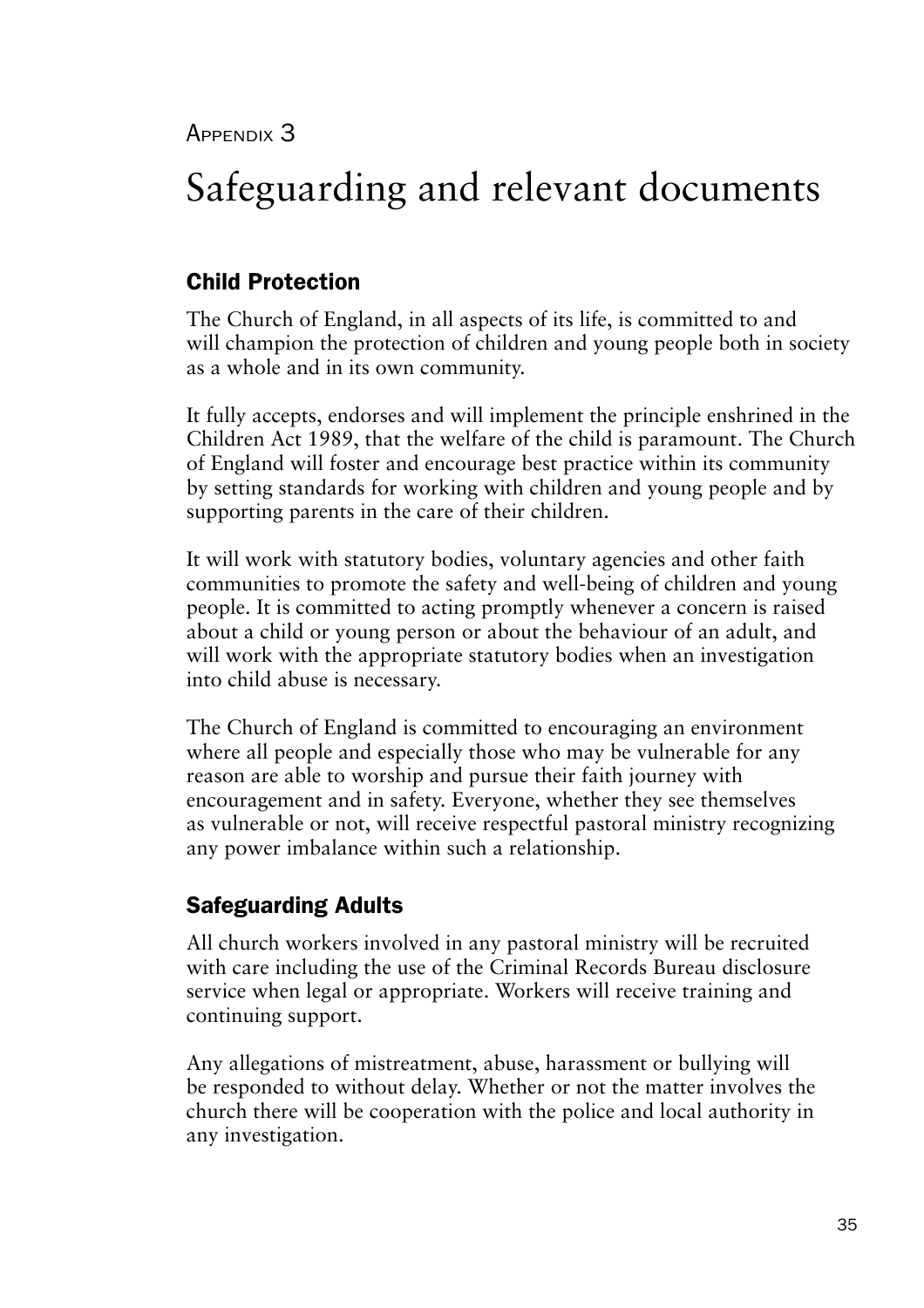APPENDIX 3

# Safeguarding and relevant documents

### Child Protection

The Church of England, in all aspects of its life, is committed to and will champion the protection of children and young people both in society as a whole and in its own community.

It fully accepts, endorses and will implement the principle enshrined in the Children Act 1989, that the welfare of the child is paramount. The Church of England will foster and encourage best practice within its community by setting standards for working with children and young people and by supporting parents in the care of their children.

It will work with statutory bodies, voluntary agencies and other faith communities to promote the safety and well-being of children and young people. It is committed to acting promptly whenever a concern is raised about a child or young person or about the behaviour of an adult, and will work with the appropriate statutory bodies when an investigation into child abuse is necessary.

The Church of England is committed to encouraging an environment where all people and especially those who may be vulnerable for any reason are able to worship and pursue their faith journey with encouragement and in safety. Everyone, whether they see themselves as vulnerable or not, will receive respectful pastoral ministry recognizing any power imbalance within such a relationship.

### Safeguarding Adults

All church workers involved in any pastoral ministry will be recruited with care including the use of the Criminal Records Bureau disclosure service when legal or appropriate. Workers will receive training and continuing support.

Any allegations of mistreatment, abuse, harassment or bullying will be responded to without delay. Whether or not the matter involves the church there will be cooperation with the police and local authority in any investigation.